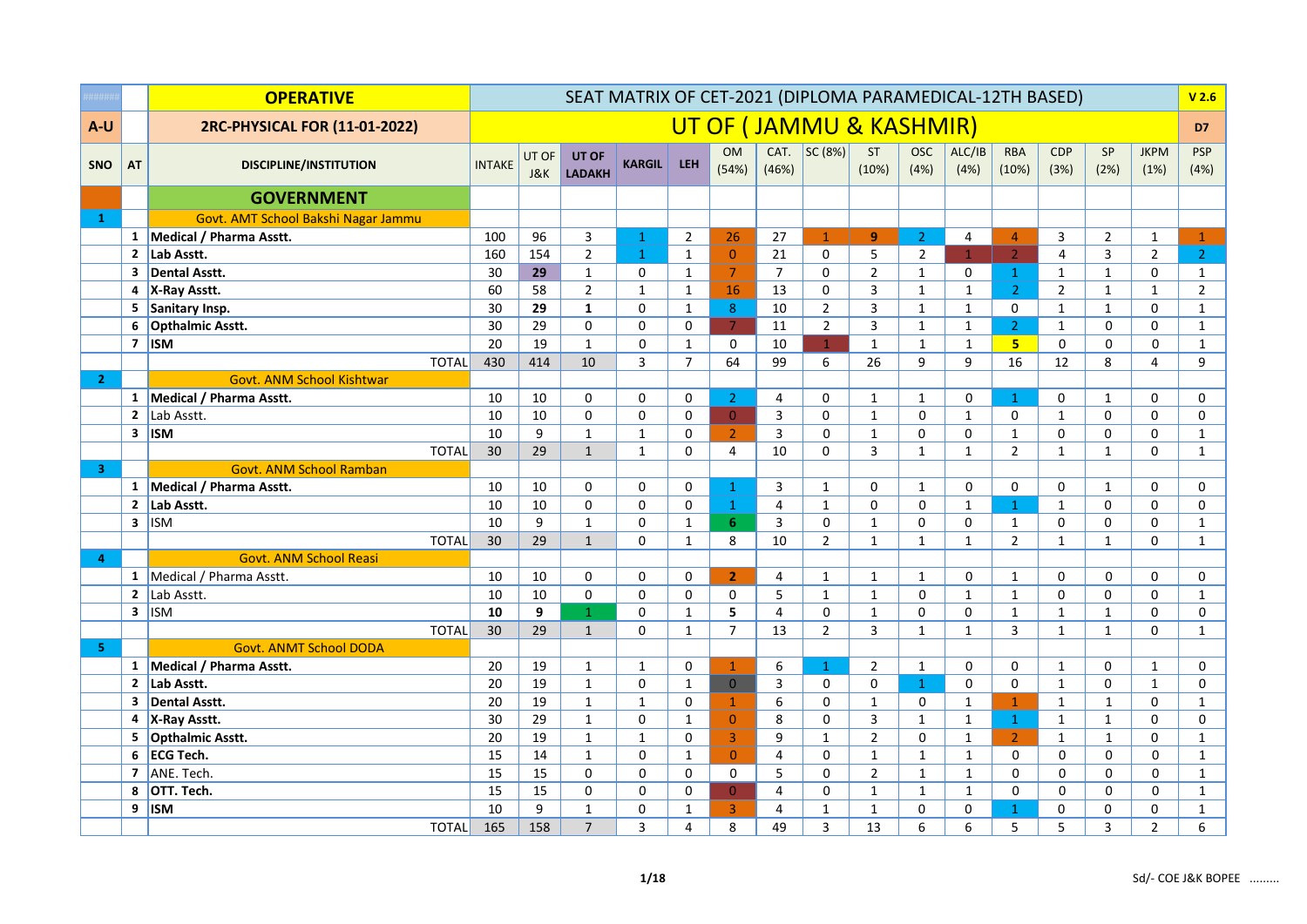|                         |              | <b>OPERATIVE</b>                    |               |              | SEAT MATRIX OF CET-2021 (DIPLOMA PARAMEDICAL-12TH BASED) |               |                |                    |                |                         |                |                     |                     |                     |                    |                |                     | V <sub>2.6</sub>   |
|-------------------------|--------------|-------------------------------------|---------------|--------------|----------------------------------------------------------|---------------|----------------|--------------------|----------------|-------------------------|----------------|---------------------|---------------------|---------------------|--------------------|----------------|---------------------|--------------------|
| A-U                     |              | 2RC-PHYSICAL FOR (11-01-2022)       |               |              |                                                          |               |                |                    |                | UT OF (JAMMU & KASHMIR) |                |                     |                     |                     |                    |                |                     | D7                 |
| <b>SNO</b>              | <b>AT</b>    | <b>DISCIPLINE/INSTITUTION</b>       | <b>INTAKE</b> | UT OF<br>J&K | UT OF<br><b>LADAKH</b>                                   | <b>KARGIL</b> | <b>LEH</b>     | <b>OM</b><br>(54%) | CAT.<br>(46%)  | SC (8%)                 | ST<br>(10%)    | <b>OSC</b><br>(4%)  | ALC/IB<br>(4%)      | <b>RBA</b><br>(10%) | <b>CDP</b><br>(3%) | SP<br>(2%)     | <b>JKPM</b><br>(1%) | <b>PSP</b><br>(4%) |
|                         |              | <b>GOVERNMENT</b>                   |               |              |                                                          |               |                |                    |                |                         |                |                     |                     |                     |                    |                |                     |                    |
| $\mathbf{1}$            |              | Govt. AMT School Bakshi Nagar Jammu |               |              |                                                          |               |                |                    |                |                         |                |                     |                     |                     |                    |                |                     |                    |
|                         | $\mathbf{1}$ | Medical / Pharma Asstt.             | 100           | 96           | 3                                                        | $\mathbf{1}$  | $\overline{2}$ | 26                 | 27             | $\mathbf{1}$            | $\overline{9}$ | $\overline{2}$      | 4                   | $\overline{4}$      | 3                  | $\overline{2}$ | $\mathbf{1}$        | $\mathbf{1}$       |
|                         | $\mathbf{2}$ | Lab Asstt.                          | 160           | 154          | $\overline{2}$                                           | $\mathbf{1}$  | $\mathbf{1}$   | $\mathbf{0}$       | 21             | $\mathbf 0$             | 5              | $\overline{2}$      | $\mathbf{1}$        | $\overline{2}$      | $\overline{4}$     | 3              | $\overline{2}$      | 2 <sup>7</sup>     |
|                         | 3            | <b>Dental Asstt.</b>                | 30            | 29           | $\mathbf{1}$                                             | $\pmb{0}$     | $\mathbf{1}$   | $\overline{7}$     | $\overline{7}$ | $\mathbf 0$             | $\overline{2}$ | $\mathbf{1}$        | $\mathsf{O}\xspace$ | $\mathbf{1}$        | $\mathbf{1}$       | $\mathbf 1$    | $\pmb{0}$           | $\mathbf{1}$       |
|                         |              | 4 X-Ray Asstt.                      | 60            | 58           | $\overline{2}$                                           | $\mathbf 1$   | $\mathbf{1}$   | 16                 | 13             | 0                       | 3              | $\mathbf{1}$        | $\mathbf{1}$        | $\overline{2}$      | $\overline{2}$     | $\mathbf{1}$   | $\mathbf{1}$        | $\overline{2}$     |
|                         | 5            | Sanitary Insp.                      | 30            | 29           | $\mathbf{1}$                                             | 0             | $\mathbf{1}$   | 8                  | 10             | $\overline{2}$          | 3              | $\mathbf{1}$        | $\mathbf{1}$        | $\Omega$            | $\mathbf{1}$       | $\mathbf{1}$   | $\mathbf 0$         | $\mathbf{1}$       |
|                         | 6            | <b>Opthalmic Asstt.</b>             | 30            | 29           | $\mathbf 0$                                              | $\pmb{0}$     | $\pmb{0}$      | $\overline{7}$     | 11             | $\overline{2}$          | 3              | $\mathbf{1}$        | $\mathbf{1}$        | 2 <sup>1</sup>      | $\mathbf{1}$       | $\mathbf 0$    | $\mathbf 0$         | $\mathbf{1}$       |
|                         |              | $7$ ISM                             | 20            | 19           | $\mathbf{1}$                                             | $\mathbf 0$   | $\mathbf{1}$   | 0                  | 10             | $\mathbf{1}$            | $\mathbf{1}$   | $\mathbf{1}$        | $\mathbf{1}$        | 5 <sub>1</sub>      | 0                  | $\Omega$       | 0                   | $\mathbf{1}$       |
|                         |              | <b>TOTAL</b>                        | 430           | 414          | 10                                                       | 3             | $\overline{7}$ | 64                 | 99             | 6                       | 26             | 9                   | 9                   | 16                  | 12                 | 8              | $\overline{4}$      | 9                  |
| $\overline{2}$          |              | <b>Govt. ANM School Kishtwar</b>    |               |              |                                                          |               |                |                    |                |                         |                |                     |                     |                     |                    |                |                     |                    |
|                         | $\mathbf{1}$ | Medical / Pharma Asstt.             | 10            | 10           | 0                                                        | 0             | $\mathbf 0$    | $\overline{2}$     | 4              | $\mathbf 0$             | $\mathbf{1}$   | $\mathbf{1}$        | 0                   | $\mathbf{1}$        | 0                  | $\mathbf{1}$   | 0                   | 0                  |
|                         | $\mathbf{2}$ | Lab Asstt.                          | 10            | 10           | $\mathbf 0$                                              | $\mathbf 0$   | $\mathbf 0$    | $\overline{0}$     | 3              | $\mathbf 0$             | $\mathbf{1}$   | 0                   | $\mathbf{1}$        | 0                   | $\mathbf{1}$       | $\Omega$       | $\mathbf 0$         | $\mathbf 0$        |
|                         |              | $3$   ISM                           | 10            | 9            | $\mathbf{1}$                                             | $\mathbf{1}$  | $\mathbf 0$    | $\overline{2}$     | 3              | $\mathsf 0$             | $\mathbf{1}$   | 0                   | 0                   | $\mathbf{1}$        | 0                  | 0              | $\pmb{0}$           | $\mathbf{1}$       |
|                         |              | <b>TOTAL</b>                        | 30            | 29           | $\mathbf{1}$                                             | $\mathbf{1}$  | 0              | 4                  | 10             | $\mathbf 0$             | 3              | $\mathbf{1}$        | $\mathbf{1}$        | $\overline{2}$      | $\mathbf{1}$       | $\mathbf{1}$   | $\mathbf 0$         | $\mathbf{1}$       |
| $\overline{\mathbf{3}}$ |              | <b>Govt. ANM School Ramban</b>      |               |              |                                                          |               |                |                    |                |                         |                |                     |                     |                     |                    |                |                     |                    |
|                         |              | 1 Medical / Pharma Asstt.           | 10            | 10           | 0                                                        | 0             | 0              | $\mathbf{1}$       | 3              | $\mathbf{1}$            | 0              | $\mathbf{1}$        | 0                   | $\mathbf 0$         | 0                  | $\mathbf{1}$   | 0                   | 0                  |
|                         | $\mathbf{2}$ | Lab Asstt.                          | 10            | 10           | $\pmb{0}$                                                | $\pmb{0}$     | $\mathbf 0$    | $\mathbf 1$        | $\overline{4}$ | $\mathbf{1}$            | $\Omega$       | 0                   | $\mathbf{1}$        | $\mathbf{1}$        | $\mathbf{1}$       | 0              | $\pmb{0}$           | $\mathbf 0$        |
|                         |              | $3$ ISM                             | 10            | 9            | $\mathbf{1}$                                             | 0             | $\mathbf{1}$   | 6                  | 3              | $\mathbf 0$             | $\mathbf{1}$   | $\Omega$            | 0                   | $\mathbf{1}$        | 0                  | 0              | $\mathbf 0$         | $\mathbf{1}$       |
|                         |              | <b>TOTAL</b>                        | 30            | 29           | $\mathbf{1}$                                             | $\mathbf 0$   | $\mathbf{1}$   | 8                  | 10             | $\overline{2}$          | $\mathbf 1$    | $\mathbf{1}$        | $\mathbf{1}$        | $\overline{2}$      | $\mathbf{1}$       | $\mathbf{1}$   | 0                   | $\mathbf{1}$       |
| $\overline{4}$          |              | <b>Govt. ANM School Reasi</b>       |               |              |                                                          |               |                |                    |                |                         |                |                     |                     |                     |                    |                |                     |                    |
|                         |              | 1 Medical / Pharma Asstt.           | 10            | 10           | 0                                                        | 0             | $\mathbf 0$    | $\overline{2}$     | 4              | $\mathbf{1}$            | $\mathbf{1}$   | $\mathbf{1}$        | 0                   | $\mathbf{1}$        | 0                  | $\mathbf 0$    | $\mathbf 0$         | $\mathbf 0$        |
|                         |              | 2 $\vert$ Lab Asstt.                | 10            | 10           | 0                                                        | $\pmb{0}$     | $\pmb{0}$      | 0                  | 5              | $\mathbf 1$             | $\mathbf 1$    | $\mathsf{O}\xspace$ | $\mathbf{1}$        | $\mathbf{1}$        | 0                  | $\Omega$       | 0                   | $\mathbf 1$        |
|                         |              | $3$   ISM                           | 10            | 9            | $\blacklozenge$                                          | $\pmb{0}$     | $\mathbf 1$    | 5                  | $\overline{4}$ | $\mathsf 0$             | $\mathbf 1$    | $\mathbf 0$         | 0                   | $\mathbf{1}$        | $\mathbf 1$        | $\mathbf{1}$   | $\pmb{0}$           | $\mathsf 0$        |
|                         |              | <b>TOTAL</b>                        | 30            | 29           | $\mathbf{1}$                                             | $\mathbf 0$   | $\mathbf{1}$   | $\overline{7}$     | 13             | $\overline{2}$          | 3              | $\mathbf{1}$        | $\mathbf{1}$        | 3                   | $\mathbf{1}$       | $\mathbf{1}$   | $\mathbf 0$         | $\mathbf{1}$       |
| 5.                      |              | <b>Govt. ANMT School DODA</b>       |               |              |                                                          |               |                |                    |                |                         |                |                     |                     |                     |                    |                |                     |                    |
|                         |              | 1 Medical / Pharma Asstt.           | 20            | 19           | $\mathbf{1}$                                             | $\mathbf{1}$  | $\mathbf 0$    | $\mathbf{1}$       | 6              | $\mathbf{1}$            | $\overline{2}$ | $\mathbf{1}$        | 0                   | $\mathbf 0$         | $\mathbf{1}$       | 0              | $\mathbf{1}$        | 0                  |
|                         | $\mathbf{2}$ | Lab Asstt.                          | 20            | 19           | $\mathbf{1}$                                             | 0             | $\mathbf{1}$   | $\overline{0}$     | 3              | $\mathbf 0$             | 0              | $\mathbf{1}$        | $\mathbf 0$         | 0                   | $\mathbf{1}$       | $\Omega$       | $\mathbf{1}$        | 0                  |
|                         | 3            | <b>Dental Asstt.</b>                | 20            | 19           | $\mathbf{1}$                                             | $\mathbf 1$   | $\Omega$       | $\mathbf{1}$       | 6              | $\mathsf 0$             | $\mathbf 1$    | 0                   | $\mathbf{1}$        | $\mathbf{1}$        | $\mathbf 1$        | $\mathbf{1}$   | 0                   | $\mathbf{1}$       |
|                         | 4            | X-Ray Asstt.                        | 30            | 29           | $\mathbf{1}$                                             | $\pmb{0}$     | $\mathbf{1}$   | $\overline{0}$     | 8              | $\mathsf 0$             | 3              | $\mathbf{1}$        | $\mathbf{1}$        | $\mathbf{1}$        | $\mathbf{1}$       | $\mathbf 1$    | 0                   | 0                  |
|                         | 5            | <b>Opthalmic Asstt.</b>             | 20            | 19           | $\mathbf{1}$                                             | $\mathbf{1}$  | $\mathbf 0$    | 3                  | 9              | $\mathbf{1}$            | $\overline{2}$ | 0                   | $\mathbf{1}$        | $\overline{2}$      | $\mathbf{1}$       | $\mathbf{1}$   | $\mathbf 0$         | $\mathbf{1}$       |
|                         | 6            | <b>ECG Tech.</b>                    | 15            | 14           | $\mathbf{1}$                                             | $\mathbf 0$   | $\mathbf{1}$   | $\overline{0}$     | $\overline{4}$ | $\mathbf 0$             | $\mathbf{1}$   | $\mathbf{1}$        | $\mathbf{1}$        | 0                   | 0                  | $\Omega$       | 0                   | $\mathbf{1}$       |
|                         |              | 7 ANE. Tech.                        | 15            | 15           | $\mathbf 0$                                              | $\pmb{0}$     | $\mathbf 0$    | 0                  | 5              | $\mathsf 0$             | $\overline{2}$ | $\mathbf{1}$        | $\mathbf{1}$        | 0                   | 0                  | $\mathbf 0$    | 0                   | $\mathbf{1}$       |
|                         | 8            | OTT. Tech.                          | 15            | 15           | 0                                                        | 0             | 0              | $\overline{0}$     | 4              | 0                       | $\mathbf{1}$   | $\mathbf{1}$        | $\mathbf{1}$        | 0                   | 0                  | $\mathbf 0$    | 0                   | $\mathbf{1}$       |
|                         | 9            | <b>ISM</b>                          | 10            | 9            | $\mathbf{1}$                                             | 0             | $\mathbf{1}$   | $\overline{3}$     | 4              | $\mathbf{1}$            | $\mathbf{1}$   | $\Omega$            | $\mathbf 0$         | $\mathbf{1}$        | 0                  | 0              | $\mathbf 0$         | $\mathbf{1}$       |
|                         |              | <b>TOTAL</b>                        | 165           | 158          | $\overline{7}$                                           | 3             | $\overline{4}$ | 8                  | 49             | $\overline{3}$          | 13             | 6                   | 6                   | 5                   | 5                  | 3              | $\overline{2}$      | 6                  |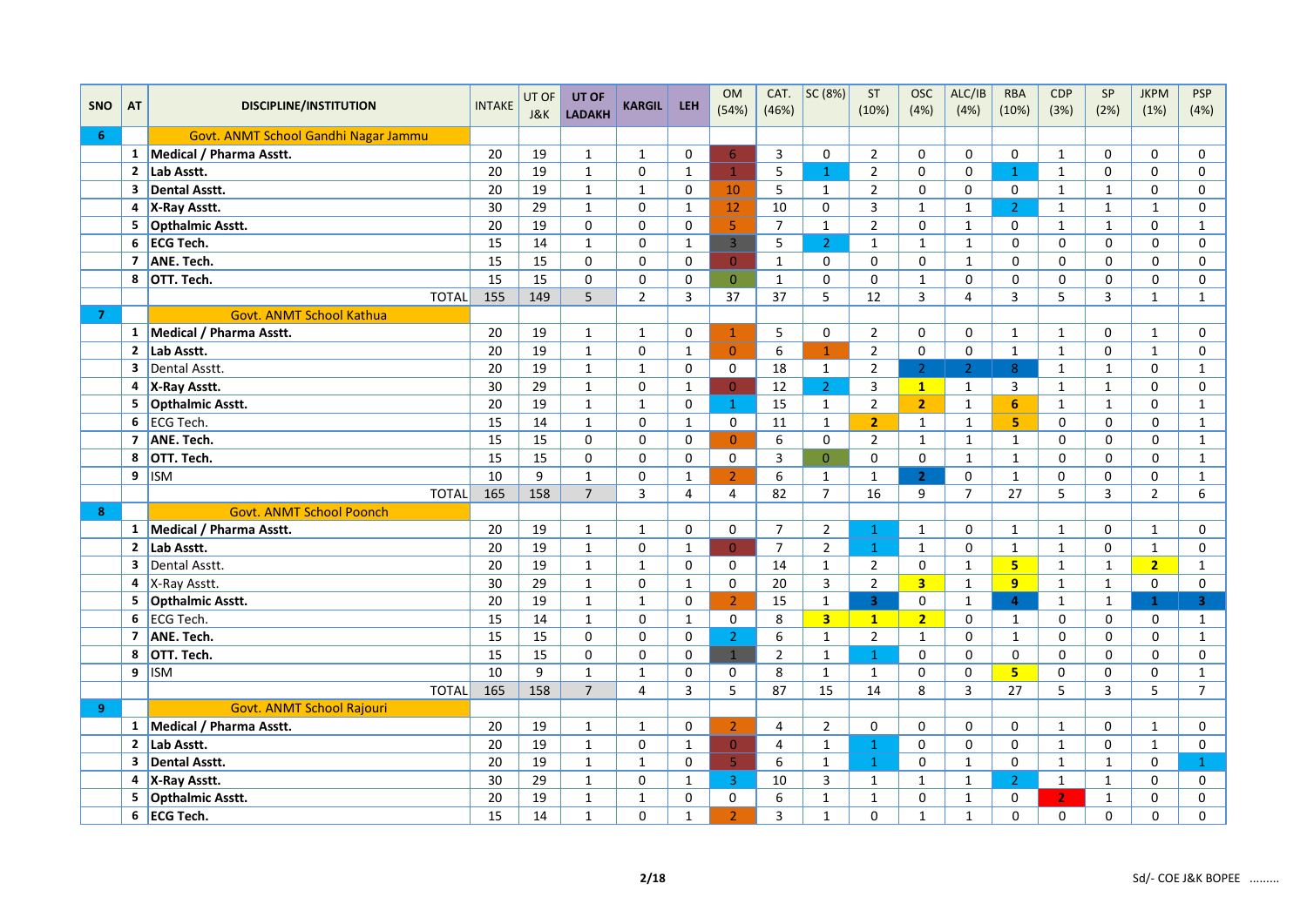|                |                         |                                      |                 | UT OF | UT OF          |                |                | <b>OM</b>      | CAT.           | SC(8%)                  | ST             | <b>OSC</b>     | ALC/IB         | <b>RBA</b>     | CDP            | SP           | <b>JKPM</b>    | <b>PSP</b>     |
|----------------|-------------------------|--------------------------------------|-----------------|-------|----------------|----------------|----------------|----------------|----------------|-------------------------|----------------|----------------|----------------|----------------|----------------|--------------|----------------|----------------|
| <b>SNO</b>     | AT                      | <b>DISCIPLINE/INSTITUTION</b>        | <b>INTAKE</b>   | J&K   | <b>LADAKH</b>  | <b>KARGIL</b>  | <b>LEH</b>     | (54%)          | (46%)          |                         | (10%)          | (4%)           | (4%)           | (10%)          | (3%)           | (2%)         | (1%)           | (4%)           |
| 6              |                         | Govt. ANMT School Gandhi Nagar Jammu |                 |       |                |                |                |                |                |                         |                |                |                |                |                |              |                |                |
|                |                         | 1 Medical / Pharma Asstt.            | 20              | 19    | $\mathbf{1}$   | $\mathbf{1}$   | 0              | $6\,$          | 3              | 0                       | $\overline{2}$ | $\Omega$       | 0              | $\Omega$       | $\mathbf{1}$   | $\Omega$     | 0              | 0              |
|                |                         | 2 Lab Asstt.                         | 20              | 19    | $\mathbf{1}$   | $\pmb{0}$      | $\mathbf{1}$   | $\mathbf{1}$   | 5              | $\mathbf{1}$            | $\overline{2}$ | $\Omega$       | $\mathbf 0$    | $\mathbf{1}$   | $\mathbf{1}$   | $\mathbf 0$  | 0              | $\Omega$       |
|                | $\mathbf{3}$            | <b>Dental Asstt.</b>                 | 20              | 19    | $\mathbf{1}$   | $\mathbf{1}$   | 0              | 10             | 5              | $\mathbf{1}$            | $\overline{2}$ | $\Omega$       | $\mathbf 0$    | $\mathbf 0$    | $\mathbf{1}$   | $\mathbf{1}$ | 0              | $\mathbf 0$    |
|                |                         | 4 X-Ray Asstt.                       | 30              | 29    | $\mathbf{1}$   | $\mathbf 0$    | $\mathbf{1}$   | 12             | 10             | $\mathbf 0$             | $\overline{3}$ | $\mathbf{1}$   | $\mathbf{1}$   | $\overline{2}$ | $\mathbf{1}$   | $\mathbf{1}$ | $\mathbf 1$    | $\mathbf 0$    |
|                | 5                       | <b>Opthalmic Asstt.</b>              | 20              | 19    | 0              | $\mathbf 0$    | 0              | 5              | $\overline{7}$ | $\mathbf 1$             | $\overline{2}$ | $\Omega$       | $\mathbf{1}$   | $\Omega$       | $\mathbf{1}$   | $\mathbf{1}$ | 0              | $\mathbf{1}$   |
|                | 6                       | <b>ECG Tech.</b>                     | 15              | 14    | $\mathbf{1}$   | 0              | $\mathbf{1}$   | $\overline{3}$ | 5              | $\overline{2}$          | $\mathbf{1}$   | $\mathbf{1}$   | $\mathbf{1}$   | $\Omega$       | 0              | 0            | 0              | $\mathbf 0$    |
|                | 7                       | ANE. Tech.                           | 15              | 15    | 0              | $\mathbf 0$    | 0              | $\overline{0}$ | $\mathbf{1}$   | $\mathbf 0$             | $\mathbf 0$    | 0              | $\mathbf{1}$   | $\mathbf 0$    | 0              | 0            | 0              | 0              |
|                | 8                       | OTT. Tech.                           | 15              | 15    | 0              | $\mathbf 0$    | 0              | $\mathbf{0}$   | $\mathbf{1}$   | 0                       | $\mathbf 0$    | $\mathbf{1}$   | $\mathbf 0$    | $\mathbf 0$    | 0              | 0            | 0              | 0              |
|                |                         | <b>TOTAL</b>                         | 155             | 149   | 5              | $\overline{2}$ | $\overline{3}$ | 37             | 37             | 5                       | 12             | 3              | $\overline{4}$ | 3              | 5              | 3            | $\mathbf 1$    | $\mathbf{1}$   |
| $\overline{7}$ |                         | Govt. ANMT School Kathua             |                 |       |                |                |                |                |                |                         |                |                |                |                |                |              |                |                |
|                |                         | 1 Medical / Pharma Asstt.            | 20              | 19    | $\mathbf{1}$   | $\mathbf{1}$   | 0              | $\mathbf{1}$   | 5              | $\mathbf 0$             | $\overline{2}$ | $\Omega$       | $\mathbf 0$    | $\mathbf{1}$   | $\mathbf{1}$   | $\Omega$     | $\mathbf{1}$   | $\mathbf 0$    |
|                | $\mathbf{2}$            | Lab Asstt.                           | 20              | 19    | $\mathbf{1}$   | $\mathbf 0$    | $\mathbf{1}$   | $\mathbf{0}$   | 6              | $\mathbf{1}$            | $\overline{2}$ | $\mathbf 0$    | $\mathbf 0$    | $\mathbf{1}$   | $\mathbf{1}$   | $\mathbf 0$  | $\mathbf{1}$   | $\pmb{0}$      |
|                | 3                       | Dental Asstt.                        | 20              | 19    | $\mathbf{1}$   | $\mathbf{1}$   | $\mathbf 0$    | $\mathbf 0$    | 18             | $\mathbf{1}$            | $\overline{2}$ | $\overline{2}$ | 2 <sup>1</sup> | 8              | $\mathbf{1}$   | $\mathbf{1}$ | 0              | $\mathbf 1$    |
|                | 4                       | X-Ray Asstt.                         | 30              | 29    | $\mathbf{1}$   | $\pmb{0}$      | $\mathbf{1}$   | $\overline{0}$ | 12             | $\overline{2}$          | 3              | 1              | $\mathbf{1}$   | 3              | $\mathbf{1}$   | $\mathbf{1}$ | 0              | $\mathsf 0$    |
|                | 5                       | Opthalmic Asstt.                     | 20              | 19    | $\mathbf{1}$   | $\mathbf{1}$   | 0              | $\mathbf{1}$   | 15             | $\mathbf{1}$            | $\overline{2}$ | $\overline{2}$ | $\mathbf{1}$   | 6              | $\mathbf{1}$   | $\mathbf{1}$ | 0              | $\mathbf{1}$   |
|                | 6                       | ECG Tech.                            | 15              | 14    | $\mathbf{1}$   | 0              | $\mathbf{1}$   | 0              | 11             | $\mathbf 1$             | $\overline{2}$ | $\mathbf{1}$   | $\mathbf{1}$   | 5 <sub>1</sub> | 0              | 0            | 0              | $\mathbf{1}$   |
|                | 7                       | ANE. Tech.                           | 15              | 15    | 0              | $\pmb{0}$      | $\mathbf 0$    | $\overline{0}$ | 6              | $\mathbf 0$             | $\overline{2}$ | $\mathbf{1}$   | $\mathbf{1}$   | $\mathbf{1}$   | 0              | 0            | 0              | $\mathbf{1}$   |
|                | 8                       | OTT. Tech.                           | 15              | 15    | $\Omega$       | $\Omega$       | $\Omega$       | $\mathbf 0$    | 3              | $\overline{0}$          | $\Omega$       | $\Omega$       | $\mathbf{1}$   | $\mathbf{1}$   | 0              | $\Omega$     | 0              | $\mathbf 1$    |
|                | 9                       | <b>ISM</b>                           | 10              | 9     | $\mathbf{1}$   | 0              | $\mathbf{1}$   | $\overline{2}$ | 6              | $\mathbf{1}$            | $\mathbf{1}$   | 2 <sup>1</sup> | 0              | $\mathbf{1}$   | 0              | 0            | 0              | $\mathbf{1}$   |
|                |                         | <b>TOTAL</b>                         | 165             | 158   | $\overline{7}$ | 3              | $\overline{4}$ | 4              | 82             | $\overline{7}$          | 16             | 9              | $\overline{7}$ | 27             | 5              | 3            | $\overline{2}$ | 6              |
| $\mathbf{8}$   |                         | <b>Govt. ANMT School Poonch</b>      |                 |       |                |                |                |                |                |                         |                |                |                |                |                |              |                |                |
|                |                         | 1 Medical / Pharma Asstt.            | 20              | 19    | $\mathbf{1}$   | $\mathbf 1$    | $\mathbf 0$    | 0              | $\overline{7}$ | $\overline{2}$          | $\mathbf{1}$   | $\mathbf{1}$   | $\mathbf 0$    | $\mathbf{1}$   | $\mathbf{1}$   | $\mathbf 0$  | $\mathbf{1}$   | $\mathsf 0$    |
|                | $\mathbf{2}$            | Lab Asstt.                           | 20              | 19    | $\mathbf{1}$   | $\mathbf 0$    | $\mathbf{1}$   | $\overline{0}$ | $\overline{7}$ | $\overline{2}$          | $\mathbf{1}$   | $\mathbf{1}$   | $\mathbf 0$    | $\mathbf{1}$   | $\mathbf{1}$   | $\mathbf 0$  | $\mathbf 1$    | 0              |
|                | 3                       | Dental Asstt.                        | 20              | 19    | $\mathbf{1}$   | $\mathbf{1}$   | 0              | 0              | 14             | $\mathbf{1}$            | $\overline{2}$ | 0              | $\mathbf{1}$   | 5 <sup>1</sup> | $\mathbf{1}$   | $\mathbf{1}$ | 2 <sub>2</sub> | $\mathbf{1}$   |
|                | 4                       | X-Ray Asstt.                         | $\overline{30}$ | 29    | $\mathbf 1$    | $\mathbf 0$    | $\mathbf{1}$   | $\mathbf 0$    | 20             | $\overline{\mathbf{3}}$ | $\overline{2}$ | 3 <sup>1</sup> | $\mathbf{1}$   | 9 <sup>°</sup> | $\mathbf{1}$   | $\mathbf{1}$ | 0              | $\pmb{0}$      |
|                | 5                       | <b>Opthalmic Asstt.</b>              | 20              | 19    | $\mathbf{1}$   | $\mathbf{1}$   | $\Omega$       | $\overline{2}$ | 15             | $\mathbf 1$             | $\overline{3}$ | $\Omega$       | $\mathbf{1}$   | $\Delta$       | $\mathbf{1}$   | $\mathbf{1}$ | $\mathbf{1}$   | 3 <sup>1</sup> |
|                | 6                       | ECG Tech.                            | 15              | 14    | $\mathbf{1}$   | $\mathsf 0$    | $\mathbf{1}$   | $\Omega$       | 8              | $\overline{\mathbf{3}}$ | 1              | 2 <sup>1</sup> | $\mathsf{o}$   | $\mathbf{1}$   | 0              | $\Omega$     | 0              | $\mathbf{1}$   |
|                | $\overline{7}$          | ANE. Tech.                           | 15              | 15    | $\Omega$       | $\Omega$       | $\Omega$       | $\overline{2}$ | 6              | $\mathbf{1}$            | $\overline{2}$ | $\mathbf{1}$   | $\Omega$       | $\mathbf{1}$   | $\Omega$       | $\mathbf 0$  | 0              | $\mathbf{1}$   |
|                | 8                       | OTT. Tech.                           | 15              | 15    | 0              | $\mathbf 0$    | 0              | $\mathbf{1}$   | $\overline{2}$ | $\mathbf{1}$            | $\mathbf{1}$   | 0              | $\mathbf 0$    | $\Omega$       | 0              | $\mathbf 0$  | 0              | $\mathbf 0$    |
|                |                         | $9$   ISM                            | 10              | 9     | $\mathbf{1}$   | $\mathbf{1}$   | 0              | 0              | 8              | $\mathbf{1}$            | $\mathbf{1}$   | $\Omega$       | 0              | 5 <sup>1</sup> | 0              | 0            | 0              | $\mathbf{1}$   |
|                |                         | <b>TOTAL</b>                         | 165             | 158   | $\overline{7}$ | $\overline{4}$ | 3              | 5              | 87             | 15                      | 14             | 8              | 3              | 27             | 5              | 3            | 5              | $\overline{7}$ |
| 9              |                         | <b>Govt. ANMT School Rajouri</b>     |                 |       |                |                |                |                |                |                         |                |                |                |                |                |              |                |                |
|                |                         | 1 Medical / Pharma Asstt.            | 20              | 19    | $\mathbf{1}$   | $\mathbf{1}$   | 0              | $\overline{2}$ | 4              | $\overline{2}$          | 0              | $\mathbf 0$    | 0              | 0              | $\mathbf{1}$   | 0            | $\mathbf 1$    | $\mathsf 0$    |
|                | $\mathbf{2}$            | Lab Asstt.                           | 20              | 19    | $1\,$          | $\pmb{0}$      | $\mathbf 1$    | $\overline{0}$ | $\overline{4}$ | $\mathbf{1}$            | $\mathbf{1}$   | $\Omega$       | $\Omega$       | $\Omega$       | $\mathbf{1}$   | 0            | $\mathbf 1$    | $\pmb{0}$      |
|                | $\overline{\mathbf{3}}$ | <b>Dental Asstt.</b>                 | 20              | 19    | $\mathbf{1}$   | $\mathbf 1$    | $\mathbf 0$    | 5 <sup>1</sup> | 6              | $\mathbf 1$             | $\mathbf{1}$   | 0              | $\mathbf{1}$   | $\Omega$       | $\mathbf{1}$   | $\mathbf{1}$ | 0              | $\mathbf{1}$   |
|                |                         | 4 X-Ray Asstt.                       | 30              | 29    | $\mathbf{1}$   | $\mathbf 0$    | $\mathbf{1}$   | $\overline{3}$ | 10             | 3                       | $\mathbf{1}$   | $\mathbf{1}$   | $\mathbf{1}$   | $\overline{2}$ | $\mathbf{1}$   | $\mathbf{1}$ | 0              | $\mathbf 0$    |
|                | 5                       | <b>Opthalmic Asstt.</b>              | 20              | 19    | $\mathbf{1}$   | $\mathbf{1}$   | 0              | 0              | 6              | $\mathbf{1}$            | $\mathbf{1}$   | $\Omega$       | $\mathbf{1}$   | $\Omega$       | 2 <sup>1</sup> | $\mathbf{1}$ | 0              | 0              |
|                | 6                       | <b>ECG Tech.</b>                     | 15              | 14    | $\mathbf 1$    | $\Omega$       | $\mathbf{1}$   | $\overline{2}$ | 3              | $\mathbf{1}$            | $\Omega$       | $\mathbf{1}$   | $\mathbf{1}$   | $\mathbf 0$    | 0              | 0            | 0              | 0              |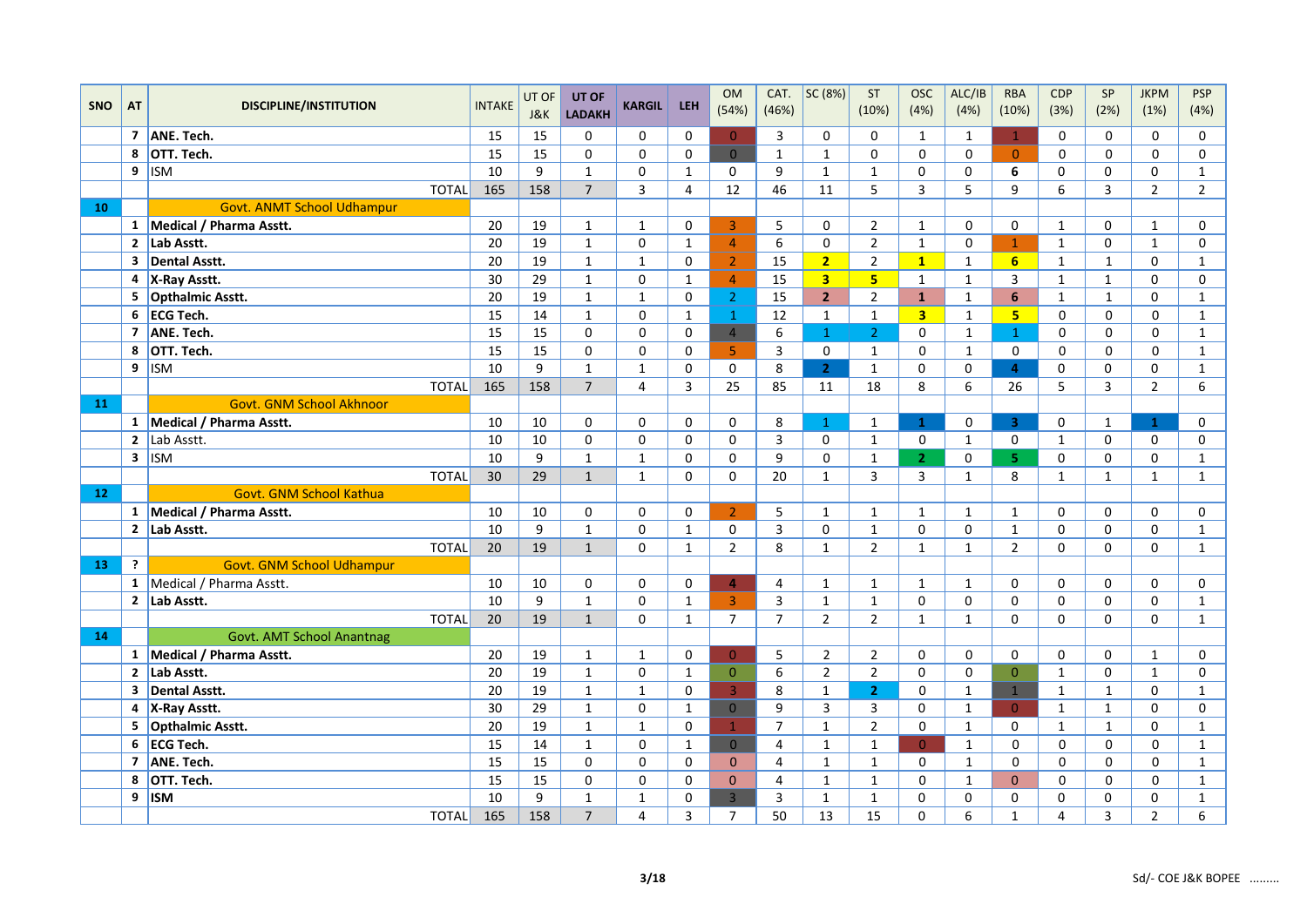|            |                |                               |                 | UT OF | UT OF          |                |                | <b>OM</b>      | CAT.           | SC (8%)                 | ST             | <b>OSC</b>     | ALC/IB       | <b>RBA</b>     | <b>CDP</b>   | SP             | <b>JKPM</b>    | <b>PSP</b>     |
|------------|----------------|-------------------------------|-----------------|-------|----------------|----------------|----------------|----------------|----------------|-------------------------|----------------|----------------|--------------|----------------|--------------|----------------|----------------|----------------|
| <b>SNO</b> | <b>AT</b>      | <b>DISCIPLINE/INSTITUTION</b> | <b>INTAKE</b>   | J&K   | <b>LADAKH</b>  | <b>KARGIL</b>  | <b>LEH</b>     | (54%)          | (46%)          |                         | (10%)          | (4%)           | (4%)         | (10%)          | (3%)         | (2%)           | (1%)           | (4%)           |
|            |                | 7 ANE. Tech.                  | 15              | 15    | 0              | $\Omega$       | $\Omega$       | $\mathbf{0}$   | 3              | $\Omega$                | $\Omega$       | $\mathbf{1}$   | $\mathbf{1}$ | $\mathbf{1}$   | 0            | $\Omega$       | $\Omega$       | 0              |
|            | 8              | OTT. Tech.                    | 15              | 15    | $\mathbf{0}$   | $\mathbf{0}$   | $\mathbf 0$    | $\overline{0}$ | $\mathbf{1}$   | $\mathbf{1}$            | $\Omega$       | $\Omega$       | $\Omega$     | $\Omega$       | 0            | $\Omega$       | $\Omega$       | $\mathbf 0$    |
|            | 9              | $\sqrt{ISM}$                  | 10              | 9     | $\mathbf{1}$   | $\mathbf 0$    | $\mathbf{1}$   | $\mathbf 0$    | 9              | $\mathbf{1}$            | $\mathbf 1$    | $\Omega$       | $\mathbf 0$  | 6              | 0            | 0              | 0              | $\mathbf 1$    |
|            |                | <b>TOTAL</b>                  | 165             | 158   | $\overline{7}$ | 3              | 4              | 12             | 46             | 11                      | 5              | 3              | 5            | 9              | 6            | 3              | $\overline{2}$ | $\overline{2}$ |
| 10         |                | Govt. ANMT School Udhampur    |                 |       |                |                |                |                |                |                         |                |                |              |                |              |                |                |                |
|            |                | 1 Medical / Pharma Asstt.     | 20              | 19    | $\mathbf{1}$   | $\mathbf{1}$   | $\mathbf 0$    | 3              | 5              | $\mathbf 0$             | $\overline{2}$ | $\mathbf{1}$   | 0            | 0              | $\mathbf{1}$ | $\Omega$       | $\mathbf{1}$   | $\mathbf 0$    |
|            |                | 2 Lab Asstt.                  | 20              | 19    | $\mathbf{1}$   | $\mathsf 0$    | $\mathbf{1}$   | $\overline{4}$ | 6              | $\mathbf 0$             | $\overline{2}$ | $\mathbf{1}$   | $\mathsf{o}$ | $\mathbf{1}$   | $\mathbf{1}$ | $\Omega$       | $\mathbf{1}$   | $\mathbf 0$    |
|            |                | 3 Dental Asstt.               | 20              | 19    | $\mathbf{1}$   | $\mathbf 1$    | $\Omega$       | $\overline{2}$ | 15             | 2                       | $\overline{2}$ | $\mathbf{1}$   | $\mathbf{1}$ | 6 <sup>1</sup> | $\mathbf{1}$ | $\mathbf{1}$   | 0              | $\mathbf{1}$   |
|            | 4              | X-Ray Asstt.                  | 30              | 29    | $\mathbf{1}$   | $\mathbf 0$    | $\mathbf{1}$   | $\overline{4}$ | 15             | $\overline{\mathbf{3}}$ | 5 <sup>5</sup> | $\mathbf{1}$   | $\mathbf{1}$ | 3              | $\mathbf{1}$ | $\mathbf{1}$   | 0              | $\mathbf 0$    |
|            | 5              | Opthalmic Asstt.              | 20              | 19    | $\mathbf{1}$   | $\mathbf{1}$   | $\Omega$       | $\overline{2}$ | 15             | 2 <sup>1</sup>          | $\overline{2}$ | $\mathbf{1}$   | $\mathbf{1}$ | 6              | $\mathbf{1}$ | $\mathbf{1}$   | 0              | $\mathbf{1}$   |
|            |                | 6 ECG Tech.                   | 15              | 14    | $\mathbf{1}$   | 0              | $\mathbf{1}$   | $\mathbf{1}$   | 12             | $\mathbf{1}$            | $\mathbf{1}$   | 3 <sup>1</sup> | $\mathbf{1}$ | 5 <sub>1</sub> | 0            | 0              | $\mathbf 0$    | $\mathbf{1}$   |
|            | $\overline{7}$ | ANE. Tech.                    | 15              | 15    | $\mathbf 0$    | $\mathbf 0$    | $\pmb{0}$      | $\overline{4}$ | 6              | $\mathbf{1}$            | 2 <sup>1</sup> | $\mathbf 0$    | $\mathbf{1}$ | $\mathbf{1}$   | 0            | 0              | $\mathbf 0$    | $\mathbf{1}$   |
|            | 8              | OTT. Tech.                    | $\overline{15}$ | 15    | $\Omega$       | $\mathbf 0$    | $\Omega$       | 5 <sup>1</sup> | 3              | $\Omega$                | $\mathbf{1}$   | $\mathbf 0$    | $\mathbf{1}$ | $\mathbf 0$    | 0            | $\Omega$       | $\Omega$       | $\mathbf 1$    |
|            | 9              | <b>ISM</b>                    | 10              | 9     | $\mathbf{1}$   | $\mathbf{1}$   | $\Omega$       | $\mathbf 0$    | 8              | 2 <sup>1</sup>          | $\mathbf{1}$   | $\mathbf 0$    | $\mathbf 0$  | $\overline{4}$ | 0            | $\Omega$       | 0              | $\mathbf{1}$   |
|            |                | <b>TOTAL</b>                  | 165             | 158   | $\overline{7}$ | $\overline{4}$ | $\overline{3}$ | 25             | 85             | 11                      | 18             | 8              | 6            | 26             | 5            | $\overline{3}$ | $\overline{2}$ | 6              |
| 11         |                | Govt. GNM School Akhnoor      |                 |       |                |                |                |                |                |                         |                |                |              |                |              |                |                |                |
|            |                | 1 Medical / Pharma Asstt.     | 10              | 10    | $\mathbf 0$    | $\mathbf 0$    | 0              | $\mathbf 0$    | 8              | $\mathbf{1}$            | $\mathbf{1}$   | $\mathbf{1}$   | 0            | $\overline{3}$ | 0            | $\mathbf{1}$   | $\mathbf{1}$   | 0              |
|            | $\mathbf{2}$   | Lab Asstt.                    | 10              | 10    | $\mathbf 0$    | $\mathsf 0$    | $\mathbf 0$    | $\pmb{0}$      | $\overline{3}$ | $\mathbf 0$             | $\mathbf{1}$   | $\mathsf{O}$   | $\mathbf{1}$ | $\mathbf 0$    | $\mathbf{1}$ | 0              | 0              | $\pmb{0}$      |
|            |                | $3$ ISM                       | 10              | 9     | $\mathbf{1}$   | $\mathbf{1}$   | $\Omega$       | $\Omega$       | 9              | $\Omega$                | $\mathbf{1}$   | 2 <sup>1</sup> | $\mathbf 0$  | 5.             | 0            | $\Omega$       | 0              | $\mathbf{1}$   |
|            |                | <b>TOTAL</b>                  | 30              | 29    | $\mathbf{1}$   | $\mathbf{1}$   | $\Omega$       | $\Omega$       | 20             | $\mathbf{1}$            | 3              | $\overline{3}$ | $\mathbf{1}$ | 8              | $\mathbf{1}$ | $\mathbf{1}$   | $\mathbf{1}$   | $\mathbf{1}$   |
| 12         |                | Govt. GNM School Kathua       |                 |       |                |                |                |                |                |                         |                |                |              |                |              |                |                |                |
|            |                | 1 Medical / Pharma Asstt.     | 10              | 10    | 0              | $\mathbf 0$    | 0              | $\overline{2}$ | 5              | $\mathbf{1}$            | $\mathbf{1}$   | $\mathbf{1}$   | $\mathbf{1}$ | $\mathbf{1}$   | 0            | 0              | 0              | 0              |
|            |                | $\overline{2}$ Lab Asstt.     | 10              | 9     | $\mathbf{1}$   | $\mathbf 0$    | $\mathbf{1}$   | $\mathbf 0$    | $\mathsf{3}$   | $\mathbf 0$             | $\mathbf{1}$   | 0              | $\mathbf 0$  | $\mathbf{1}$   | 0            | 0              | 0              | $\mathbf 1$    |
|            |                | <b>TOTAL</b>                  | 20              | 19    | $\mathbf{1}$   | $\mathbf 0$    | $\mathbf{1}$   | $\overline{2}$ | 8              | $\mathbf{1}$            | $\overline{2}$ | $\mathbf{1}$   | $\mathbf{1}$ | $\overline{2}$ | 0            | 0              | 0              | $\mathbf{1}$   |
| 13         | $\overline{?}$ | Govt. GNM School Udhampur     |                 |       |                |                |                |                |                |                         |                |                |              |                |              |                |                |                |
|            |                | 1 Medical / Pharma Asstt.     | 10              | 10    | $\mathbf 0$    | $\mathbf 0$    | 0              | 4              | 4              | $\mathbf{1}$            | $\mathbf{1}$   | $\mathbf{1}$   | $\mathbf{1}$ | $\Omega$       | 0            | 0              | 0              | 0              |
|            |                | 2 Lab Asstt.                  | 10              | 9     | $\mathbf{1}$   | $\mathbf 0$    | $\mathbf{1}$   | $\overline{3}$ | 3              | $\mathbf{1}$            | $\mathbf 1$    | $\mathbf 0$    | 0            | 0              | 0            | 0              | 0              | $\mathbf{1}$   |
|            |                | <b>TOTAL</b>                  | 20              | 19    | $\mathbf{1}$   | $\mathbf 0$    | $\mathbf{1}$   | $\overline{7}$ | $\overline{7}$ | $\overline{2}$          | $\overline{2}$ | $\mathbf{1}$   | $\mathbf{1}$ | $\Omega$       | 0            | $\overline{0}$ | 0              | $\mathbf 1$    |
| 14         |                | Govt. AMT School Anantnag     |                 |       |                |                |                |                |                |                         |                |                |              |                |              |                |                |                |
|            |                | 1 Medical / Pharma Asstt.     | 20              | 19    | $\mathbf{1}$   | $\mathbf 1$    | $\mathbf 0$    | $\overline{0}$ | 5              | $\overline{2}$          | $\overline{2}$ | 0              | 0            | 0              | 0            | 0              | $\mathbf{1}$   | 0              |
|            |                | 2 Lab Asstt.                  | 20              | 19    | $\mathbf{1}$   | $\mathbf 0$    | $\mathbf{1}$   | $\Omega$       | 6              | $\overline{2}$          | $\overline{2}$ | $\Omega$       | 0            | $\overline{0}$ | $\mathbf{1}$ | $\Omega$       | $\mathbf{1}$   | $\pmb{0}$      |
|            | 3              | Dental Asstt.                 | 20              | 19    | $\mathbf{1}$   | $\mathbf{1}$   | $\Omega$       | $\overline{3}$ | 8              | $\mathbf{1}$            | 2 <sup>1</sup> | $\Omega$       | $\mathbf{1}$ | $\mathbf{1}$   | $\mathbf{1}$ | $\mathbf{1}$   | 0              | $\mathbf{1}$   |
|            |                | 4 X-Ray Asstt.                | 30              | 29    | $\mathbf{1}$   | $\mathbf 0$    | $\mathbf{1}$   | $\overline{0}$ | 9              | $\overline{3}$          | 3              | $\Omega$       | $\mathbf{1}$ | $\Omega$       | $\mathbf{1}$ | $\mathbf{1}$   | 0              | $\mathsf 0$    |
|            | 5              | Opthalmic Asstt.              | $\overline{20}$ | 19    | $\mathbf{1}$   | $\mathbf 1$    | $\mathbf 0$    | $\mathbf{1}$   | $\overline{7}$ | $\mathbf{1}$            | $\overline{2}$ | $\mathbf 0$    | $\mathbf{1}$ | $\mathbf 0$    | $\mathbf{1}$ | $\mathbf{1}$   | 0              | $\mathbf 1$    |
|            | 6              | ECG Tech.                     | 15              | 14    | $\mathbf{1}$   | 0              | $\mathbf{1}$   | $\overline{0}$ | 4              | $\mathbf{1}$            | $\mathbf{1}$   | $\overline{0}$ | $\mathbf{1}$ | 0              | 0            | 0              | 0              | $\mathbf{1}$   |
|            | $\overline{7}$ | ANE. Tech.                    | $\overline{15}$ | 15    | $\Omega$       | $\Omega$       | $\Omega$       | $\mathbf{0}$   | $\pmb{4}$      | $\mathbf 1$             | $\mathbf{1}$   | $\Omega$       | $\mathbf{1}$ | $\Omega$       | 0            | $\Omega$       | $\Omega$       | $\mathbf 1$    |
|            | 8              | OTT. Tech.                    | $\overline{15}$ | 15    | $\Omega$       | $\Omega$       | $\Omega$       | $\Omega$       | $\overline{4}$ | $\mathbf{1}$            | $\mathbf{1}$   | $\Omega$       | $\mathbf{1}$ | $\overline{0}$ | 0            | $\Omega$       | $\Omega$       | $\mathbf{1}$   |
|            | 9              | <b>ISM</b>                    | 10              | 9     | $\mathbf{1}$   | $\mathbf{1}$   | 0              | $\overline{3}$ | 3              | $\mathbf{1}$            | $\mathbf{1}$   | $\Omega$       | $\mathbf 0$  | $\Omega$       | 0            | 0              | 0              | $\mathbf{1}$   |
|            |                | <b>TOTAL</b>                  | 165             | 158   | $\overline{7}$ | $\overline{4}$ | $\overline{3}$ | $\overline{7}$ | 50             | 13                      | 15             | $\Omega$       | 6            | $\mathbf{1}$   | 4            | 3              | $\overline{2}$ | 6              |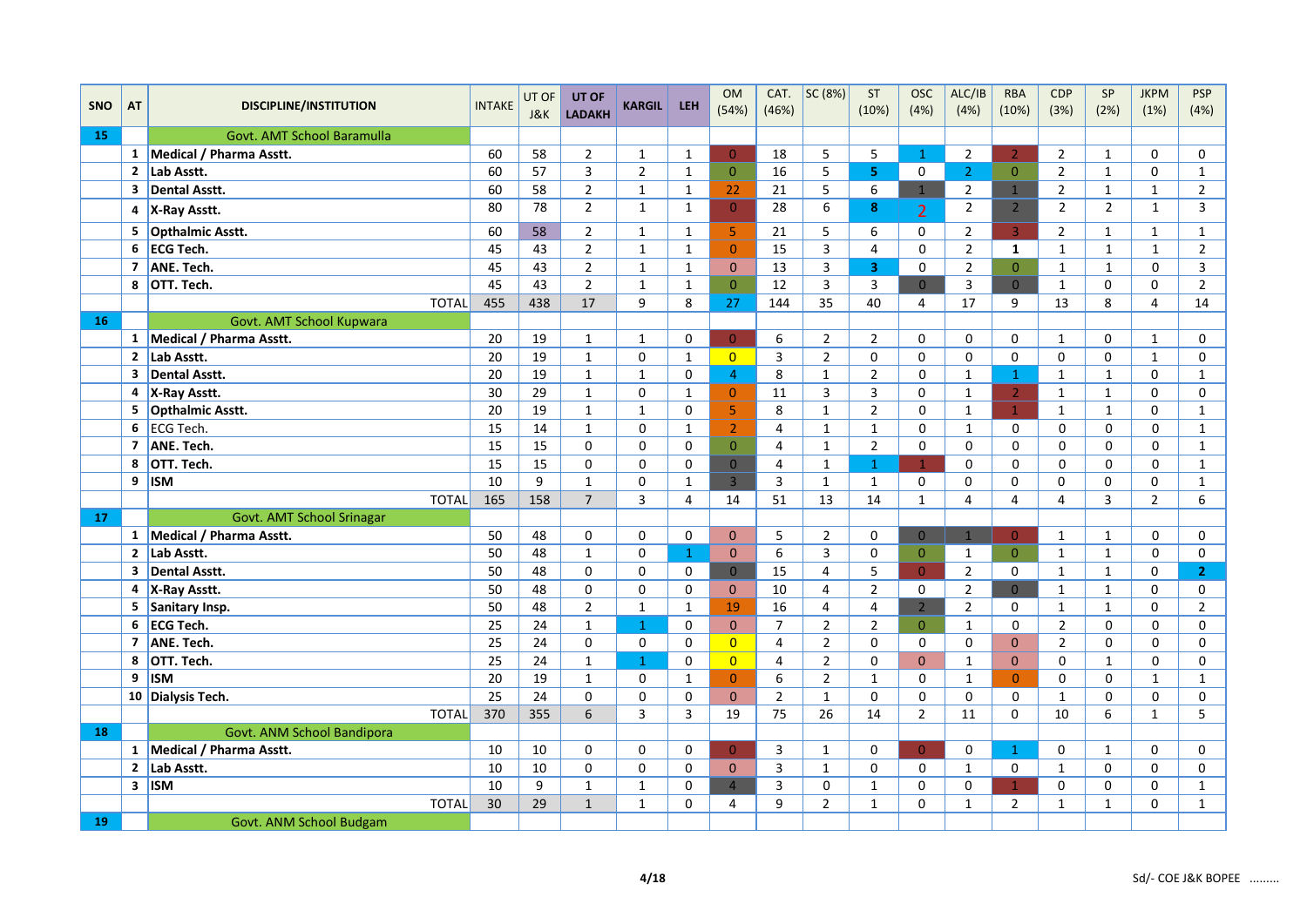|            |                |                               |               | UT OF | UT OF           |                |                | <b>OM</b>      | CAT.           | SC (8%)                 | ST             | <b>OSC</b>     | ALC/IB         | <b>RBA</b>     | CDP            | SP             | <b>JKPM</b>    | <b>PSP</b>     |
|------------|----------------|-------------------------------|---------------|-------|-----------------|----------------|----------------|----------------|----------------|-------------------------|----------------|----------------|----------------|----------------|----------------|----------------|----------------|----------------|
| <b>SNO</b> | <b>AT</b>      | <b>DISCIPLINE/INSTITUTION</b> | <b>INTAKE</b> | J&K   | <b>LADAKH</b>   | <b>KARGIL</b>  | <b>LEH</b>     | (54%)          | (46%)          |                         | (10%)          | (4%)           | (4%)           | (10%)          | (3%)           | (2%)           | (1%)           | (4%)           |
| 15         |                | Govt. AMT School Baramulla    |               |       |                 |                |                |                |                |                         |                |                |                |                |                |                |                |                |
|            |                | 1 Medical / Pharma Asstt.     | 60            | 58    | $\overline{2}$  | $\mathbf{1}$   | $\mathbf{1}$   | $\Omega$       | 18             | 5                       | 5              | $\mathbf{1}$   | $2^{\circ}$    | $\overline{2}$ | $\overline{2}$ | $\mathbf{1}$   | 0              | $\mathsf 0$    |
|            |                | 2 Lab Asstt.                  | 60            | 57    | $\overline{3}$  | $\overline{2}$ | $\mathbf{1}$   | $\overline{0}$ | 16             | 5                       | 5.             | 0              | 2 <sup>1</sup> | $\overline{0}$ | $\overline{2}$ | $\mathbf{1}$   | 0              | $\mathbf{1}$   |
|            | $\mathbf{3}$   | <b>Dental Asstt.</b>          | 60            | 58    | $\overline{2}$  | $\mathbf{1}$   | $\mathbf{1}$   | 22             | 21             | 5                       | 6              | 1              | $\overline{2}$ | 1              | $\overline{2}$ | $\mathbf{1}$   | $\mathbf{1}$   | $\overline{2}$ |
|            | 4              | X-Ray Asstt.                  | 80            | 78    | $\overline{2}$  | $\mathbf{1}$   | $\mathbf{1}$   | $\overline{0}$ | 28             | 6                       | 8              | $\overline{2}$ | $\overline{2}$ | 2 <sup>2</sup> | $\overline{2}$ | $\overline{2}$ | $\mathbf{1}$   | $\mathsf{3}$   |
|            | 5              | <b>Opthalmic Asstt.</b>       | 60            | 58    | $\overline{2}$  | $\mathbf{1}$   | $\mathbf{1}$   | 5              | 21             | 5                       | 6              | 0              | $2^{\circ}$    | $\overline{3}$ | $\overline{2}$ | $\mathbf{1}$   | $\mathbf{1}$   | $\mathbf{1}$   |
|            | 6              | ECG Tech.                     | 45            | 43    | $\overline{2}$  | $\mathbf{1}$   | $\mathbf{1}$   | $\mathbf{0}$   | 15             | 3                       | 4              | $\Omega$       | $\overline{2}$ | $\mathbf{1}$   | $\mathbf{1}$   | $\mathbf{1}$   | $\mathbf{1}$   | $\overline{2}$ |
|            | $\overline{7}$ | ANE. Tech.                    | 45            | 43    | $\overline{2}$  | $\mathbf{1}$   | $\mathbf{1}$   | $\Omega$       | 13             | $\mathsf{3}$            | $\overline{3}$ | $\Omega$       | $\overline{2}$ | $\overline{0}$ | $\mathbf{1}$   | $\mathbf{1}$   | $\mathbf 0$    | $\mathsf{3}$   |
|            | 8              | OTT. Tech.                    | 45            | 43    | $\overline{2}$  | $\mathbf{1}$   | $\mathbf{1}$   | $\Omega$       | 12             | $\overline{\mathbf{3}}$ | 3              | $\Omega$       | 3              | $\Omega$       | $\mathbf 1$    | 0              | 0              | $\overline{2}$ |
|            |                | <b>TOTAL</b>                  | 455           | 438   | 17              | 9              | 8              | 27             | 144            | 35                      | 40             | $\overline{4}$ | 17             | 9              | 13             | 8              | $\overline{4}$ | 14             |
| 16         |                | Govt. AMT School Kupwara      |               |       |                 |                |                |                |                |                         |                |                |                |                |                |                |                |                |
|            |                | 1 Medical / Pharma Asstt.     | 20            | 19    | $\mathbf{1}$    | $\mathbf{1}$   | 0              | $\Omega$       | 6              | $\overline{2}$          | $\overline{2}$ | 0              | 0              | 0              | $\mathbf{1}$   | 0              | $\mathbf{1}$   | 0              |
|            | $\mathbf{2}$   | Lab Asstt.                    | 20            | 19    | $\mathbf{1}$    | $\Omega$       | $\mathbf{1}$   | $\overline{0}$ | 3              | $\overline{2}$          | $\Omega$       | $\Omega$       | 0              | $\Omega$       | $\mathbf 0$    | 0              | $\mathbf{1}$   | 0              |
|            | 3              | Dental Asstt.                 | 20            | 19    | $\mathbf{1}$    | $\mathbf{1}$   | 0              | $\overline{4}$ | 8              | $\mathbf{1}$            | $\overline{2}$ | $\Omega$       | $\mathbf{1}$   | $\mathbf{1}$   | $\mathbf{1}$   | $\mathbf{1}$   | 0              | $\mathbf{1}$   |
|            | 4              | X-Ray Asstt.                  | 30            | 29    | $\mathbf{1}$    | $\mathbf 0$    | $\mathbf{1}$   | $\overline{0}$ | 11             | $\overline{\mathbf{3}}$ | 3              | 0              | $\mathbf{1}$   | $\overline{2}$ | $\mathbf{1}$   | $\mathbf{1}$   | 0              | 0              |
|            | 5              | Opthalmic Asstt.              | 20            | 19    | $\mathbf{1}$    | $\mathbf{1}$   | $\Omega$       | $\overline{5}$ | 8              | $\mathbf{1}$            | $\overline{2}$ | $\Omega$       | $\mathbf{1}$   | $\mathbf{1}$   | $\mathbf{1}$   | $\mathbf{1}$   | $\Omega$       | $\mathbf{1}$   |
|            |                | $6$ ECG Tech.                 | 15            | 14    | $\mathbf{1}$    | $\pmb{0}$      | $\mathbf 1$    | $\overline{2}$ | 4              | $\mathbf 1$             | $\mathbf{1}$   | $\mathbf 0$    | $\mathbf{1}$   | 0              | 0              | 0              | $\mathbf 0$    | $\mathbf 1$    |
|            | 7              | ANE. Tech.                    | 15            | 15    | 0               | $\mathbf 0$    | $\mathbf 0$    | $\overline{0}$ | 4              | $\mathbf{1}$            | $\overline{2}$ | $\mathbf 0$    | 0              | 0              | 0              | 0              | $\mathbf 0$    | $\mathbf{1}$   |
|            | 8              | OTT. Tech.                    | 15            | 15    | $\mathbf 0$     | $\mathbf 0$    | 0              | $\overline{0}$ | 4              | $\mathbf{1}$            | $\mathbf{1}$   | $\mathbf{1}$   | 0              | $\Omega$       | $\mathbf 0$    | $\Omega$       | $\mathbf 0$    | $\mathbf{1}$   |
|            | 9              | <b>ISM</b>                    | 10            | 9     | $\mathbf{1}$    | 0              | $\mathbf{1}$   | $\overline{3}$ | 3              | $\mathbf{1}$            | $\mathbf{1}$   | 0              | $\Omega$       | 0              | 0              | 0              | 0              | $\mathbf{1}$   |
|            |                | <b>TOTAL</b>                  | 165           | 158   | $\overline{7}$  | 3              | 4              | 14             | 51             | 13                      | 14             | $\mathbf{1}$   | $\overline{4}$ | $\overline{4}$ | $\overline{4}$ | 3              | $\overline{2}$ | 6              |
| 17         |                | Govt. AMT School Srinagar     |               |       |                 |                |                |                |                |                         |                |                |                |                |                |                |                |                |
|            |                | 1 Medical / Pharma Asstt.     | 50            | 48    | 0               | $\mathbf 0$    | 0              | $\Omega$       | 5              | $\overline{2}$          | $\mathbf 0$    | $\overline{0}$ | $\mathbf{1}$   | $\overline{0}$ | $\mathbf{1}$   | $\mathbf{1}$   | $\mathbf 0$    | 0              |
|            | $2^{\circ}$    | Lab Asstt.                    | 50            | 48    | $\mathbf{1}$    | $\pmb{0}$      | $\mathbf{1}$   | $\mathbf{0}$   | 6              | $\overline{\mathbf{3}}$ | 0              | $\overline{0}$ | $\mathbf{1}$   | $\overline{0}$ | $\mathbf{1}$   | $\mathbf{1}$   | 0              | $\mathsf 0$    |
|            | 3              | Dental Asstt.                 | 50            | 48    | $\mathbf 0$     | $\mathbf 0$    | $\mathbf 0$    | $\overline{0}$ | 15             | $\overline{4}$          | 5              | $\overline{0}$ | $\overline{2}$ | $\mathbf 0$    | $\mathbf{1}$   | $\mathbf{1}$   | 0              | $\mathbf{2}$   |
|            |                | 4 X-Ray Asstt.                | 50            | 48    | 0               | 0              | 0              | $\mathbf{0}$   | 10             | 4                       | $\overline{2}$ | $\mathbf 0$    | $\overline{2}$ | $\overline{0}$ | $\mathbf{1}$   | $\mathbf{1}$   | 0              | 0              |
|            | 5              | Sanitary Insp.                | 50            | 48    | $\overline{2}$  | $\mathbf{1}$   | $\mathbf 1$    | 19             | 16             | 4                       | 4              | 2 <sup>1</sup> | $\overline{2}$ | 0              | $\mathbf{1}$   | $\mathbf{1}$   | 0              | $\overline{2}$ |
|            | 6              | ECG Tech.                     | 25            | 24    | $\mathbf{1}$    | $\mathbf{1}$   | $\mathbf 0$    | $\mathbf{0}$   | $\overline{7}$ | $\overline{2}$          | $\overline{2}$ | $\overline{0}$ | $\mathbf{1}$   | 0              | $\overline{2}$ | $\Omega$       | $\mathbf 0$    | 0              |
|            | $\overline{ }$ | ANE. Tech.                    | 25            | 24    | $\mathbf 0$     | $\mathbf 0$    | $\mathbf 0$    | $\overline{0}$ | $\overline{4}$ | $\overline{2}$          | $\Omega$       | $\mathbf 0$    | 0              | $\Omega$       | $\overline{2}$ | 0              | $\mathbf 0$    | $\mathbf 0$    |
|            | 8              | OTT. Tech.                    | 25            | 24    | $\mathbf{1}$    | $\mathbf{1}$   | $\mathbf 0$    | $\overline{0}$ | 4              | $\overline{2}$          | $\Omega$       | $\Omega$       | $\mathbf{1}$   | $\mathbf{0}$   | $\mathbf 0$    | $\mathbf{1}$   | $\mathbf 0$    | $\mathbf 0$    |
|            | 9              | <b>ISM</b>                    | 20            | 19    | $\mathbf{1}$    | $\mathsf 0$    | $\mathbf 1$    | $\mathbf{0}$   | 6              | $\overline{2}$          | $\mathbf{1}$   | $\mathbf 0$    | $\mathbf{1}$   | $\overline{0}$ | 0              | 0              | $\mathbf{1}$   | $\mathbf 1$    |
|            |                | 10 Dialysis Tech.             | 25            | 24    | $\mathbf 0$     | $\mathbf 0$    | $\mathbf 0$    | $\mathbf{0}$   | $\overline{2}$ | $\mathbf{1}$            | 0              | $\Omega$       | 0              | 0              | $\mathbf{1}$   | 0              | $\mathbf 0$    | 0              |
|            |                | <b>TOTAL</b>                  | 370           | 355   | $6\overline{6}$ | 3              | $\overline{3}$ | 19             | 75             | 26                      | 14             | $\overline{2}$ | 11             | $\Omega$       | 10             | 6              | $\mathbf{1}$   | 5              |
| 18         |                | Govt. ANM School Bandipora    |               |       |                 |                |                |                |                |                         |                |                |                |                |                |                |                |                |
|            |                | 1 Medical / Pharma Asstt.     | 10            | 10    | 0               | $\mathbf 0$    | $\mathbf 0$    | $\overline{0}$ | 3              | $\mathbf{1}$            | $\mathbf 0$    | $\overline{0}$ | 0              | $\mathbf{1}$   | $\mathbf 0$    | $\mathbf{1}$   | 0              | 0              |
|            |                | $\overline{2}$ Lab Asstt.     | 10            | 10    | 0               | 0              | 0              | $\Omega$       | 3              | $\mathbf{1}$            | $\mathbf 0$    | $\mathbf 0$    | $\mathbf{1}$   | 0              | $\mathbf{1}$   | 0              | 0              | 0              |
|            |                | $3$ ISM                       | 10            | 9     | $\mathbf{1}$    | $\mathbf{1}$   | 0              | $\overline{4}$ | 3              | 0                       | $\mathbf{1}$   | 0              | 0              | $\mathbf{1}$   | 0              | 0              | 0              | $\mathbf{1}$   |
|            |                | <b>TOTAL</b>                  | 30            | 29    | $\mathbf{1}$    | $\mathbf{1}$   | $\mathbf 0$    | 4              | 9              | $\overline{2}$          | $\mathbf{1}$   | 0              | $\mathbf{1}$   | $\overline{2}$ | $\mathbf{1}$   | $\mathbf 1$    | 0              | $\mathbf 1$    |
| 19         |                | Govt. ANM School Budgam       |               |       |                 |                |                |                |                |                         |                |                |                |                |                |                |                |                |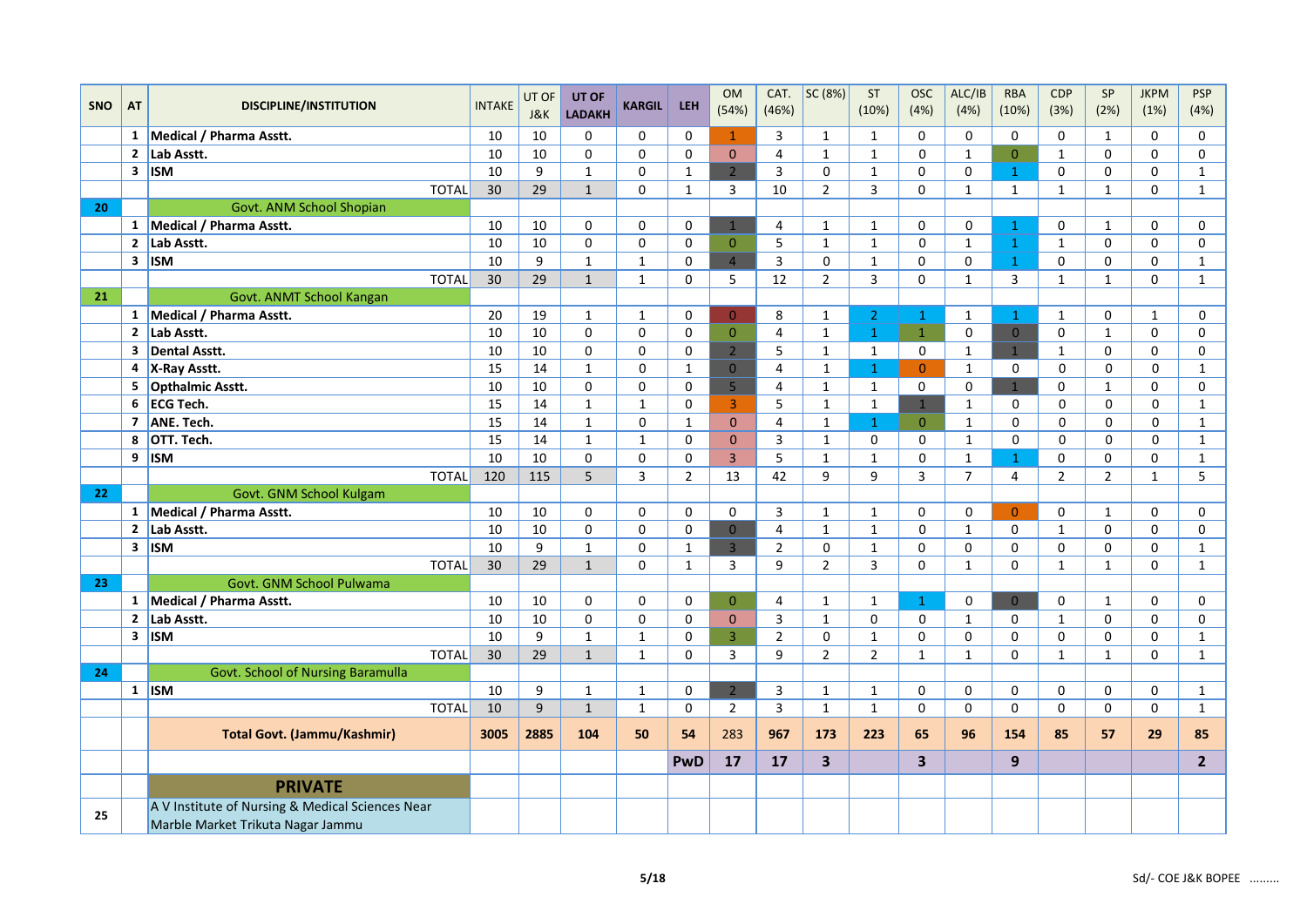|            |                         |                                                                                       |               | UT OF | UT OF          |                |                | <b>OM</b>      | CAT.           | SC (8%)                 | ST             | <b>OSC</b>              | ALC/IB              | <b>RBA</b>     | <b>CDP</b>     | $\mathsf{SP}$  | <b>JKPM</b>  | <b>PSP</b>     |
|------------|-------------------------|---------------------------------------------------------------------------------------|---------------|-------|----------------|----------------|----------------|----------------|----------------|-------------------------|----------------|-------------------------|---------------------|----------------|----------------|----------------|--------------|----------------|
| <b>SNO</b> | AT                      | <b>DISCIPLINE/INSTITUTION</b>                                                         | <b>INTAKE</b> | J&K   | <b>LADAKH</b>  | <b>KARGIL</b>  | <b>LEH</b>     | (54%)          | (46%)          |                         | (10%)          | (4%)                    | (4%)                | (10%)          | (3%)           | (2%)           | (1%)         | (4%)           |
|            |                         | 1 Medical / Pharma Asstt.                                                             | 10            | 10    | 0              | 0              | 0              | $\mathbf{1}$   | 3              | 1                       | $\mathbf{1}$   | 0                       | 0                   | 0              | 0              | $\mathbf{1}$   | 0            | 0              |
|            | $\mathbf{2}$            | Lab Asstt.                                                                            | 10            | 10    | $\Omega$       | $\mathbf 0$    | $\mathbf 0$    | $\Omega$       | $\overline{4}$ | $\mathbf{1}$            | $\mathbf{1}$   | $\Omega$                | $\mathbf{1}$        | $\Omega$       | $\mathbf{1}$   | $\Omega$       | $\mathbf 0$  | $\mathbf 0$    |
|            |                         | $3$ ISM                                                                               | 10            | 9     | $\mathbf{1}$   | $\mathbf 0$    | $\mathbf{1}$   | $\overline{2}$ | 3              | $\mathsf 0$             | $\mathbf{1}$   | 0                       | 0                   | $\mathbf{1}$   | 0              | 0              | $\mathbf 0$  | $\mathbf{1}$   |
|            |                         | <b>TOTAL</b>                                                                          | 30            | 29    | $\mathbf{1}$   | $\mathbf 0$    | $\mathbf{1}$   | 3              | 10             | $\overline{2}$          | 3              | 0                       | $\mathbf{1}$        | $\mathbf{1}$   | $\mathbf{1}$   | $\mathbf{1}$   | 0            | $\mathbf{1}$   |
| 20         |                         | Govt. ANM School Shopian                                                              |               |       |                |                |                |                |                |                         |                |                         |                     |                |                |                |              |                |
|            |                         | 1 Medical / Pharma Asstt.                                                             | 10            | 10    | $\mathbf 0$    | $\mathbf 0$    | $\mathbf 0$    | $\mathbf{1}$   | 4              | $\mathbf{1}$            | $\mathbf{1}$   | $\Omega$                | $\mathsf{O}\xspace$ | $\mathbf{1}$   | 0              | $\mathbf{1}$   | $\mathbf 0$  | $\mathbf 0$    |
|            | $\overline{2}$          | Lab Asstt.                                                                            | 10            | 10    | $\mathbf 0$    | $\pmb{0}$      | $\mathbf 0$    | $\mathbf{O}$   | 5              | $\mathbf 1$             | $\mathbf{1}$   | $\mathbf 0$             | $\mathbf{1}$        | $\mathbf{1}$   | $\mathbf{1}$   | 0              | $\mathbf 0$  | 0              |
|            |                         | $3$ ISM                                                                               | 10            | 9     | $\mathbf{1}$   | $\mathbf{1}$   | 0              | $\overline{4}$ | 3              | $\mathbf 0$             | $\mathbf{1}$   | 0                       | 0                   | $\mathbf{1}$   | 0              | 0              | $\mathbf 0$  | $\mathbf{1}$   |
|            |                         | <b>TOTAL</b>                                                                          | 30            | 29    | $\mathbf{1}$   | $\mathbf{1}$   | $\Omega$       | 5              | 12             | $\overline{2}$          | 3              | $\Omega$                | $\mathbf{1}$        | 3              | $\mathbf{1}$   | $\mathbf{1}$   | $\mathbf 0$  | $\mathbf{1}$   |
| 21         |                         | Govt. ANMT School Kangan                                                              |               |       |                |                |                |                |                |                         |                |                         |                     |                |                |                |              |                |
|            |                         | 1 Medical / Pharma Asstt.                                                             | 20            | 19    | $\mathbf{1}$   | $\mathbf{1}$   | 0              | $\overline{0}$ | 8              | $\mathbf{1}$            | $\overline{2}$ | $\mathbf{1}$            | $\mathbf{1}$        | $\mathbf{1}$   | $\mathbf{1}$   | 0              | $\mathbf{1}$ | 0              |
|            |                         | 2 Lab Asstt.                                                                          | 10            | 10    | $\mathbf 0$    | $\mathbf 0$    | $\mathbf 0$    | $\overline{0}$ | $\overline{4}$ | $\mathbf{1}$            | $\mathbf{1}$   | $\mathbf{1}$            | $\mathsf{O}\xspace$ | $\overline{0}$ | 0              | $\mathbf{1}$   | $\mathbf 0$  | $\mathbf 0$    |
|            | $\overline{\mathbf{3}}$ | Dental Asstt.                                                                         | 10            | 10    | $\Omega$       | $\mathbf 0$    | 0              | $\overline{2}$ | 5              | $\mathbf{1}$            | $\mathbf{1}$   | 0                       | $\mathbf{1}$        | $\mathbf{1}$   | $\mathbf{1}$   | $\Omega$       | $\mathbf 0$  | $\mathbf 0$    |
|            |                         | 4 X-Ray Asstt.                                                                        | 15            | 14    | $\mathbf{1}$   | 0              | $\mathbf 1$    | $\mathbf 0$    | $\sqrt{4}$     | $\mathbf{1}$            | $\mathbf{1}$   | $\overline{0}$          | $\mathbf{1}$        | 0              | 0              | $\mathbf 0$    | 0            | $\mathbf{1}$   |
|            | 5                       | <b>Opthalmic Asstt.</b>                                                               | 10            | 10    | $\mathbf 0$    | 0              | 0              | 5              | 4              | $\mathbf{1}$            | $\mathbf{1}$   | 0                       | 0                   | 1              | 0              | $\mathbf{1}$   | 0            | 0              |
|            | 6                       | <b>ECG Tech.</b>                                                                      | 15            | 14    | $\mathbf{1}$   | $\mathbf{1}$   | 0              | 3 <sup>1</sup> | 5              | $\mathbf{1}$            | $\mathbf{1}$   | $\mathbf{1}$            | $\mathbf{1}$        | 0              | 0              | $\mathbf 0$    | 0            | $\mathbf{1}$   |
|            | $\overline{7}$          | ANE. Tech.                                                                            | 15            | 14    | $\mathbf{1}$   | $\mathbf 0$    | $\mathbf{1}$   | $\mathbf{0}$   | $\overline{4}$ | $\mathbf{1}$            | $\mathbf{1}$   | $\overline{0}$          | $\mathbf 1$         | 0              | 0              | $\Omega$       | 0            | $\mathbf{1}$   |
|            | 8                       | OTT. Tech.                                                                            | 15            | 14    | $\mathbf{1}$   | $\mathbf 1$    | $\mathbf 0$    | $\mathbf 0$    | 3              | $\mathbf 1$             | 0              | 0                       | $\mathbf 1$         | 0              | 0              | $\mathbf 0$    | 0            | $\mathbf{1}$   |
|            |                         | $9$ ISM                                                                               | 10            | 10    | $\mathbf 0$    | $\mathbf 0$    | 0              | 3              | 5              | $\mathbf{1}$            | $\mathbf{1}$   | $\mathbf 0$             | $\mathbf{1}$        | $\mathbf{1}$   | 0              | 0              | $\mathbf 0$  | $\mathbf{1}$   |
|            |                         | <b>TOTAL</b>                                                                          | 120           | 115   | $\overline{5}$ | $\overline{3}$ | $\overline{2}$ | 13             | 42             | 9                       | 9              | $\overline{3}$          | $\overline{7}$      | $\overline{4}$ | $\overline{2}$ | $\overline{2}$ | $\mathbf{1}$ | 5              |
| 22         |                         | Govt. GNM School Kulgam                                                               |               |       |                |                |                |                |                |                         |                |                         |                     |                |                |                |              |                |
|            |                         | 1 Medical / Pharma Asstt.                                                             | 10            | 10    | 0              | $\pmb{0}$      | $\mathbf 0$    | 0              | 3              | $\mathbf{1}$            | $\mathbf{1}$   | 0                       | $\mathsf{O}\xspace$ | $\Omega$       | 0              | $\mathbf{1}$   | 0            | 0              |
|            | $\mathbf{2}$            | Lab Asstt.                                                                            | 10            | 10    | $\mathbf 0$    | $\mathbf 0$    | 0              | $\mathbf{0}$   | 4              | $\mathbf{1}$            | $\mathbf{1}$   | $\mathbf 0$             | $\mathbf{1}$        | 0              | $\mathbf 1$    | $\Omega$       | $\mathbf 0$  | $\mathbf 0$    |
|            |                         | $3$   ISM                                                                             | 10            | 9     | $\mathbf{1}$   | $\mathbf 0$    | $\mathbf{1}$   | $\overline{3}$ | $\overline{2}$ | $\mathbf 0$             | $\mathbf{1}$   | $\Omega$                | $\mathbf 0$         | 0              | 0              | 0              | $\mathbf 0$  | $\mathbf{1}$   |
|            |                         | <b>TOTAL</b>                                                                          | 30            | 29    | $\mathbf{1}$   | $\mathbf 0$    | $\mathbf{1}$   | 3              | 9              | $\overline{2}$          | 3              | 0                       | $\mathbf{1}$        | 0              | $\mathbf 1$    | $\mathbf{1}$   | $\mathbf 0$  | $\mathbf{1}$   |
| 23         |                         | Govt. GNM School Pulwama                                                              |               |       |                |                |                |                |                |                         |                |                         |                     |                |                |                |              |                |
|            |                         | 1   Medical / Pharma Asstt.                                                           | 10            | 10    | 0              | 0              | 0              | $\mathbf{0}$   | $\overline{4}$ | $\mathbf{1}$            | $\mathbf{1}$   | $\mathbf{1}$            | 0                   | $\overline{0}$ | 0              | $\mathbf{1}$   | $\mathbf 0$  | 0              |
|            | $\overline{2}$          | Lab Asstt.                                                                            | 10            | 10    | $\Omega$       | $\Omega$       | $\Omega$       | $\Omega$       | 3              | $\mathbf{1}$            | $\Omega$       | $\Omega$                | $\mathbf{1}$        | 0              | $\mathbf{1}$   | $\Omega$       | $\pmb{0}$    | $\mathbf 0$    |
|            |                         | $3$   ISM                                                                             | 10            | 9     | $\mathbf{1}$   | $\mathbf 1$    | 0              | $\overline{3}$ | $\overline{2}$ | $\mathsf 0$             | $\mathbf{1}$   | 0                       | $\mathbf 0$         | $\mathbf 0$    | 0              | 0              | 0            | $\mathbf{1}$   |
|            |                         | <b>TOTAL</b>                                                                          | 30            | 29    | $\mathbf{1}$   | $\mathbf{1}$   | $\Omega$       | 3              | 9              | $\overline{2}$          | $\overline{2}$ | $\mathbf{1}$            | $\mathbf{1}$        | $\Omega$       | $\mathbf{1}$   | $\mathbf{1}$   | $\mathbf 0$  | $\mathbf{1}$   |
| 24         |                         | Govt. School of Nursing Baramulla                                                     |               |       |                |                |                |                |                |                         |                |                         |                     |                |                |                |              |                |
|            |                         | $1$ ISM                                                                               | 10            | 9     | $\mathbf{1}$   | $\mathbf 1$    | 0              | $\overline{2}$ | 3              | $\mathbf 1$             | $\mathbf{1}$   | 0                       | 0                   | 0              | 0              | 0              | $\pmb{0}$    | $\mathbf{1}$   |
|            |                         | <b>TOTAL</b>                                                                          | 10            | 9     | $\mathbf{1}$   | $\mathbf 1$    | $\mathbf 0$    | $\overline{2}$ | 3              | $\mathbf{1}$            | $\mathbf{1}$   | 0                       | $\mathbf 0$         | 0              | 0              | 0              | $\mathbf 0$  | $\mathbf{1}$   |
|            |                         | <b>Total Govt. (Jammu/Kashmir)</b>                                                    | 3005          | 2885  | 104            | 50             | 54             | 283            | 967            | 173                     | 223            | 65                      | 96                  | 154            | 85             | 57             | 29           | 85             |
|            |                         |                                                                                       |               |       |                |                | <b>PwD</b>     | 17             | 17             | $\overline{\mathbf{3}}$ |                | $\overline{\mathbf{3}}$ |                     | 9              |                |                |              | 2 <sup>1</sup> |
|            |                         | <b>PRIVATE</b>                                                                        |               |       |                |                |                |                |                |                         |                |                         |                     |                |                |                |              |                |
| 25         |                         | A V Institute of Nursing & Medical Sciences Near<br>Marble Market Trikuta Nagar Jammu |               |       |                |                |                |                |                |                         |                |                         |                     |                |                |                |              |                |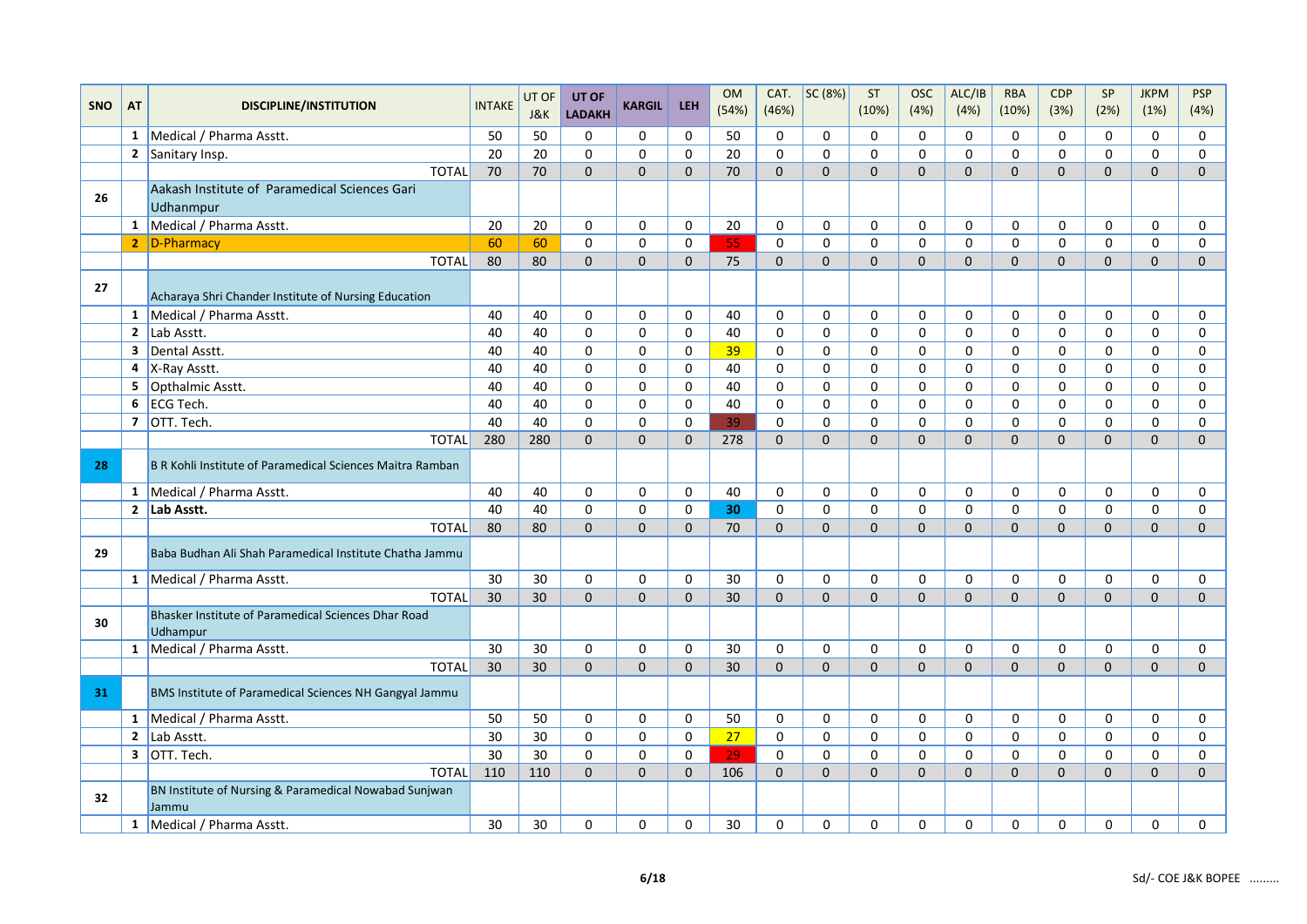|            |                         |                                                                 |               | UT OF | UT OF         |                     |              | <b>OM</b>       | CAT.         | SC (8%)      | ST           | <b>OSC</b>   | ALC/IB              | <b>RBA</b>          | <b>CDP</b>          | SP           | <b>JKPM</b>    | <b>PSP</b>   |
|------------|-------------------------|-----------------------------------------------------------------|---------------|-------|---------------|---------------------|--------------|-----------------|--------------|--------------|--------------|--------------|---------------------|---------------------|---------------------|--------------|----------------|--------------|
| <b>SNO</b> | AT                      | <b>DISCIPLINE/INSTITUTION</b>                                   | <b>INTAKE</b> | J&K   | <b>LADAKH</b> | <b>KARGIL</b>       | <b>LEH</b>   | (54%)           | (46%)        |              | (10%)        | (4%)         | (4%)                | (10%)               | (3%)                | (2%)         | (1%)           | (4%)         |
|            | 1                       | Medical / Pharma Asstt.                                         | 50            | 50    | $\mathbf 0$   | $\mathbf 0$         | $\mathsf 0$  | 50              | 0            | $\mathbf 0$  | 0            | $\mathbf 0$  | $\mathbf 0$         | $\mathbf 0$         | $\mathbf 0$         | $\mathbf 0$  | $\mathbf 0$    | $\mathbf 0$  |
|            |                         | 2 Sanitary Insp.                                                | 20            | 20    | $\mathbf 0$   | $\mathsf{O}\xspace$ | $\mathbf 0$  | 20              | $\mathbf 0$  | $\mathbf 0$  | 0            | $\mathbf 0$  | $\mathbf 0$         | $\mathbf 0$         | $\mathbf 0$         | $\mathbf 0$  | 0              | $\mathbf 0$  |
|            |                         | <b>TOTAL</b>                                                    | 70            | 70    | $\mathbf{0}$  | $\mathbf 0$         | $\Omega$     | 70              | $\Omega$     | $\Omega$     | $\Omega$     | $\Omega$     | $\Omega$            | $\mathbf{0}$        | $\mathbf{0}$        | $\mathbf{0}$ | $\mathbf{0}$   | $\mathbf{0}$ |
| 26         |                         | Aakash Institute of Paramedical Sciences Gari<br>Udhanmpur      |               |       |               |                     |              |                 |              |              |              |              |                     |                     |                     |              |                |              |
|            |                         | 1 Medical / Pharma Asstt.                                       | 20            | 20    | 0             | $\mathbf 0$         | 0            | 20              | 0            | $\mathbf 0$  | $\mathbf 0$  | $\Omega$     | $\mathbf 0$         | $\mathbf 0$         | $\mathbf 0$         | $\Omega$     | 0              | 0            |
|            |                         | 2 D-Pharmacy                                                    | 60            | 60    | $\mathsf 0$   | $\pmb{0}$           | $\mathbf 0$  | 55              | 0            | $\pmb{0}$    | $\Omega$     | $\Omega$     | $\mathbf 0$         | $\mathbf{0}$        | $\mathbf 0$         | $\Omega$     | 0              | $\mathbf 0$  |
|            |                         | <b>TOTAL</b>                                                    | 80            | 80    | $\mathbf{0}$  | $\mathbf 0$         | $\mathbf{0}$ | 75              | $\mathbf{0}$ | $\mathbf{0}$ | $\mathbf{0}$ | $\mathbf{0}$ | $\mathbf{0}$        | $\mathbf{0}$        | $\mathbf{0}$        | $\mathbf{0}$ | $\mathbf{0}$   | $\mathbf{0}$ |
| 27         |                         | Acharaya Shri Chander Institute of Nursing Education            |               |       |               |                     |              |                 |              |              |              |              |                     |                     |                     |              |                |              |
|            |                         | 1 Medical / Pharma Asstt.                                       | 40            | 40    | $\mathbf 0$   | $\pmb{0}$           | $\mathbf 0$  | 40              | $\mathbf 0$  | $\mathbf 0$  | $\mathbf 0$  | $\mathbf 0$  | $\mathbf 0$         | $\mathbf 0$         | $\mathbf 0$         | $\mathbf 0$  | 0              | $\mathbf 0$  |
|            | $\overline{2}$          | Lab Asstt.                                                      | 40            | 40    | $\mathbf 0$   | $\pmb{0}$           | $\mathsf 0$  | 40              | 0            | $\pmb{0}$    | $\mathbf 0$  | $\mathbf 0$  | $\mathsf{O}\xspace$ | $\mathbf 0$         | 0                   | $\mathbf 0$  | 0              | $\mathbf 0$  |
|            | $\overline{\mathbf{3}}$ | Dental Asstt.                                                   | 40            | 40    | $\mathbf 0$   | 0                   | 0            | 39              | 0            | 0            | 0            | $\mathbf 0$  | $\mathbf 0$         | $\mathbf 0$         | 0                   | $\mathbf 0$  | 0              | 0            |
|            | 4                       | X-Ray Asstt.                                                    | 40            | 40    | $\mathbf 0$   | $\mathbf 0$         | $\mathbf 0$  | 40              | $\mathbf 0$  | 0            | $\Omega$     | $\Omega$     | $\mathbf 0$         | $\Omega$            | 0                   | 0            | 0              | 0            |
|            | 5                       | Opthalmic Asstt.                                                | 40            | 40    | $\mathbf{0}$  | $\mathbf 0$         | $\mathbf 0$  | 40              | $\mathbf 0$  | $\mathbf 0$  | $\Omega$     | $\Omega$     | $\Omega$            | $\mathbf{0}$        | $\mathbf 0$         | $\Omega$     | $\Omega$       | $\mathbf 0$  |
|            | 6                       | <b>ECG Tech.</b>                                                | 40            | 40    | $\mathbf 0$   | $\pmb{0}$           | $\mathsf 0$  | 40              | $\pmb{0}$    | $\pmb{0}$    | $\mathbf 0$  | $\mathsf{o}$ | $\mathbf 0$         | $\mathsf 0$         | $\pmb{0}$           | $\mathbf 0$  | 0              | 0            |
|            |                         | 7 OTT. Tech.                                                    | 40            | 40    | $\mathbf 0$   | 0                   | $\mathbf 0$  | 39              | 0            | 0            | 0            | $\mathbf 0$  | $\mathbf 0$         | $\mathbf 0$         | 0                   | 0            | 0              | 0            |
|            |                         | <b>TOTAL</b>                                                    | 280           | 280   | $\mathbf{0}$  | $\mathbf 0$         | $\Omega$     | 278             | $\Omega$     | $\mathbf{0}$ | $\Omega$     | $\Omega$     | $\Omega$            | $\Omega$            | $\mathbf{0}$        | $\Omega$     | $\overline{0}$ | $\mathbf{0}$ |
| 28         |                         | B R Kohli Institute of Paramedical Sciences Maitra Ramban       |               |       |               |                     |              |                 |              |              |              |              |                     |                     |                     |              |                |              |
|            | $\mathbf{1}$            | Medical / Pharma Asstt.                                         | 40            | 40    | $\mathbf 0$   | 0                   | 0            | 40              | $\mathbf 0$  | 0            | 0            | $\Omega$     | $\mathbf 0$         | $\mathbf 0$         | 0                   | $\mathbf 0$  | 0              | 0            |
|            |                         | 2 $\vert$ Lab Asstt.                                            | 40            | 40    | $\mathbf 0$   | $\mathbf 0$         | $\mathbf 0$  | 30              | 0            | 0            | $\Omega$     | $\Omega$     | 0                   | $\Omega$            | 0                   | 0            | 0              | $\mathbf 0$  |
|            |                         | <b>TOTAL</b>                                                    | 80            | 80    | $\Omega$      | $\mathbf{0}$        | $\Omega$     | 70              | $\Omega$     | $\Omega$     | $\Omega$     | $\Omega$     | $\Omega$            | $\Omega$            | $\Omega$            | $\Omega$     | $\Omega$       | $\mathbf{0}$ |
| 29         |                         | Baba Budhan Ali Shah Paramedical Institute Chatha Jammu         |               |       |               |                     |              |                 |              |              |              |              |                     |                     |                     |              |                |              |
|            |                         | 1 Medical / Pharma Asstt.                                       | 30            | 30    | $\mathbf 0$   | $\mathbf 0$         | $\mathbf 0$  | 30              | $\mathbf 0$  | 0            | 0            | $\Omega$     | $\mathbf 0$         | $\mathbf 0$         | 0                   | 0            | 0              | 0            |
|            |                         | <b>TOTAL</b>                                                    | 30            | 30    | $\Omega$      | $\Omega$            | $\Omega$     | 30 <sup>°</sup> | $\Omega$     | $\Omega$     | $\Omega$     | $\Omega$     | $\Omega$            | $\Omega$            | $\Omega$            | $\Omega$     | $\Omega$       | $\mathbf{0}$ |
| 30         |                         | Bhasker Institute of Paramedical Sciences Dhar Road<br>Udhampur |               |       |               |                     |              |                 |              |              |              |              |                     |                     |                     |              |                |              |
|            |                         | 1 Medical / Pharma Asstt.                                       | 30            | 30    | 0             | $\pmb{0}$           | $\Omega$     | 30              | $\Omega$     | $\Omega$     | $\Omega$     | $\Omega$     | $\Omega$            | $\Omega$            | 0                   | 0            | $\Omega$       | $\mathbf 0$  |
|            |                         | <b>TOTAL</b>                                                    | 30            | 30    | $\mathbf 0$   | $\mathbf 0$         | $\Omega$     | 30              | $\Omega$     | $\mathbf 0$  | $\Omega$     | $\mathbf{0}$ | $\mathbf{0}$        | $\Omega$            | $\mathbf{0}$        | $\mathbf 0$  | 0              | $\mathbf 0$  |
| 31         |                         | BMS Institute of Paramedical Sciences NH Gangyal Jammu          |               |       |               |                     |              |                 |              |              |              |              |                     |                     |                     |              |                |              |
|            |                         | 1 Medical / Pharma Asstt.                                       | 50            | 50    | $\mathbf 0$   | $\mathbf 0$         | $\mathbf 0$  | 50              | $\mathbf 0$  | 0            | $\mathbf 0$  | $\Omega$     | $\mathbf 0$         | $\mathbf 0$         | 0                   | 0            | 0              | 0            |
|            | $\mathbf{2}$            | Lab Asstt.                                                      | 30            | 30    | $\mathsf 0$   | $\mathsf{O}\xspace$ | $\mathsf 0$  | 27              | $\mathsf 0$  | $\mathsf 0$  | $\mathsf 0$  | $\mathbf 0$  | $\mathsf{O}\xspace$ | $\mathsf{O}\xspace$ | $\mathsf{O}\xspace$ | $\mathbf 0$  | 0              | $\mathsf 0$  |
|            |                         | 3 OTT. Tech.                                                    | 30            | 30    | $\mathbf 0$   | $\mathbf 0$         | $\mathbf 0$  | 29              | 0            | $\mathbf 0$  | 0            | $\mathbf 0$  | $\mathbf 0$         | $\mathbf 0$         | $\mathbf 0$         | 0            | 0              | 0            |
|            |                         | <b>TOTAL</b>                                                    | 110           | 110   | $\Omega$      | $\mathbf 0$         | $\Omega$     | 106             | $\Omega$     | $\Omega$     | $\Omega$     | $\Omega$     | $\mathbf{0}$        | $\Omega$            | $\mathbf{0}$        | $\Omega$     | $\mathbf{0}$   | $\Omega$     |
| 32         |                         | BN Institute of Nursing & Paramedical Nowabad Sunjwan<br>Jammu  |               |       |               |                     |              |                 |              |              |              |              |                     |                     |                     |              |                |              |
|            |                         | 1 Medical / Pharma Asstt.                                       | 30            | 30    | 0             | 0                   | 0            | 30              | $\mathbf 0$  | 0            | 0            | $\mathbf 0$  | $\mathsf{O}\xspace$ | $\mathbf 0$         | 0                   | 0            | 0              | $\pmb{0}$    |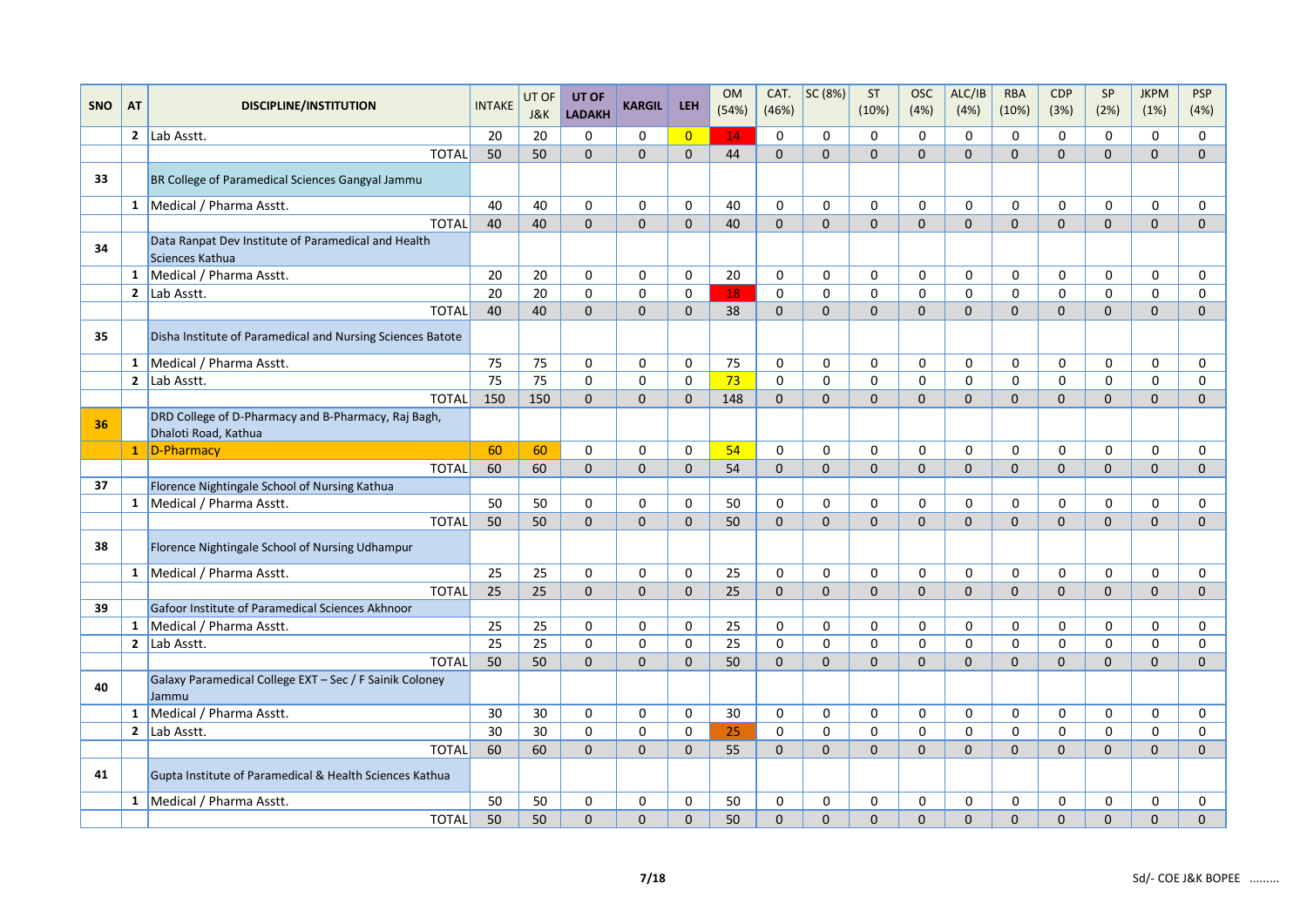|            |                |                                                                        |               | UT OF    | UT OF                       |                     |                | <b>OM</b> | CAT.         | SC (8%)      | <b>ST</b>    | <b>OSC</b>   | ALC/IB       | <b>RBA</b>   | <b>CDP</b>     | SP             | <b>JKPM</b>    | <b>PSP</b>   |
|------------|----------------|------------------------------------------------------------------------|---------------|----------|-----------------------------|---------------------|----------------|-----------|--------------|--------------|--------------|--------------|--------------|--------------|----------------|----------------|----------------|--------------|
| <b>SNO</b> | AT             | <b>DISCIPLINE/INSTITUTION</b>                                          | <b>INTAKE</b> | J&K      | <b>LADAKH</b>               | <b>KARGIL</b>       | <b>LEH</b>     | (54%)     | (46%)        |              | (10%)        | (4% )        | (4%)         | (10%)        | (3%)           | (2%)           | (1%)           | (4%)         |
|            |                | 2 Lab Asstt.                                                           | 20            | 20       | $\mathbf 0$                 | 0                   | $\overline{0}$ | 14        | 0            | $\mathbf 0$  | $\Omega$     | $\Omega$     | $\mathbf 0$  | $\mathbf 0$  | 0              | $\Omega$       | 0              | 0            |
|            |                | <b>TOTAL</b>                                                           | 50            | 50       | $\Omega$                    | $\Omega$            | $\Omega$       | 44        | $\Omega$     | $\Omega$     | $\Omega$     | $\Omega$     | $\Omega$     | $\Omega$     | $\Omega$       | $\Omega$       | $\overline{0}$ | $\Omega$     |
| 33         |                | BR College of Paramedical Sciences Gangyal Jammu                       |               |          |                             |                     |                |           |              |              |              |              |              |              |                |                |                |              |
|            |                | 1 Medical / Pharma Asstt.                                              | 40            | 40       | $\mathbf 0$                 | 0                   | 0              | 40        | 0            | 0            | 0            | 0            | $\mathbf 0$  | 0            | 0              | 0              | 0              | 0            |
|            |                | <b>TOTAL</b>                                                           | 40            | 40       | $\mathbf{0}$                | $\mathbf{0}$        | $\mathbf{0}$   | 40        | $\mathbf{0}$ | $\mathbf{0}$ | $\mathbf{0}$ | $\mathbf{0}$ | $\mathbf{0}$ | $\mathbf{0}$ | $\mathbf 0$    | $\overline{0}$ | 0              | $\pmb{0}$    |
| 34         |                | Data Ranpat Dev Institute of Paramedical and Health<br>Sciences Kathua |               |          |                             |                     |                |           |              |              |              |              |              |              |                |                |                |              |
|            | $\mathbf{1}$   | Medical / Pharma Asstt.                                                | 20            | 20       | $\mathbf 0$                 | $\mathbf 0$         | $\mathbf 0$    | 20        | 0            | 0            | 0            | 0            | $\mathbf 0$  | 0            | 0              | 0              | 0              | 0            |
|            | $\overline{2}$ | Lab Asstt.                                                             | 20            | 20       | $\mathbf 0$                 | $\mathsf{O}\xspace$ | $\mathbf 0$    | 18        | 0            | $\mathbf 0$  | 0            | $\Omega$     | $\mathbf 0$  | $\mathbf 0$  | 0              | 0              | 0              | 0            |
|            |                | <b>TOTAL</b>                                                           | 40            | 40       | $\mathbf{0}$                | $\mathbf 0$         | $\Omega$       | 38        | $\Omega$     | $\Omega$     | $\Omega$     | $\Omega$     | $\mathbf{0}$ | $\mathbf{0}$ | $\mathbf{0}$   | $\mathbf{0}$   | $\overline{0}$ | $\Omega$     |
| 35         |                | Disha Institute of Paramedical and Nursing Sciences Batote             |               |          |                             |                     |                |           |              |              |              |              |              |              |                |                |                |              |
|            |                | 1 Medical / Pharma Asstt.                                              | 75            | 75       | $\mathbf 0$                 | 0                   | 0              | 75        | 0            | $\mathbf 0$  | 0            | $\mathbf 0$  | $\mathbf 0$  | $\mathbf 0$  | $\mathbf 0$    | 0              | 0              | 0            |
|            |                | 2 Lab Asstt.                                                           | 75            | 75       | $\mathbf{0}$                | $\mathbf 0$         | $\Omega$       | 73        | $\Omega$     | $\Omega$     | $\Omega$     | $\Omega$     | $\Omega$     | $\Omega$     | 0              | $\Omega$       | $\Omega$       | $\Omega$     |
|            |                | <b>TOTAL</b>                                                           | 150           | 150      | $\mathbf{0}$                | $\mathbf 0$         | $\Omega$       | 148       | $\Omega$     | $\mathbf{0}$ | $\Omega$     | $\Omega$     | $\Omega$     | $\Omega$     | $\mathbf{0}$   | $\mathbf{0}$   | $\mathbf{0}$   | $\mathbf{0}$ |
| 36         |                | DRD College of D-Pharmacy and B-Pharmacy, Raj Bagh,                    |               |          |                             |                     |                |           |              |              |              |              |              |              |                |                |                |              |
|            |                | Dhaloti Road, Kathua                                                   | 60            |          |                             | $\mathbf 0$         | $\mathbf 0$    |           | 0            | 0            | $\Omega$     | $\Omega$     | $\mathbf 0$  | $\mathbf 0$  | 0              | 0              | 0              | 0            |
|            |                | 1 D-Pharmacy<br><b>TOTAL</b>                                           | 60            | 60<br>60 | $\mathbf 0$<br>$\mathbf{0}$ | $\mathbf 0$         | $\Omega$       | 54<br>54  | $\Omega$     | $\mathbf{0}$ | $\Omega$     | $\Omega$     | $\Omega$     | $\Omega$     | $\Omega$       | $\Omega$       | $\Omega$       | $\Omega$     |
| 37         |                | Florence Nightingale School of Nursing Kathua                          |               |          |                             |                     |                |           |              |              |              |              |              |              |                |                |                |              |
|            |                | 1 Medical / Pharma Asstt.                                              | 50            | 50       | $\mathbf 0$                 | 0                   | 0              | 50        | 0            | 0            | 0            | $\Omega$     | $\mathbf 0$  | $\mathbf 0$  | $\mathbf 0$    | 0              | 0              | 0            |
|            |                | <b>TOTAL</b>                                                           | 50            | 50       | $\mathbf{0}$                | $\mathbf 0$         | $\Omega$       | 50        | $\Omega$     | $\mathbf{0}$ | $\Omega$     | $\Omega$     | $\Omega$     | $\mathbf{0}$ | $\overline{0}$ | $\overline{0}$ | $\overline{0}$ | $\mathbf 0$  |
| 38         |                | Florence Nightingale School of Nursing Udhampur                        |               |          |                             |                     |                |           |              |              |              |              |              |              |                |                |                |              |
|            |                | 1 Medical / Pharma Asstt.                                              | 25            | 25       | $\mathbf 0$                 | 0                   | 0              | 25        | 0            | 0            | 0            | $\Omega$     | $\mathbf 0$  | 0            | $\mathbf 0$    | 0              | 0              | 0            |
|            |                | <b>TOTAL</b>                                                           | 25            | 25       | $\mathbf{0}$                | $\mathbf 0$         | $\mathbf{0}$   | 25        | $\mathbf 0$  | $\mathbf{0}$ | $\mathbf{0}$ | $\mathbf{0}$ | $\mathbf{0}$ | $\mathbf{0}$ | $\mathbf{0}$   | $\mathbf{0}$   | $\mathbf{0}$   | $\mathbf{0}$ |
| 39         |                | Gafoor Institute of Paramedical Sciences Akhnoor                       |               |          |                             |                     |                |           |              |              |              |              |              |              |                |                |                |              |
|            |                | 1   Medical / Pharma Asstt.                                            | 25            | 25       | $\mathbf 0$                 | 0                   | 0              | 25        | $\mathbf 0$  | 0            | 0            | 0            | $\mathbf 0$  | 0            | 0              | 0              | 0              | 0            |
|            | $\mathbf{2}$   | Lab Asstt.                                                             | 25            | 25       | $\mathbf 0$                 | 0                   | $\mathbf 0$    | 25        | 0            | 0            | 0            | $\mathbf 0$  | $\mathbf 0$  | $\mathbf 0$  | 0              | 0              | 0              | 0            |
|            |                | <b>TOTAL</b>                                                           | 50            | 50       | $\mathbf{0}$                | $\mathbf 0$         | $\mathbf{0}$   | 50        | $\mathbf{0}$ | $\mathbf{0}$ | $\mathbf{0}$ | $\mathbf{0}$ | $\mathbf{0}$ | $\mathbf{0}$ | $\mathbf{0}$   | $\mathbf{0}$   | $\overline{0}$ | $\mathbf{0}$ |
| 40         |                | Galaxy Paramedical College EXT - Sec / F Sainik Coloney<br>Jammu       |               |          |                             |                     |                |           |              |              |              |              |              |              |                |                |                |              |
|            | $\mathbf{1}$   | Medical / Pharma Asstt.                                                | 30            | 30       | $\mathbf 0$                 | 0                   | $\mathbf 0$    | 30        | 0            | 0            | 0            | 0            | $\mathbf 0$  | 0            | 0              | 0              | 0              | 0            |
|            | $2^{\circ}$    | Lab Asstt.                                                             | 30            | 30       | $\mathbf 0$                 | $\pmb{0}$           | $\mathbf 0$    | 25        | 0            | $\pmb{0}$    | 0            | $\mathbf 0$  | $\mathbf 0$  | $\mathbf 0$  | 0              | $\mathbf 0$    | 0              | $\mathbf 0$  |
|            |                | <b>TOTAL</b>                                                           | 60            | 60       | $\mathbf{0}$                | $\mathbf 0$         | $\mathbf{0}$   | 55        | $\Omega$     | $\Omega$     | $\Omega$     | $\Omega$     | $\mathbf{0}$ | $\mathbf{0}$ | $\mathbf{0}$   | $\mathbf{0}$   | $\mathbf{0}$   | $\Omega$     |
| 41         |                | Gupta Institute of Paramedical & Health Sciences Kathua                |               |          |                             |                     |                |           |              |              |              |              |              |              |                |                |                |              |
|            |                | 1 Medical / Pharma Asstt.                                              | 50            | 50       | 0                           | 0                   | 0              | 50        | 0            | 0            | 0            | 0            | 0            | 0            | 0              | 0              | 0              | 0            |
|            |                | <b>TOTAL</b>                                                           | 50            | 50       | $\mathbf 0$                 | $\mathbf 0$         | $\mathbf 0$    | 50        | $\mathbf 0$  | $\mathbf 0$  | $\mathbf 0$  | $\mathbf{0}$ | $\mathbf{0}$ | $\mathbf{0}$ | $\overline{0}$ | 0              | 0              | $\mathbf 0$  |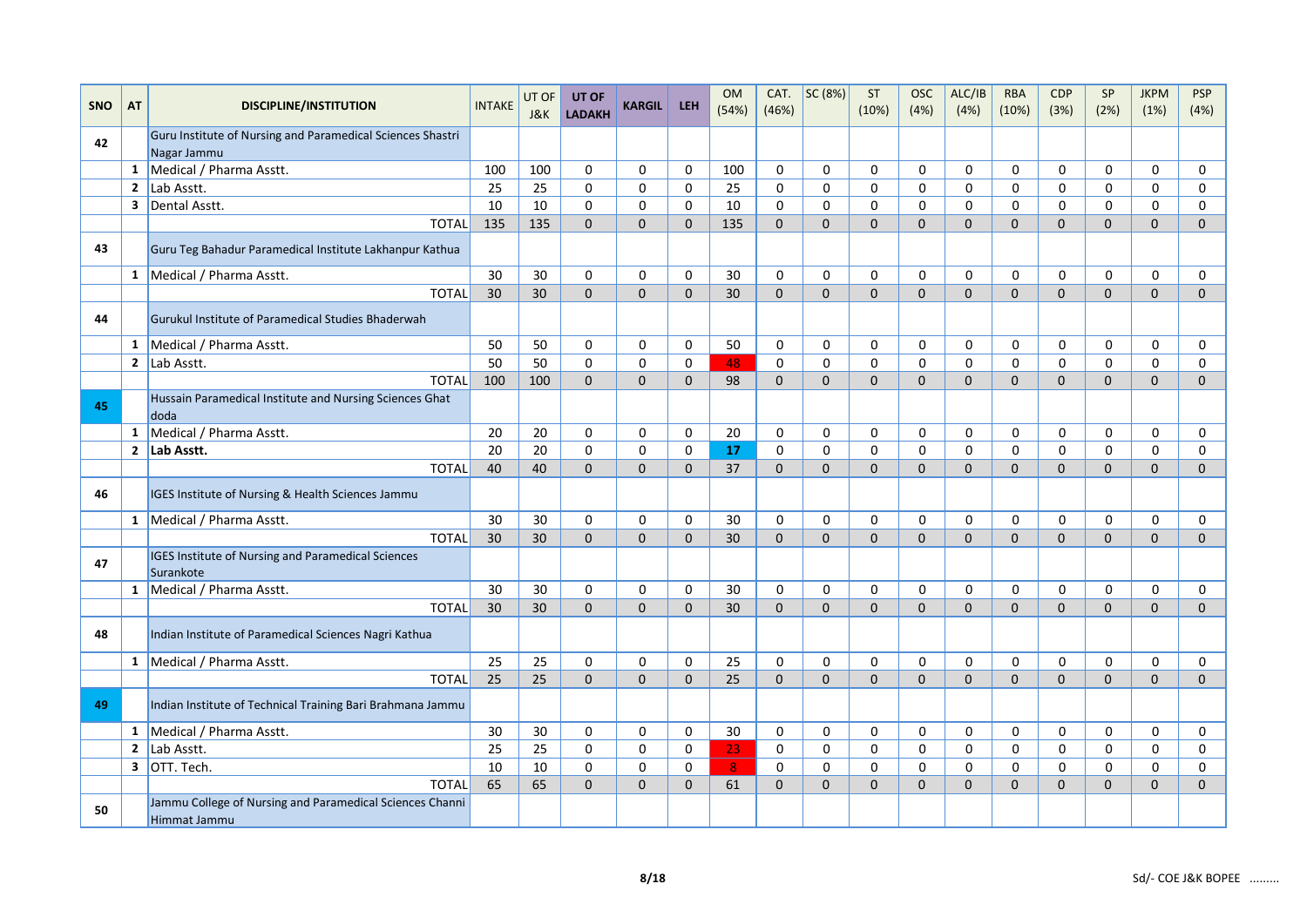| <b>SNO</b> | <b>AT</b>    | <b>DISCIPLINE/INSTITUTION</b>                                            | <b>INTAKE</b>   | UT OF | UT OF         | <b>KARGIL</b> | <b>LEH</b>  | <b>OM</b>      | CAT.        | SC (8%)     | ST           | <b>OSC</b>   | ALC/IB       | <b>RBA</b>     | <b>CDP</b>   | SP           | <b>JKPM</b>    | <b>PSP</b>     |
|------------|--------------|--------------------------------------------------------------------------|-----------------|-------|---------------|---------------|-------------|----------------|-------------|-------------|--------------|--------------|--------------|----------------|--------------|--------------|----------------|----------------|
|            |              |                                                                          |                 | J&K   | <b>LADAKH</b> |               |             | (54%)          | (46%)       |             | (10%)        | (4% )        | (4%)         | (10%)          | (3%)         | (2%)         | (1%)           | (4%)           |
| 42         |              | Guru Institute of Nursing and Paramedical Sciences Shastri               |                 |       |               |               |             |                |             |             |              |              |              |                |              |              |                |                |
|            | $\mathbf{1}$ | Nagar Jammu<br>Medical / Pharma Asstt.                                   | 100             | 100   | 0             | $\mathbf 0$   | $\mathbf 0$ | 100            | 0           | 0           | $\mathbf 0$  | $\mathbf 0$  | $\mathbf 0$  | $\mathbf 0$    | $\mathbf 0$  | $\mathbf 0$  | 0              | 0              |
|            |              | 2 $\vert$ Lab Asstt.                                                     | 25              | 25    | 0             | $\mathbf 0$   | 0           | 25             | 0           | $\mathbf 0$ | $\mathbf 0$  | 0            | $\mathbf 0$  | $\mathbf 0$    | 0            | 0            | 0              | 0              |
|            |              | 3 Dental Asstt.                                                          | 10              | 10    | $\mathbf 0$   | $\mathbf 0$   | $\Omega$    | 10             | 0           | 0           | $\mathbf 0$  | 0            | $\Omega$     | 0              | 0            | 0            | 0              | $\mathbf 0$    |
|            |              | <b>TOTAL</b>                                                             | 135             | 135   | $\mathbf{0}$  | $\mathbf 0$   | $\Omega$    | 135            | $\Omega$    | $\Omega$    | $\Omega$     | $\Omega$     | $\Omega$     | $\Omega$       | $\Omega$     | $\Omega$     | $\overline{0}$ | $\overline{0}$ |
| 43         |              | Guru Teg Bahadur Paramedical Institute Lakhanpur Kathua                  |                 |       |               |               |             |                |             |             |              |              |              |                |              |              |                |                |
|            |              | 1 Medical / Pharma Asstt.                                                | 30              | 30    | $\Omega$      | $\Omega$      | $\Omega$    | 30             | $\Omega$    | $\Omega$    | $\Omega$     | $\Omega$     | $\Omega$     | $\Omega$       | $\Omega$     | $\Omega$     | $\Omega$       | 0              |
|            |              | <b>TOTAL</b>                                                             | 30              | 30    | $\mathbf{0}$  | $\mathbf 0$   | $\Omega$    | 30             | $\Omega$    | $\mathbf 0$ | $\Omega$     | $\Omega$     | $\Omega$     | $\Omega$       | $\Omega$     | $\Omega$     | $\overline{0}$ | $\overline{0}$ |
| 44         |              | Gurukul Institute of Paramedical Studies Bhaderwah                       |                 |       |               |               |             |                |             |             |              |              |              |                |              |              |                |                |
|            | $\mathbf{1}$ | Medical / Pharma Asstt.                                                  | 50              | 50    | $\mathbf 0$   | $\Omega$      | $\Omega$    | 50             | $\Omega$    | $\Omega$    | $\mathbf{0}$ | $\Omega$     | $\Omega$     | $\Omega$       | $\Omega$     | 0            | $\Omega$       | 0              |
|            |              | 2 Lab Asstt.                                                             | 50              | 50    | $\mathbf 0$   | $\mathbf 0$   | $\mathbf 0$ | 48             | $\mathbf 0$ | $\mathbf 0$ | $\mathbf 0$  | $\mathbf 0$  | $\Omega$     | $\Omega$       | $\mathbf 0$  | $\mathbf 0$  | 0              | 0              |
|            |              | <b>TOTAL</b>                                                             | 100             | 100   | $\mathbf{0}$  | $\mathbf 0$   | $\Omega$    | 98             | $\Omega$    | $\Omega$    | $\Omega$     | $\Omega$     | $\Omega$     | $\Omega$       | $\Omega$     | $\mathbf{0}$ | 0              | $\mathbf 0$    |
| 45         |              | Hussain Paramedical Institute and Nursing Sciences Ghat<br>doda          |                 |       |               |               |             |                |             |             |              |              |              |                |              |              |                |                |
|            | $\mathbf{1}$ | Medical / Pharma Asstt.                                                  | 20              | 20    | $\mathbf 0$   | $\mathbf 0$   | $\mathbf 0$ | 20             | 0           | 0           | $\mathbf 0$  | $\mathbf 0$  | $\Omega$     | $\Omega$       | $\mathbf 0$  | $\mathbf 0$  | $\mathbf 0$    | 0              |
|            |              | 2 Lab Asstt.                                                             | 20              | 20    | $\mathbf 0$   | $\mathbf 0$   | $\mathbf 0$ | 17             | $\mathbf 0$ | $\mathbf 0$ | $\mathbf 0$  | $\mathbf 0$  | $\Omega$     | $\Omega$       | 0            | $\mathbf 0$  | 0              | $\pmb{0}$      |
|            |              | <b>TOTAL</b>                                                             | 40              | 40    | $\mathbf{0}$  | $\Omega$      | $\Omega$    | 37             | $\Omega$    | $\Omega$    | $\Omega$     | $\Omega$     | $\Omega$     | $\Omega$       | $\Omega$     | $\mathbf{0}$ | 0              | $\mathbf 0$    |
| 46         |              | IGES Institute of Nursing & Health Sciences Jammu                        |                 |       |               |               |             |                |             |             |              |              |              |                |              |              |                |                |
|            |              | 1   Medical / Pharma Asstt.                                              | 30              | 30    | 0             | 0             | $\mathbf 0$ | 30             | 0           | 0           | $\mathbf 0$  | $\mathbf 0$  | $\mathbf 0$  | $\mathbf 0$    | 0            | 0            | 0              | 0              |
|            |              | <b>TOTAL</b>                                                             | 30              | 30    | $\mathbf 0$   | $\mathbf 0$   | $\mathbf 0$ | 30             | $\Omega$    | $\Omega$    | $\mathbf{0}$ | $\Omega$     | $\Omega$     | $\Omega$       | $\mathbf{0}$ | $\mathbf{0}$ | $\overline{0}$ | $\mathbf{0}$   |
| 47         |              | IGES Institute of Nursing and Paramedical Sciences<br>Surankote          |                 |       |               |               |             |                |             |             |              |              |              |                |              |              |                |                |
|            |              | 1   Medical / Pharma Asstt.                                              | 30              | 30    | $\mathbf 0$   | $\mathbf 0$   | $\Omega$    | 30             | $\Omega$    | $\mathbf 0$ | $\mathbf 0$  | $\Omega$     | $\Omega$     | $\Omega$       | 0            | $\Omega$     | 0              | $\mathbf 0$    |
|            |              | <b>TOTAL</b>                                                             | 30              | 30    | $\Omega$      | $\Omega$      | $\Omega$    | 30             | $\Omega$    | $\Omega$    | $\Omega$     | $\Omega$     | $\Omega$     | $\Omega$       | $\Omega$     | $\Omega$     | 0              | $\Omega$       |
| 48         |              | Indian Institute of Paramedical Sciences Nagri Kathua                    |                 |       |               |               |             |                |             |             |              |              |              |                |              |              |                |                |
|            |              | 1 Medical / Pharma Asstt.                                                | 25              | 25    | $\Omega$      | $\mathbf 0$   | $\Omega$    | 25             | $\Omega$    | 0           | $\mathbf 0$  | $\mathbf 0$  | $\Omega$     | $\Omega$       | $\Omega$     | $\mathbf 0$  | $\mathbf 0$    | 0              |
|            |              | <b>TOTAL</b>                                                             | 25              | 25    | $\mathbf 0$   | $\mathbf 0$   | $\Omega$    | 25             | $\Omega$    | $\Omega$    | $\Omega$     | $\Omega$     | $\Omega$     | $\Omega$       | $\Omega$     | $\Omega$     | $\overline{0}$ | $\mathbf 0$    |
| 49         |              | Indian Institute of Technical Training Bari Brahmana Jammu               |                 |       |               |               |             |                |             |             |              |              |              |                |              |              |                |                |
|            |              | 1   Medical / Pharma Asstt.                                              | 30              | 30    | $\mathbf 0$   | $\mathbf 0$   | $\mathbf 0$ | 30             | 0           | 0           | $\mathbf 0$  | $\mathbf 0$  | $\Omega$     | $\Omega$       | $\mathbf 0$  | $\mathbf 0$  | $\mathbf 0$    | 0              |
|            |              | 2 $\lfloor$ Lab Asstt.                                                   | $\overline{25}$ | 25    | $\mathbf 0$   | $\mathbf 0$   | $\mathbf 0$ | 23             | $\mathbf 0$ | $\mathbf 0$ | $\mathbf 0$  | $\mathbf 0$  | $\mathbf 0$  | $\mathbf 0$    | $\mathbf 0$  | $\mathsf{o}$ | 0              | $\mathsf 0$    |
|            |              | $3$ OTT. Tech.                                                           | 10              | 10    | $\mathbf 0$   | $\mathbf 0$   | $\mathbf 0$ | 8 <sup>°</sup> | $\mathbf 0$ | $\mathbf 0$ | $\mathbf 0$  | 0            | $\mathbf 0$  | $\mathbf 0$    | 0            | 0            | 0              | $\mathbf 0$    |
|            |              | <b>TOTAL</b>                                                             | 65              | 65    | $\mathbf{0}$  | $\mathbf 0$   | $\mathbf 0$ | 61             | $\Omega$    | $\mathbf 0$ | $\mathbf{0}$ | $\mathbf{0}$ | $\mathbf{0}$ | $\overline{0}$ | $\mathbf{0}$ | $\mathbf{0}$ | $\overline{0}$ | $\mathbf 0$    |
| 50         |              | Jammu College of Nursing and Paramedical Sciences Channi<br>Himmat Jammu |                 |       |               |               |             |                |             |             |              |              |              |                |              |              |                |                |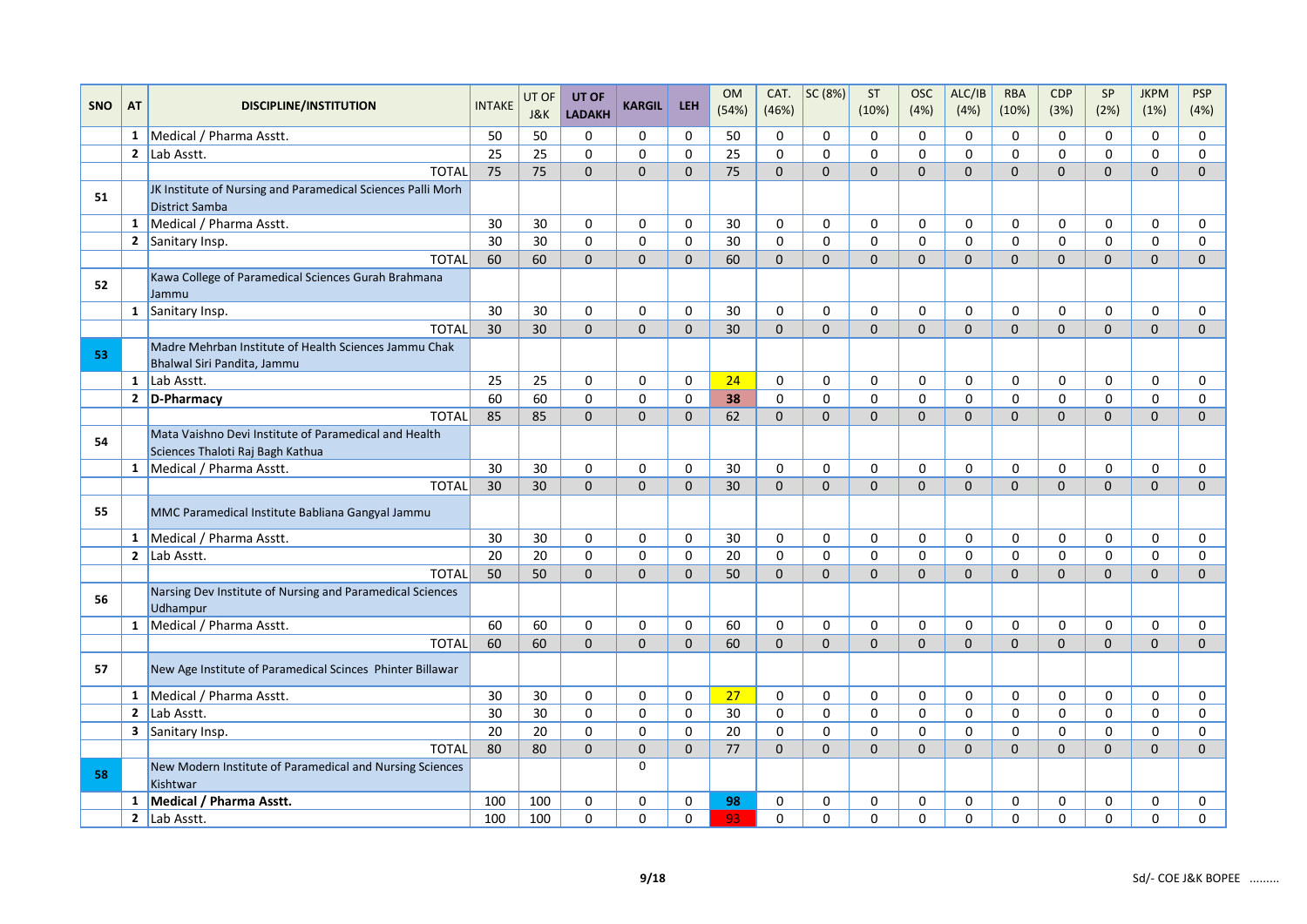|            |              |                                                                                      |               | UT OF           | UT OF               |               |             | <b>OM</b> | CAT.         | SC (8%)      | <b>ST</b>    | <b>OSC</b>   | ALC/IB         | <b>RBA</b>          | <b>CDP</b>     | SP           | <b>JKPM</b>    | <b>PSP</b>   |
|------------|--------------|--------------------------------------------------------------------------------------|---------------|-----------------|---------------------|---------------|-------------|-----------|--------------|--------------|--------------|--------------|----------------|---------------------|----------------|--------------|----------------|--------------|
| <b>SNO</b> | AT           | <b>DISCIPLINE/INSTITUTION</b>                                                        | <b>INTAKE</b> | J&K             | <b>LADAKH</b>       | <b>KARGIL</b> | <b>LEH</b>  | (54%)     | (46%)        |              | (10%)        | (4% )        | (4%)           | (10%)               | (3%)           | (2%)         | (1%)           | (4%)         |
|            |              | 1   Medical / Pharma Asstt.                                                          | 50            | 50              | $\mathbf 0$         | $\mathbf 0$   | 0           | 50        | 0            | $\mathbf 0$  | 0            | $\Omega$     | $\mathbf 0$    | $\mathbf 0$         | 0              | $\mathbf 0$  | 0              | 0            |
|            |              | 2 $\vert$ Lab Asstt.                                                                 | 25            | 25              | $\mathbf 0$         | $\mathbf 0$   | $\mathbf 0$ | 25        | $\mathbf 0$  | $\mathbf 0$  | $\Omega$     | $\Omega$     | $\Omega$       | $\Omega$            | $\mathbf 0$    | $\Omega$     | $\Omega$       | $\mathbf 0$  |
|            |              | <b>TOTAL</b>                                                                         | 75            | 75              | $\mathbf{0}$        | $\mathbf{0}$  | $\Omega$    | 75        | $\Omega$     | $\Omega$     | $\Omega$     | $\Omega$     | $\mathbf{0}$   | $\Omega$            | $\mathbf{0}$   | $\mathbf{0}$ | $\mathbf{0}$   | $\mathbf{0}$ |
| 51         |              | JK Institute of Nursing and Paramedical Sciences Palli Morh<br><b>District Samba</b> |               |                 |                     |               |             |           |              |              |              |              |                |                     |                |              |                |              |
|            |              | 1   Medical / Pharma Asstt.                                                          | 30            | 30              | $\mathbf 0$         | 0             | 0           | 30        | 0            | 0            | $\mathbf 0$  | $\mathbf 0$  | $\mathbf 0$    | $\mathbf 0$         | $\mathbf 0$    | $\mathbf 0$  | 0              | 0            |
|            |              | 2 Sanitary Insp.                                                                     | 30            | 30              | $\mathbf 0$         | $\mathbf 0$   | $\mathbf 0$ | 30        | $\mathbf 0$  | $\mathbf 0$  | $\Omega$     | $\Omega$     | $\Omega$       | $\mathbf 0$         | 0              | 0            | 0              | $\mathbf 0$  |
|            |              | <b>TOTAL</b>                                                                         | 60            | 60              | $\mathbf{0}$        | $\mathbf{0}$  | $\Omega$    | 60        | $\Omega$     | $\mathbf{0}$ | $\mathbf{0}$ | $\mathbf{0}$ | $\mathbf{0}$   | $\Omega$            | $\overline{0}$ | $\mathbf{0}$ | $\mathbf{0}$   | $\mathbf{0}$ |
| 52         |              | Kawa College of Paramedical Sciences Gurah Brahmana<br>Jammu                         |               |                 |                     |               |             |           |              |              |              |              |                |                     |                |              |                |              |
|            |              | $1$ Sanitary Insp.                                                                   | 30            | 30              | $\mathbf 0$         | $\mathbf 0$   | 0           | 30        | $\mathbf 0$  | $\mathbf 0$  | 0            | $\Omega$     | $\mathbf 0$    | $\mathbf 0$         | 0              | 0            | 0              | $\mathbf 0$  |
|            |              | <b>TOTAL</b>                                                                         | 30            | 30              | $\mathbf{0}$        | $\mathbf 0$   | $\mathbf 0$ | 30        | $\Omega$     | $\mathbf 0$  | $\Omega$     | $\Omega$     | $\mathbf{0}$   | $\Omega$            | $\mathbf{0}$   | $\mathbf{0}$ | $\mathbf{0}$   | $\mathbf{0}$ |
| -53        |              | Madre Mehrban Institute of Health Sciences Jammu Chak<br>Bhalwal Siri Pandita, Jammu |               |                 |                     |               |             |           |              |              |              |              |                |                     |                |              |                |              |
|            |              | $1$ Lab Asstt.                                                                       | 25            | 25              | $\mathbf 0$         | $\mathbf 0$   | 0           | 24        | $\mathbf 0$  | $\mathbf 0$  | $\mathbf 0$  | $\mathbf 0$  | $\mathbf 0$    | $\mathbf 0$         | 0              | $\mathbf 0$  | 0              | $\mathbf 0$  |
|            |              | 2 D-Pharmacy                                                                         | 60            | 60              | $\mathsf{O}\xspace$ | $\pmb{0}$     | $\pmb{0}$   | 38        | $\pmb{0}$    | $\pmb{0}$    | $\mathbf 0$  | $\mathbf 0$  | 0              | $\mathsf{O}\xspace$ | 0              | $\mathbf 0$  | 0              | $\pmb{0}$    |
|            |              | <b>TOTAL</b>                                                                         | 85            | 85              | $\mathbf{0}$        | $\mathbf 0$   | $\mathbf 0$ | 62        | $\mathbf{0}$ | $\mathbf 0$  | $\mathbf{0}$ | $\Omega$     | $\overline{0}$ | $\mathbf{0}$        | $\overline{0}$ | 0            | $\overline{0}$ | $\mathbf{0}$ |
| 54         |              | Mata Vaishno Devi Institute of Paramedical and Health                                |               |                 |                     |               |             |           |              |              |              |              |                |                     |                |              |                |              |
|            |              | Sciences Thaloti Raj Bagh Kathua                                                     |               |                 |                     |               |             |           |              |              |              |              |                |                     |                |              |                |              |
|            |              | 1   Medical / Pharma Asstt.                                                          | 30            | 30              | $\mathbf 0$         | $\mathbf 0$   | 0           | 30        | $\mathbf 0$  | $\mathbf 0$  | $\mathbf 0$  | $\Omega$     | $\Omega$       | $\Omega$            | $\mathbf 0$    | $\mathbf 0$  | 0              | 0            |
|            |              | <b>TOTAL</b>                                                                         | 30            | 30 <sup>°</sup> | $\Omega$            | $\Omega$      | $\Omega$    | 30        | $\Omega$     | $\Omega$     | $\Omega$     | $\Omega$     | $\Omega$       | $\Omega$            | $\Omega$       | $\Omega$     | $\Omega$       | $\Omega$     |
| 55         |              | MMC Paramedical Institute Babliana Gangyal Jammu                                     |               |                 |                     |               |             |           |              |              |              |              |                |                     |                |              |                |              |
|            |              | 1 Medical / Pharma Asstt.                                                            | 30            | 30              | $\mathbf 0$         | $\mathbf 0$   | 0           | 30        | $\mathbf 0$  | $\mathbf 0$  | $\mathbf{0}$ | $\Omega$     | $\Omega$       | $\Omega$            | $\mathbf 0$    | $\Omega$     | $\Omega$       | 0            |
|            |              | 2 $\vert$ Lab Asstt.                                                                 | 20            | 20              | $\mathbf 0$         | $\mathbf 0$   | $\mathbf 0$ | 20        | $\Omega$     | $\mathbf 0$  | $\Omega$     | $\Omega$     | $\Omega$       | $\Omega$            | 0              | $\Omega$     | $\Omega$       | $\mathbf 0$  |
|            |              | <b>TOTAL</b>                                                                         | 50            | 50              | $\Omega$            | $\Omega$      | $\Omega$    | 50        | $\Omega$     | $\Omega$     | $\Omega$     | $\Omega$     | $\Omega$       | $\Omega$            | $\mathbf{0}$   | $\Omega$     | $\mathbf{0}$   | $\mathbf{0}$ |
| 56         |              | Narsing Dev Institute of Nursing and Paramedical Sciences<br>Udhampur                |               |                 |                     |               |             |           |              |              |              |              |                |                     |                |              |                |              |
|            |              | 1 Medical / Pharma Asstt.                                                            | 60            | 60              | $\mathbf 0$         | $\mathbf 0$   | 0           | 60        | $\mathbf 0$  | $\mathbf 0$  | $\Omega$     | $\Omega$     | $\mathbf 0$    | $\mathbf 0$         | 0              | 0            | 0              | 0            |
|            |              | <b>TOTAL</b>                                                                         | 60            | 60              | $\Omega$            | $\Omega$      | $\Omega$    | 60        | $\Omega$     | $\mathbf{0}$ | $\Omega$     | $\Omega$     | $\Omega$       | $\Omega$            | $\Omega$       | $\Omega$     | $\Omega$       | $\Omega$     |
| 57         |              | New Age Institute of Paramedical Scinces Phinter Billawar                            |               |                 |                     |               |             |           |              |              |              |              |                |                     |                |              |                |              |
|            | $\mathbf{1}$ | Medical / Pharma Asstt.                                                              | 30            | 30              | $\mathbf 0$         | 0             | 0           | 27        | $\mathbf 0$  | $\mathbf 0$  | 0            | $\Omega$     | $\mathbf 0$    | 0                   | 0              | 0            | 0              | 0            |
|            | $\mathbf{2}$ | Lab Asstt.                                                                           | 30            | 30              | $\mathbf 0$         | 0             | 0           | 30        | $\mathbf 0$  | 0            | $\mathbf 0$  | $\Omega$     | $\mathbf 0$    | $\Omega$            | 0              | $\mathbf 0$  | 0              | 0            |
|            |              | 3 Sanitary Insp.                                                                     | 20            | 20              | $\mathbf 0$         | $\mathsf 0$   | $\mathbf 0$ | 20        | $\mathbf 0$  | $\mathbf 0$  | $\mathbf 0$  | $\mathbf 0$  | $\mathbf 0$    | $\mathbf 0$         | $\mathbf 0$    | $\mathbf 0$  | 0              | 0            |
|            |              | <b>TOTAL</b>                                                                         | 80            | 80              | $\Omega$            | $\mathbf 0$   | $\Omega$    | 77        | $\Omega$     | $\Omega$     | $\Omega$     | $\Omega$     | $\Omega$       | $\Omega$            | $\mathbf{0}$   | $\Omega$     | $\mathbf{0}$   | $\Omega$     |
| 58         |              | New Modern Institute of Paramedical and Nursing Sciences<br>Kishtwar                 |               |                 |                     | $\mathbf 0$   |             |           |              |              |              |              |                |                     |                |              |                |              |
|            |              | 1 Medical / Pharma Asstt.                                                            | 100           | 100             | 0                   | 0             | 0           | 98        | 0            | 0            | 0            | 0            | 0              | 0                   | 0              | 0            | 0              | 0            |
|            |              | 2 $\vert$ Lab Asstt.                                                                 | 100           | 100             | $\mathbf 0$         | $\mathbf 0$   | 0           | 93        | $\mathbf 0$  | $\mathbf 0$  | 0            | $\mathbf 0$  | 0              | $\mathbf 0$         | 0              | 0            | 0              | 0            |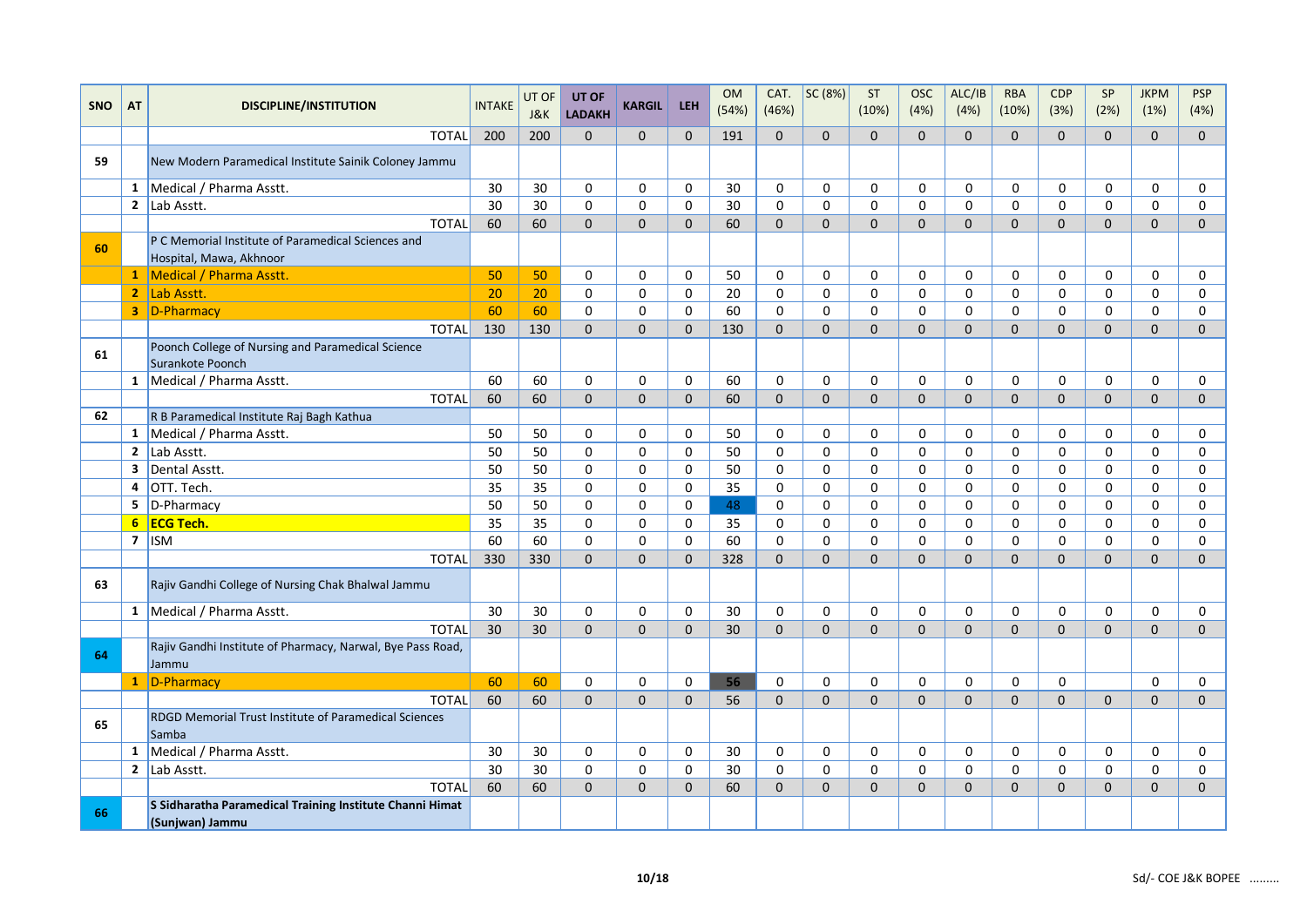|            |                         |                                                                               |               | UT OF | UT OF               |               |              | <b>OM</b> | CAT.        | SC(8%)       | ST           | <b>OSC</b>   | ALC/IB       | <b>RBA</b>   | CDP            | SP           | <b>JKPM</b>    | PSP            |
|------------|-------------------------|-------------------------------------------------------------------------------|---------------|-------|---------------------|---------------|--------------|-----------|-------------|--------------|--------------|--------------|--------------|--------------|----------------|--------------|----------------|----------------|
| <b>SNO</b> | AT                      | <b>DISCIPLINE/INSTITUTION</b>                                                 | <b>INTAKE</b> | J&K   | <b>LADAKH</b>       | <b>KARGIL</b> | <b>LEH</b>   | (54%)     | (46%)       |              | (10%)        | (4%)         | (4%)         | (10%)        | (3%)           | (2%)         | (1%)           | (4%)           |
|            |                         | <b>TOTAL</b>                                                                  | 200           | 200   | $\Omega$            | $\Omega$      | $\Omega$     | 191       | $\Omega$    | $\Omega$     | $\Omega$     | $\Omega$     | $\Omega$     | $\Omega$     | $\Omega$       | $\Omega$     | $\Omega$       | $\overline{0}$ |
| 59         |                         | New Modern Paramedical Institute Sainik Coloney Jammu                         |               |       |                     |               |              |           |             |              |              |              |              |              |                |              |                |                |
|            |                         | 1 Medical / Pharma Asstt.                                                     | 30            | 30    | $\mathbf 0$         | $\mathbf 0$   | 0            | 30        | 0           | $\Omega$     | $\Omega$     | $\Omega$     | $\Omega$     | $\Omega$     | $\Omega$       | $\Omega$     | $\Omega$       | 0              |
|            | $\mathbf{2}$            | Lab Asstt.                                                                    | 30            | 30    | $\mathbf 0$         | $\mathbf 0$   | $\mathbf 0$  | 30        | $\mathbf 0$ | $\mathbf 0$  | $\mathbf 0$  | 0            | $\mathbf 0$  | $\mathbf 0$  | $\mathbf 0$    | 0            | $\mathbf 0$    | 0              |
|            |                         | <b>TOTAL</b>                                                                  | 60            | 60    | $\mathbf 0$         | $\mathbf{0}$  | $\mathbf{0}$ | 60        | $\Omega$    | $\mathbf{0}$ | $\mathbf 0$  | $\mathbf{0}$ | $\mathbf{0}$ | $\mathbf{0}$ | $\overline{0}$ | $\mathbf{0}$ | $\overline{0}$ | $\mathbf 0$    |
| 60         |                         | P C Memorial Institute of Paramedical Sciences and<br>Hospital, Mawa, Akhnoor |               |       |                     |               |              |           |             |              |              |              |              |              |                |              |                |                |
|            |                         | 1 Medical / Pharma Asstt.                                                     | 50            | 50    | 0                   | 0             | 0            | 50        | 0           | 0            | 0            | 0            | 0            | 0            | 0              | 0            | 0              | 0              |
|            |                         | 2 Lab Asstt.                                                                  | 20            | 20    | $\mathbf 0$         | 0             | 0            | 20        | 0           | $\mathbf 0$  | $\mathbf 0$  | $\mathbf 0$  | $\mathbf 0$  | $\mathbf 0$  | $\mathbf 0$    | $\mathbf 0$  | $\mathbf 0$    | $\mathbf 0$    |
|            |                         | 3 D-Pharmacy                                                                  | 60            | 60    | $\mathbf 0$         | $\mathbf 0$   | $\mathbf 0$  | 60        | $\mathbf 0$ | $\mathbf 0$  | $\mathbf 0$  | $\Omega$     | $\mathbf 0$  | $\Omega$     | $\mathbf 0$    | $\Omega$     | 0              | $\mathbf 0$    |
|            |                         | <b>TOTAL</b>                                                                  | 130           | 130   | $\mathbf{0}$        | $\mathbf{0}$  | $\Omega$     | 130       | $\Omega$    | $\Omega$     | $\Omega$     | $\Omega$     | $\Omega$     | $\Omega$     | $\Omega$       | $\Omega$     | $\mathbf{0}$   | $\Omega$       |
| 61         |                         | Poonch College of Nursing and Paramedical Science<br>Surankote Poonch         |               |       |                     |               |              |           |             |              |              |              |              |              |                |              |                |                |
|            |                         | 1   Medical / Pharma Asstt.                                                   | 60            | 60    | $\mathbf 0$         | $\mathbf 0$   | 0            | 60        | 0           | $\mathbf 0$  | $\Omega$     | $\Omega$     | $\Omega$     | $\Omega$     | $\mathbf 0$    | 0            | $\mathbf 0$    | 0              |
|            |                         | <b>TOTAL</b>                                                                  | 60            | 60    | $\mathbf{0}$        | $\Omega$      | $\Omega$     | 60        | $\Omega$    | $\Omega$     | $\Omega$     | $\Omega$     | $\Omega$     | $\Omega$     | $\Omega$       | $\Omega$     | $\mathbf{0}$   | $\overline{0}$ |
| 62         |                         | R B Paramedical Institute Raj Bagh Kathua                                     |               |       |                     |               |              |           |             |              |              |              |              |              |                |              |                |                |
|            |                         | 1 Medical / Pharma Asstt.                                                     | 50            | 50    | $\Omega$            | $\Omega$      | $\Omega$     | 50        | 0           | $\mathbf{0}$ | $\Omega$     | $\Omega$     | $\Omega$     | $\Omega$     | $\Omega$       | $\Omega$     | $\Omega$       | 0              |
|            | $\overline{2}$          | Lab Asstt.                                                                    | 50            | 50    | $\mathsf{O}\xspace$ | $\mathsf 0$   | $\pmb{0}$    | 50        | $\pmb{0}$   | $\mathsf 0$  | $\Omega$     | $\Omega$     | $\Omega$     | $\Omega$     | $\Omega$       | $\Omega$     | $\Omega$       | 0              |
|            | $\overline{\mathbf{3}}$ | Dental Asstt.                                                                 | 50            | 50    | 0                   | 0             | $\pmb{0}$    | 50        | 0           | 0            | $\mathbf 0$  | $\Omega$     | $\Omega$     | $\Omega$     | 0              | $\Omega$     | $\Omega$       | $\Omega$       |
|            | 4                       | OTT. Tech.                                                                    | 35            | 35    | $\mathbf 0$         | $\mathsf 0$   | $\mathbf 0$  | 35        | $\mathbf 0$ | 0            | $\mathbf 0$  | 0            | $\mathbf 0$  | 0            | $\mathbf 0$    | 0            | 0              | $\mathbf 0$    |
|            |                         | $5$ D-Pharmacy                                                                | 50            | 50    | $\mathbf 0$         | $\mathbf 0$   | $\mathbf 0$  | 48        | $\mathbf 0$ | 0            | 0            | $\mathbf 0$  | 0            | $\mathbf 0$  | 0              | 0            | 0              | $\mathbf 0$    |
|            |                         | 6 ECG Tech.                                                                   | 35            | 35    | $\mathbf 0$         | $\mathbf 0$   | $\mathbf 0$  | 35        | $\mathbf 0$ | $\mathbf 0$  | $\mathbf 0$  | $\mathbf 0$  | $\mathbf 0$  | $\mathbf 0$  | $\mathbf 0$    | $\mathbf 0$  | $\mathbf 0$    | 0              |
|            |                         | $7$ ISM                                                                       | 60            | 60    | $\Omega$            | $\mathbf 0$   | $\Omega$     | 60        | $\Omega$    | $\Omega$     | $\Omega$     | $\Omega$     | $\Omega$     | $\Omega$     | $\mathbf 0$    | $\Omega$     | 0              | $\mathbf 0$    |
|            |                         | <b>TOTAL</b>                                                                  | 330           | 330   | $\mathbf{0}$        | $\Omega$      | $\Omega$     | 328       | $\Omega$    | $\Omega$     | $\Omega$     | $\Omega$     | $\Omega$     | $\Omega$     | $\Omega$       | $\Omega$     | $\mathbf{0}$   | $\mathbf{0}$   |
| 63         |                         | Rajiv Gandhi College of Nursing Chak Bhalwal Jammu                            |               |       |                     |               |              |           |             |              |              |              |              |              |                |              |                |                |
|            |                         | 1 Medical / Pharma Asstt.                                                     | 30            | 30    | $\mathbf 0$         | $\mathbf 0$   | 0            | 30        | $\mathbf 0$ | $\mathbf 0$  | $\mathbf 0$  | $\mathbf 0$  | $\mathbf 0$  | $\mathbf 0$  | $\mathbf 0$    | $\mathbf 0$  | $\mathbf 0$    | 0              |
|            |                         | <b>TOTAL</b>                                                                  | 30            | 30    | $\Omega$            | $\Omega$      | $\Omega$     | 30        | $\Omega$    | $\Omega$     | $\Omega$     | $\Omega$     | $\Omega$     | $\Omega$     | $\Omega$       | $\Omega$     | $\Omega$       | $\Omega$       |
| 64         |                         | Rajiv Gandhi Institute of Pharmacy, Narwal, Bye Pass Road,<br>Jammu           |               |       |                     |               |              |           |             |              |              |              |              |              |                |              |                |                |
|            |                         | 1 D-Pharmacy                                                                  | 60            | 60    | 0                   | 0             | 0            | 56        | 0           | 0            | 0            | $\Omega$     | $\Omega$     | 0            | 0              |              | 0              | 0              |
|            |                         | <b>TOTAL</b>                                                                  | 60            | 60    | $\mathbf{0}$        | $\mathbf 0$   | $\mathbf 0$  | 56        | $\Omega$    | $\mathbf 0$  | $\mathbf 0$  | $\mathbf{0}$ | $\mathbf{0}$ | $\mathbf{0}$ | $\mathbf{0}$   | $\mathbf{0}$ | $\mathbf 0$    | $\mathbf 0$    |
| 65         |                         | <b>RDGD Memorial Trust Institute of Paramedical Sciences</b><br>Samba         |               |       |                     |               |              |           |             |              |              |              |              |              |                |              |                |                |
|            |                         | 1 Medical / Pharma Asstt.                                                     | 30            | 30    | 0                   | 0             | 0            | 30        | 0           | 0            | 0            | 0            | 0            | 0            | 0              | 0            | 0              | 0              |
|            |                         | 2 $ $ Lab Asstt.                                                              | 30            | 30    | $\mathbf 0$         | 0             | 0            | 30        | 0           | $\mathbf 0$  | $\mathbf 0$  | $\mathbf 0$  | $\mathbf 0$  | $\mathbf 0$  | $\mathbf 0$    | 0            | $\mathbf 0$    | 0              |
|            |                         | <b>TOTAL</b>                                                                  | 60            | 60    | $\mathbf{0}$        | $\mathbf{0}$  | $\mathbf{0}$ | 60        | $\mathbf 0$ | $\mathbf 0$  | $\mathbf{0}$ | $\mathbf{0}$ | $\mathbf{0}$ | $\mathbf{0}$ | $\mathbf{0}$   | $\mathbf{0}$ | $\mathbf{0}$   | $\overline{0}$ |
| 66         |                         | S Sidharatha Paramedical Training Institute Channi Himat<br>(Sunjwan) Jammu   |               |       |                     |               |              |           |             |              |              |              |              |              |                |              |                |                |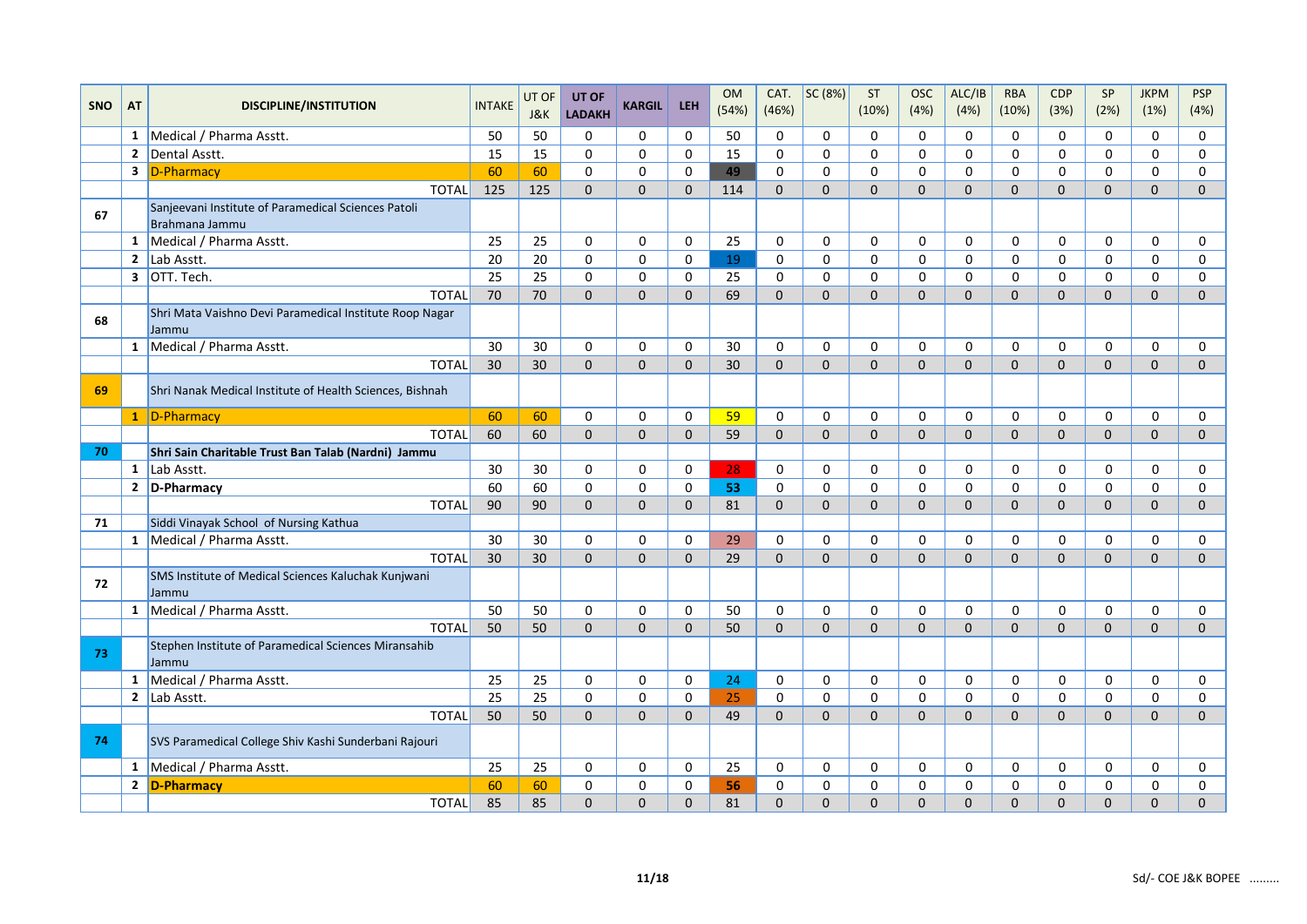|            |                |                                                                       |                 | UT OF          | UT OF         |               |              | <b>OM</b> | CAT.         | SC (8%)      | ST           | <b>OSC</b>   | ALC/IB         | <b>RBA</b>   | CDP            | SP           | <b>JKPM</b>    | <b>PSP</b>   |
|------------|----------------|-----------------------------------------------------------------------|-----------------|----------------|---------------|---------------|--------------|-----------|--------------|--------------|--------------|--------------|----------------|--------------|----------------|--------------|----------------|--------------|
| <b>SNO</b> | <b>AT</b>      | <b>DISCIPLINE/INSTITUTION</b>                                         | <b>INTAKE</b>   | <b>J&amp;K</b> | <b>LADAKH</b> | <b>KARGIL</b> | <b>LEH</b>   | (54%)     | (46%)        |              | (10%)        | (4%)         | (4%)           | (10%)        | (3%)           | (2%)         | (1%)           | (4%)         |
|            |                | 1 Medical / Pharma Asstt.                                             | 50              | 50             | $\mathbf 0$   | $\mathbf 0$   | $\mathbf 0$  | 50        | 0            | $\mathbf 0$  | 0            | $\mathbf 0$  | 0              | 0            | 0              | 0            | $\mathbf 0$    | 0            |
|            | $\overline{2}$ | Dental Asstt.                                                         | 15              | 15             | $\Omega$      | $\Omega$      | $\mathbf 0$  | 15        | $\Omega$     | $\Omega$     | $\Omega$     | $\Omega$     | $\Omega$       | 0            | $\Omega$       | $\Omega$     | $\Omega$       | 0            |
|            |                | 3 D-Pharmacy                                                          | 60              | 60             | $\mathbf 0$   | 0             | $\mathbf 0$  | 49        | 0            | 0            | 0            | $\mathbf 0$  | $\mathbf 0$    | 0            | 0              | 0            | 0              | 0            |
|            |                | <b>TOTAL</b>                                                          | 125             | 125            | $\mathbf 0$   | $\mathbf{0}$  | $\mathbf{0}$ | 114       | $\mathbf{0}$ | $\mathbf{0}$ | $\Omega$     | $\mathbf{0}$ | $\mathbf{0}$   | $\mathbf{0}$ | $\overline{0}$ | $\Omega$     | $\mathbf 0$    | $\mathbf{0}$ |
| 67         |                | Sanjeevani Institute of Paramedical Sciences Patoli<br>Brahmana Jammu |                 |                |               |               |              |           |              |              |              |              |                |              |                |              |                |              |
|            | 1              | Medical / Pharma Asstt.                                               | 25              | 25             | $\mathbf 0$   | $\mathbf 0$   | 0            | 25        | 0            | $\mathbf 0$  | 0            | 0            | $\mathbf 0$    | 0            | 0              | $\mathbf 0$  | 0              | 0            |
|            |                | 2 $\vert$ Lab Asstt.                                                  | 20              | 20             | $\Omega$      | $\mathbf 0$   | $\mathbf 0$  | 19        | $\mathbf 0$  | $\mathbf 0$  | $\Omega$     | $\mathsf{o}$ | $\mathbf 0$    | $\Omega$     | 0              | $\pmb{0}$    | $\mathbf 0$    | $\mathbf 0$  |
|            |                | $3$ OTT. Tech.                                                        | $\overline{25}$ | 25             | $\mathbf 0$   | $\mathsf 0$   | $\mathsf 0$  | 25        | $\mathsf 0$  | $\mathsf 0$  | $\mathbf 0$  | $\mathbf 0$  | 0              | 0            | 0              | $\mathbf 0$  | 0              | $\mathsf 0$  |
|            |                | <b>TOTAL</b>                                                          | 70              | 70             | $\mathbf 0$   | $\mathbf{0}$  | $\mathbf{0}$ | 69        | $\Omega$     | $\mathbf 0$  | $\mathbf{0}$ | $\mathbf{0}$ | $\overline{0}$ | $\mathbf{0}$ | $\overline{0}$ | $\mathbf 0$  | $\mathbf{0}$   | $\mathbf{0}$ |
| 68         |                | Shri Mata Vaishno Devi Paramedical Institute Roop Nagar<br>Jammu      |                 |                |               |               |              |           |              |              |              |              |                |              |                |              |                |              |
|            |                | 1 Medical / Pharma Asstt.                                             | 30              | 30             | $\mathbf 0$   | 0             | $\mathbf 0$  | 30        | 0            | $\mathbf 0$  | 0            | $\mathbf 0$  | 0              | 0            | 0              | 0            | 0              | 0            |
|            |                | <b>TOTAL</b>                                                          | 30              | 30             | $\Omega$      | $\Omega$      | $\Omega$     | 30        | $\Omega$     | $\Omega$     | $\Omega$     | $\Omega$     | $\overline{0}$ | $\Omega$     | $\overline{0}$ | $\Omega$     | $\mathbf 0$    | $\mathbf{0}$ |
| 69         |                | Shri Nanak Medical Institute of Health Sciences, Bishnah              |                 |                |               |               |              |           |              |              |              |              |                |              |                |              |                |              |
|            |                | 1 D-Pharmacy                                                          | 60              | 60             | $\mathbf 0$   | $\mathbf 0$   | 0            | 59        | $\mathbf 0$  | 0            | $\Omega$     | 0            | 0              | 0            | 0              | $\mathbf 0$  | $\mathbf 0$    | 0            |
|            |                | <b>TOTAL</b>                                                          | 60              | 60             | $\Omega$      | $\mathbf{0}$  | $\Omega$     | 59        | $\Omega$     | $\Omega$     | $\Omega$     | $\Omega$     | $\Omega$       | $\Omega$     | $\Omega$       | $\Omega$     | $\Omega$       | $\mathbf{0}$ |
| 70         |                | Shri Sain Charitable Trust Ban Talab (Nardni) Jammu                   |                 |                |               |               |              |           |              |              |              |              |                |              |                |              |                |              |
|            | $\mathbf{1}$   | Lab Asstt.                                                            | 30              | 30             | $\mathbf 0$   | $\mathbf 0$   | $\mathbf 0$  | 28        | $\mathbf 0$  | $\mathbf 0$  | 0            | $\mathbf 0$  | $\mathbf 0$    | 0            | 0              | 0            | 0              | 0            |
|            |                | 2 $D$ -Pharmacy                                                       | 60              | 60             | $\Omega$      | $\Omega$      | $\Omega$     | 53        | $\Omega$     | $\Omega$     | $\Omega$     | $\Omega$     | $\Omega$       | 0            | $\Omega$       | $\Omega$     | 0              | 0            |
|            |                | <b>TOTAL</b>                                                          | 90              | 90             | $\mathbf{0}$  | $\mathbf{0}$  | $\mathbf{0}$ | 81        | $\mathbf{0}$ | $\Omega$     | $\Omega$     | $\mathbf{0}$ | 0              | $\mathbf{0}$ | 0              | $\mathbf{0}$ | $\mathbf{0}$   | $\mathbf{0}$ |
| 71         |                | Siddi Vinayak School of Nursing Kathua                                |                 |                |               |               |              |           |              |              |              |              |                |              |                |              |                |              |
|            |                | 1   Medical / Pharma Asstt.                                           | 30              | 30             | $\mathbf 0$   | $\mathbf 0$   | $\mathbf 0$  | 29        | 0            | $\mathbf 0$  | 0            | 0            | 0              | 0            | 0              | $\mathbf 0$  | 0              | 0            |
|            |                | <b>TOTAL</b>                                                          | 30              | 30             | $\mathbf 0$   | $\mathbf 0$   | $\mathbf{0}$ | 29        | $\Omega$     | $\Omega$     | $\Omega$     | $\mathbf{0}$ | $\overline{0}$ | $\mathbf{0}$ | $\overline{0}$ | $\Omega$     | $\mathbf 0$    | $\mathbf 0$  |
| 72         |                | SMS Institute of Medical Sciences Kaluchak Kunjwani<br>Jammu          |                 |                |               |               |              |           |              |              |              |              |                |              |                |              |                |              |
|            | $\mathbf{1}$   | Medical / Pharma Asstt.                                               | 50              | 50             | $\mathbf 0$   | 0             | $\mathbf 0$  | 50        | 0            | $\mathbf 0$  | 0            | 0            | 0              | 0            | 0              | 0            | 0              | 0            |
|            |                | <b>TOTAL</b>                                                          | 50              | 50             | $\mathbf 0$   | $\mathbf{0}$  | $\mathbf{0}$ | 50        | $\mathbf{0}$ | $\mathbf{0}$ | $\mathbf{0}$ | $\mathbf{0}$ | $\mathbf{0}$   | $\mathbf{0}$ | $\overline{0}$ | $\mathbf 0$  | $\mathbf 0$    | $\mathbf{0}$ |
| 73         |                | Stephen Institute of Paramedical Sciences Miransahib<br>Jammu         |                 |                |               |               |              |           |              |              |              |              |                |              |                |              |                |              |
|            |                | 1 Medical / Pharma Asstt.                                             | 25              | 25             | $\mathbf 0$   | $\mathbf 0$   | 0            | 24        | 0            | 0            | $\Omega$     | 0            | 0              | 0            | 0              | $\mathbf 0$  | 0              | 0            |
|            |                | 2 Lab Asstt.                                                          | 25              | 25             | $\mathbf 0$   | $\mathbf 0$   | $\mathbf 0$  | 25        | 0            | $\mathbf 0$  | $\Omega$     | $\mathbf 0$  | $\mathbf 0$    | 0            | 0              | 0            | $\mathbf 0$    | 0            |
|            |                | <b>TOTAL</b>                                                          | 50              | 50             | $\mathbf 0$   | $\mathbf{0}$  | $\mathbf{0}$ | 49        | $\mathbf{0}$ | $\mathbf{0}$ | $\mathbf{0}$ | $\mathbf{0}$ | $\overline{0}$ | $\mathbf{0}$ | $\overline{0}$ | $\mathbf 0$  | $\mathbf{0}$   | $\mathbf{0}$ |
| 74         |                | SVS Paramedical College Shiv Kashi Sunderbani Rajouri                 |                 |                |               |               |              |           |              |              |              |              |                |              |                |              |                |              |
|            |                | 1 Medical / Pharma Asstt.                                             | 25              | 25             | 0             | $\mathbf 0$   | $\Omega$     | 25        | 0            | $\Omega$     | $\Omega$     | $\Omega$     | $\mathbf 0$    | 0            | 0              | 0            | $\mathbf 0$    | 0            |
|            |                | 2 D-Pharmacy                                                          | 60              | 60             | $\mathbf 0$   | 0             | 0            | 56        | 0            | $\mathbf 0$  | 0            | $\mathbf 0$  | 0              | 0            | 0              | $\mathbf 0$  | 0              | 0            |
|            |                | <b>TOTAL</b>                                                          | 85              | 85             | $\Omega$      | $\Omega$      | $\mathbf{0}$ | 81        | $\Omega$     | $\mathbf 0$  | $\Omega$     | $\Omega$     | $\overline{0}$ | 0            | $\Omega$       | $\Omega$     | $\overline{0}$ | $\mathbf{0}$ |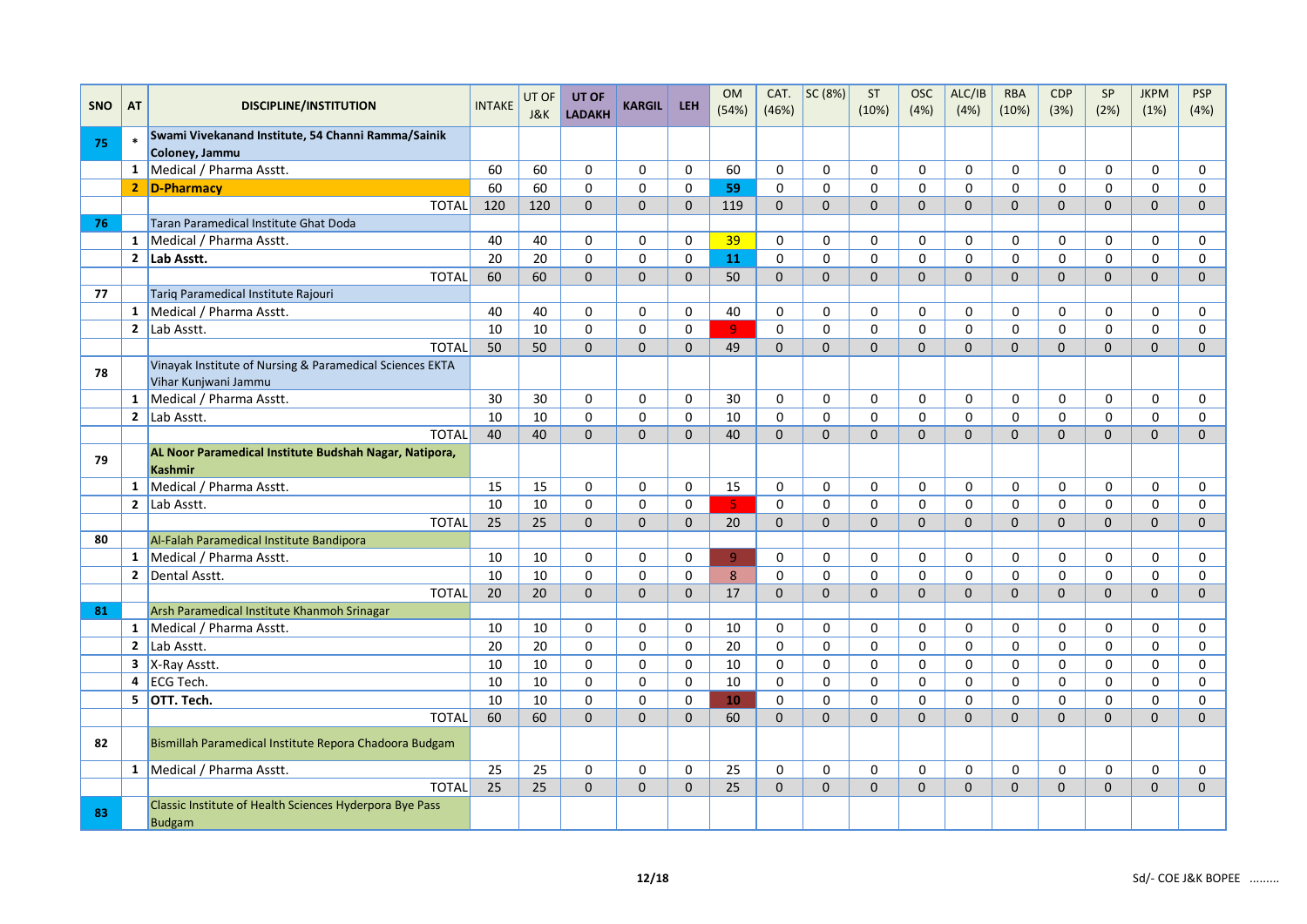| <b>SNO</b> | AT           | <b>DISCIPLINE/INSTITUTION</b>                                                    | <b>INTAKE</b> | UT OF<br>J&K | UT OF<br><b>LADAKH</b> | <b>KARGIL</b> | <b>LEH</b>   | <b>OM</b><br>(54%) | CAT.<br>(46%) | SC (8%)      | <b>ST</b><br>(10%) | <b>OSC</b><br>(4% ) | ALC/IB<br>(4%) | <b>RBA</b><br>(10%) | <b>CDP</b><br>(3%)  | SP<br>(2%)     | <b>JKPM</b><br>(1%) | <b>PSP</b><br>(4%) |
|------------|--------------|----------------------------------------------------------------------------------|---------------|--------------|------------------------|---------------|--------------|--------------------|---------------|--------------|--------------------|---------------------|----------------|---------------------|---------------------|----------------|---------------------|--------------------|
|            |              | Swami Vivekanand Institute, 54 Channi Ramma/Sainik                               |               |              |                        |               |              |                    |               |              |                    |                     |                |                     |                     |                |                     |                    |
| 75         |              | Coloney, Jammu                                                                   |               |              |                        |               |              |                    |               |              |                    |                     |                |                     |                     |                |                     |                    |
|            |              | 1 Medical / Pharma Asstt.                                                        | 60            | 60           | $\mathbf 0$            | $\mathbf 0$   | $\mathbf 0$  | 60                 | 0             | 0            | $\Omega$           | $\Omega$            | $\mathbf 0$    | $\mathbf 0$         | $\mathbf 0$         | 0              | 0                   | 0                  |
|            |              | 2 D-Pharmacy                                                                     | 60            | 60           | $\mathbf 0$            | $\mathbf 0$   | $\mathbf 0$  | 59                 | $\mathbf 0$   | $\mathbf 0$  | $\Omega$           | $\Omega$            | 0              | $\Omega$            | 0                   | $\Omega$       | 0                   | $\mathbf 0$        |
|            |              | <b>TOTAL</b>                                                                     | 120           | 120          | $\mathbf{0}$           | $\mathbf 0$   | $\mathbf 0$  | 119                | $\Omega$      | $\mathbf 0$  | $\Omega$           | $\mathbf{0}$        | $\Omega$       | $\mathbf{0}$        | $\mathbf{0}$        | $\overline{0}$ | $\mathbf{0}$        | $\mathbf{0}$       |
| 76         |              | Taran Paramedical Institute Ghat Doda                                            |               |              |                        |               |              |                    |               |              |                    |                     |                |                     |                     |                |                     |                    |
|            |              | 1 Medical / Pharma Asstt.                                                        | 40            | 40           | $\mathbf 0$            | $\mathbf 0$   | $\mathbf 0$  | 39                 | 0             | 0            | 0                  | $\Omega$            | $\mathbf 0$    | $\mathbf 0$         | 0                   | $\mathbf 0$    | 0                   | 0                  |
|            |              | 2 Lab Asstt.                                                                     | 20            | 20           | $\mathbf{0}$           | $\mathbf 0$   | $\Omega$     | 11                 | $\mathbf{0}$  | $\Omega$     | $\Omega$           | $\Omega$            | $\Omega$       | $\Omega$            | $\Omega$            | $\Omega$       | $\Omega$            | $\Omega$           |
|            |              | <b>TOTAL</b>                                                                     | 60            | 60           | $\Omega$               | $\Omega$      | $\Omega$     | 50                 | $\Omega$      | $\Omega$     | $\Omega$           | $\Omega$            | $\mathbf{0}$   | $\Omega$            | $\Omega$            | $\Omega$       | $\mathbf{0}$        | $\Omega$           |
| 77         |              | Tariq Paramedical Institute Rajouri                                              |               |              |                        |               |              |                    |               |              |                    |                     |                |                     |                     |                |                     |                    |
|            |              | 1 Medical / Pharma Asstt.                                                        | 40            | 40           | $\mathbf{0}$           | $\mathbf 0$   | $\mathbf 0$  | 40                 | $\mathbf 0$   | $\Omega$     | $\Omega$           | $\Omega$            | $\Omega$       | $\Omega$            | 0                   | 0              | 0                   | 0                  |
|            |              | 2 $\vert$ Lab Asstt.                                                             | 10            | 10           | $\mathbf 0$            | $\mathbf 0$   | $\mathbf 0$  | $\overline{9}$     | 0             | $\mathbf 0$  | $\Omega$           | $\Omega$            | $\mathbf 0$    | $\Omega$            | 0                   | $\Omega$       | 0                   | $\mathbf 0$        |
|            |              | <b>TOTAL</b>                                                                     | 50            | 50           | $\Omega$               | $\Omega$      | $\Omega$     | 49                 | $\Omega$      | $\Omega$     | $\Omega$           | $\Omega$            | $\Omega$       | $\Omega$            | $\Omega$            | $\Omega$       | $\Omega$            | $\Omega$           |
| 78         |              | Vinayak Institute of Nursing & Paramedical Sciences EKTA<br>Vihar Kunjwani Jammu |               |              |                        |               |              |                    |               |              |                    |                     |                |                     |                     |                |                     |                    |
|            |              | 1   Medical / Pharma Asstt.                                                      | 30            | 30           | $\mathbf{0}$           | $\mathbf 0$   | $\mathbf 0$  | 30                 | $\Omega$      | $\Omega$     | $\Omega$           | $\Omega$            | $\Omega$       | $\Omega$            | $\Omega$            | $\Omega$       | $\Omega$            | 0                  |
|            |              | 2 $\vert$ Lab Asstt.                                                             | 10            | 10           | $\mathbf{0}$           | $\mathbf 0$   | $\Omega$     | 10                 | $\Omega$      | $\Omega$     | $\Omega$           | $\Omega$            | $\Omega$       | $\Omega$            | 0                   | $\Omega$       | $\Omega$            | $\Omega$           |
|            |              | <b>TOTAL</b>                                                                     | 40            | 40           | $\Omega$               | $\Omega$      | $\Omega$     | 40                 | $\Omega$      | $\Omega$     | $\Omega$           | $\Omega$            | $\Omega$       | $\Omega$            | $\Omega$            | $\Omega$       | $\Omega$            | $\Omega$           |
| 79         |              | AL Noor Paramedical Institute Budshah Nagar, Natipora,<br><b>Kashmir</b>         |               |              |                        |               |              |                    |               |              |                    |                     |                |                     |                     |                |                     |                    |
|            |              | 1 Medical / Pharma Asstt.                                                        | 15            | 15           | 0                      | 0             | 0            | 15                 | 0             | 0            | $\Omega$           | $\Omega$            | 0              | 0                   | 0                   | 0              | 0                   | 0                  |
|            |              | 2 $ $ Lab Asstt.                                                                 | 10            | 10           | $\mathbf 0$            | $\pmb{0}$     | $\mathsf 0$  | 5 <sup>°</sup>     | 0             | $\pmb{0}$    | 0                  | $\mathbf 0$         | $\mathbf 0$    | $\mathbf 0$         | 0                   | 0              | 0                   | $\pmb{0}$          |
|            |              | <b>TOTAL</b>                                                                     | 25            | 25           | $\mathsf{O}\xspace$    | $\pmb{0}$     | $\mathbf{0}$ | 20                 | $\mathbf{0}$  | $\pmb{0}$    | $\mathbf 0$        | $\mathbf{0}$        | $\mathbf{0}$   | $\mathbf{0}$        | $\mathsf{O}\xspace$ | $\overline{0}$ | $\overline{0}$      | $\pmb{0}$          |
| 80         |              | Al-Falah Paramedical Institute Bandipora                                         |               |              |                        |               |              |                    |               |              |                    |                     |                |                     |                     |                |                     |                    |
|            |              | 1   Medical / Pharma Asstt.                                                      | 10            | 10           | $\mathbf 0$            | 0             | $\mathbf 0$  | $\overline{9}$     | 0             | 0            | 0                  | $\mathbf 0$         | 0              | $\mathbf 0$         | 0                   | 0              | 0                   | 0                  |
|            |              | 2 Dental Asstt.                                                                  | 10            | 10           | $\mathbf 0$            | $\mathbf 0$   | $\mathbf 0$  | 8                  | 0             | $\mathbf 0$  | 0                  | 0                   | $\mathbf 0$    | $\mathbf 0$         | 0                   | 0              | 0                   | 0                  |
|            |              | <b>TOTAL</b>                                                                     | 20            | 20           | $\mathbf{0}$           | $\mathbf{0}$  | $\mathbf{0}$ | 17                 | $\Omega$      | $\mathbf{0}$ | $\Omega$           | $\Omega$            | $\mathbf{0}$   | $\Omega$            | $\mathbf{0}$        | $\mathbf{0}$   | $\overline{0}$      | $\mathbf{0}$       |
| 81         |              | Arsh Paramedical Institute Khanmoh Srinagar                                      |               |              |                        |               |              |                    |               |              |                    |                     |                |                     |                     |                |                     |                    |
|            |              | 1   Medical / Pharma Asstt.                                                      | 10            | 10           | $\mathbf 0$            | $\mathbf 0$   | $\mathbf 0$  | 10                 | 0             | $\mathbf 0$  | 0                  | $\mathbf{0}$        | $\mathbf 0$    | 0                   | 0                   | 0              | 0                   | $\mathbf 0$        |
|            | $\mathbf{2}$ | Lab Asstt.                                                                       | 20            | 20           | $\mathbf 0$            | 0             | 0            | 20                 | 0             | 0            | $\Omega$           | $\mathbf{0}$        | 0              | 0                   | 0                   | 0              | 0                   | 0                  |
|            |              | $\overline{\mathbf{3}}$   X-Ray Asstt.                                           | 10            | 10           | $\mathbf 0$            | $\mathbf 0$   | $\mathbf 0$  | 10                 | 0             | 0            | 0                  | $\Omega$            | $\Omega$       | $\mathbf 0$         | 0                   | 0              | 0                   | 0                  |
|            |              | $4$ ECG Tech.                                                                    | 10            | 10           | $\mathbf 0$            | 0             | $\mathbf 0$  | 10                 | $\mathbf 0$   | $\mathbf 0$  | 0                  | $\mathbf 0$         | $\mathbf 0$    | $\mathbf 0$         | 0                   | $\mathbf 0$    | 0                   | 0                  |
|            |              | $\overline{5}$ OTT. Tech.                                                        | 10            | 10           | $\mathbf 0$            | $\mathbf 0$   | $\mathbf 0$  | 10                 | 0             | 0            | $\Omega$           | $\Omega$            | $\mathbf 0$    | $\mathbf 0$         | 0                   | 0              | 0                   | 0                  |
|            |              | <b>TOTAL</b>                                                                     | 60            | 60           | $\mathbf{0}$           | $\mathbf 0$   | $\Omega$     | 60                 | $\Omega$      | $\Omega$     | $\Omega$           | $\Omega$            | $\mathbf{0}$   | $\Omega$            | $\mathbf{0}$        | $\Omega$       | $\mathbf{0}$        | $\mathbf{0}$       |
| 82         |              | Bismillah Paramedical Institute Repora Chadoora Budgam                           |               |              |                        |               |              |                    |               |              |                    |                     |                |                     |                     |                |                     |                    |
|            |              | 1 Medical / Pharma Asstt.                                                        | 25            | 25           | $\mathbf 0$            | 0             | $\mathbf 0$  | 25                 | $\mathbf 0$   | 0            | 0                  | $\mathbf 0$         | $\mathbf 0$    | $\mathbf 0$         | 0                   | $\mathbf 0$    | 0                   | 0                  |
|            |              | <b>TOTAL</b>                                                                     | 25            | 25           | $\mathbf{0}$           | $\mathbf 0$   | $\Omega$     | 25                 | $\Omega$      | $\Omega$     | $\Omega$           | $\Omega$            | $\mathbf{0}$   | $\Omega$            | $\mathbf{0}$        | $\mathbf{0}$   | $\overline{0}$      | $\Omega$           |
| 83         |              | Classic Institute of Health Sciences Hyderpora Bye Pass<br><b>Budgam</b>         |               |              |                        |               |              |                    |               |              |                    |                     |                |                     |                     |                |                     |                    |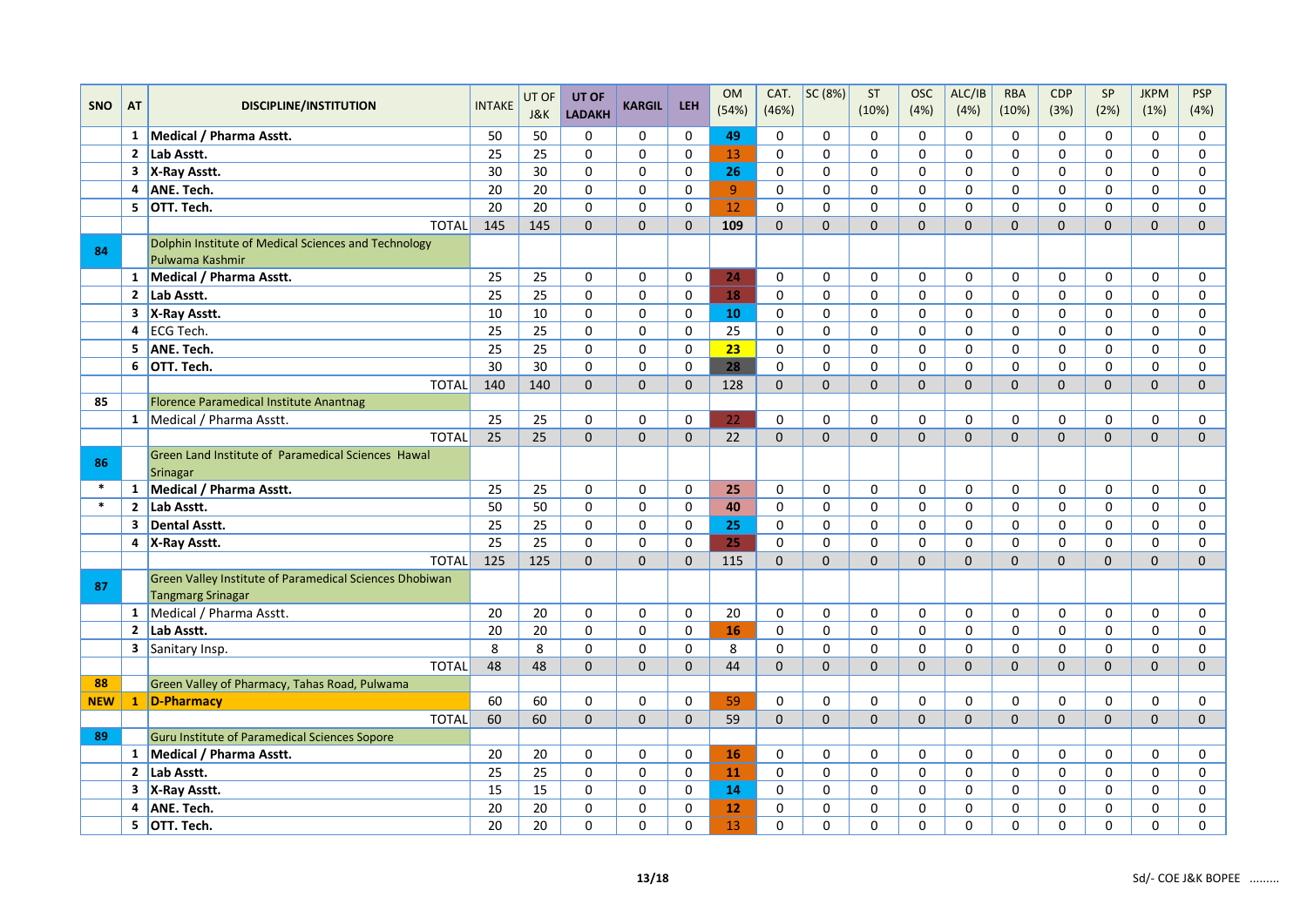|            |                         |                                                                                     |                 | UT OF | UT OF         |               |             | <b>OM</b> | CAT.         | SC (8%)     | ST          | <b>OSC</b>  | ALC/IB              | <b>RBA</b>  | <b>CDP</b>     | SP             | <b>JKPM</b>    | <b>PSP</b>   |
|------------|-------------------------|-------------------------------------------------------------------------------------|-----------------|-------|---------------|---------------|-------------|-----------|--------------|-------------|-------------|-------------|---------------------|-------------|----------------|----------------|----------------|--------------|
| <b>SNO</b> | <b>AT</b>               | <b>DISCIPLINE/INSTITUTION</b>                                                       | <b>INTAKE</b>   | J&K   | <b>LADAKH</b> | <b>KARGIL</b> | <b>LEH</b>  | (54%)     | (46%)        |             | (10%)       | (4%)        | (4%)                | (10%)       | (3%)           | (2%)           | (1%)           | (4%)         |
|            |                         | 1 Medical / Pharma Asstt.                                                           | 50              | 50    | $\mathbf 0$   | $\mathbf 0$   | 0           | 49        | 0            | $\mathbf 0$ | 0           | $\Omega$    | $\Omega$            | $\Omega$    | 0              | $\Omega$       | 0              | 0            |
|            | $\overline{2}$          | Lab Asstt.                                                                          | 25              | 25    | $\mathbf{0}$  | $\mathbf 0$   | $\mathbf 0$ | 13        | 0            | $\mathbf 0$ | $\Omega$    | $\Omega$    | $\mathbf 0$         | $\Omega$    | 0              | $\Omega$       | $\Omega$       | $\mathbf 0$  |
|            | 3                       | X-Ray Asstt.                                                                        | 30              | 30    | $\mathbf{0}$  | $\pmb{0}$     | $\Omega$    | 26        | $\Omega$     | $\Omega$    | $\Omega$    | $\Omega$    | $\mathsf{O}\xspace$ | $\Omega$    | 0              | $\Omega$       | 0              | $\mathsf 0$  |
|            |                         | 4 ANE. Tech.                                                                        | 20              | 20    | $\mathbf 0$   | $\pmb{0}$     | $\mathbf 0$ | 9         | 0            | $\mathbf 0$ | $\mathbf 0$ | $\mathbf 0$ | $\mathbf 0$         | $\mathbf 0$ | 0              | 0              | 0              | $\pmb{0}$    |
|            |                         | 5 OTT. Tech.                                                                        | 20              | 20    | $\mathbf{0}$  | $\mathbf 0$   | $\Omega$    | 12        | $\Omega$     | $\Omega$    | 0           | $\Omega$    | $\Omega$            | $\Omega$    | 0              | 0              | 0              | 0            |
|            |                         | <b>TOTAL</b>                                                                        | 145             | 145   | $\Omega$      | $\Omega$      | $\Omega$    | 109       | $\Omega$     | $\Omega$    | $\Omega$    | $\Omega$    | $\Omega$            | $\Omega$    | $\Omega$       | $\Omega$       | $\overline{0}$ | $\mathbf{0}$ |
| 84         |                         | Dolphin Institute of Medical Sciences and Technology<br>Pulwama Kashmir             |                 |       |               |               |             |           |              |             |             |             |                     |             |                |                |                |              |
|            | 1                       | Medical / Pharma Asstt.                                                             | 25              | 25    | $\mathbf 0$   | $\mathbf 0$   | 0           | 24        | 0            | 0           | 0           | 0           | 0                   | 0           | 0              | 0              | 0              | 0            |
|            | $\overline{2}$          | Lab Asstt.                                                                          | 25              | 25    | $\mathbf{0}$  | $\mathbf 0$   | $\mathbf 0$ | 18        | 0            | $\mathbf 0$ | $\mathbf 0$ | $\Omega$    | $\mathbf 0$         | $\mathbf 0$ | 0              | 0              | 0              | $\mathbf 0$  |
|            | $\mathbf{3}$            | X-Ray Asstt.                                                                        | 10              | 10    | $\mathbf{0}$  | $\Omega$      | $\Omega$    | 10        | $\Omega$     | $\Omega$    | $\Omega$    | $\Omega$    | 0                   | $\Omega$    | 0              | $\Omega$       | 0              | 0            |
|            |                         | $4$ ECG Tech.                                                                       | 25              | 25    | $\mathbf 0$   | $\mathbf 0$   | $\mathbf 0$ | 25        | 0            | $\mathbf 0$ | $\Omega$    | $\Omega$    | 0                   | $\mathbf 0$ | 0              | 0              | 0              | $\mathbf 0$  |
|            | 5                       | ANE. Tech.                                                                          | $\overline{25}$ | 25    | $\mathbf 0$   | $\mathbf 0$   | $\mathbf 0$ | 23        | $\Omega$     | 0           | 0           | $\Omega$    | $\Omega$            | $\Omega$    | 0              | 0              | 0              | 0            |
|            | 6                       | OTT. Tech.                                                                          | 30              | 30    | $\mathbf{0}$  | $\mathbf 0$   | $\mathbf 0$ | 28        | 0            | 0           | $\Omega$    | $\Omega$    | $\Omega$            | $\Omega$    | 0              | $\Omega$       | 0              | $\mathbf 0$  |
|            |                         | <b>TOTAL</b>                                                                        | 140             | 140   | $\Omega$      | $\Omega$      | $\Omega$    | 128       | $\Omega$     | $\Omega$    | $\Omega$    | $\Omega$    | $\Omega$            | $\Omega$    | $\Omega$       | $\Omega$       | 0              | $\Omega$     |
| 85         |                         | Florence Paramedical Institute Anantnag                                             |                 |       |               |               |             |           |              |             |             |             |                     |             |                |                |                |              |
|            |                         | 1 Medical / Pharma Asstt.                                                           | 25              | 25    | $\mathbf 0$   | $\mathbf 0$   | $\mathbf 0$ | 22        | 0            | 0           | 0           | $\Omega$    | 0                   | 0           | 0              | 0              | 0              | 0            |
|            |                         | <b>TOTAL</b>                                                                        | 25              | 25    | $\Omega$      | $\Omega$      | $\Omega$    | 22        | $\Omega$     | $\Omega$    | $\Omega$    | $\Omega$    | $\Omega$            | $\Omega$    | $\Omega$       | $\Omega$       | $\Omega$       | $\Omega$     |
| 86         |                         | Green Land Institute of Paramedical Sciences Hawal<br>Srinagar                      |                 |       |               |               |             |           |              |             |             |             |                     |             |                |                |                |              |
| $\ast$     |                         | 1 Medical / Pharma Asstt.                                                           | 25              | 25    | $\mathbf 0$   | $\mathbf 0$   | 0           | 25        | 0            | $\mathbf 0$ | 0           | $\Omega$    | 0                   | $\mathbf 0$ | 0              | 0              | 0              | $\mathbf 0$  |
| $\ast$     |                         | 2 Lab Asstt.                                                                        | 50              | 50    | $\mathbf 0$   | $\mathbf 0$   | $\mathbf 0$ | 40        | 0            | 0           | $\Omega$    | $\Omega$    | $\Omega$            | $\Omega$    | 0              | 0              | 0              | 0            |
|            | $\overline{\mathbf{3}}$ | Dental Asstt.                                                                       | 25              | 25    | $\mathbf{0}$  | $\mathbf 0$   | $\mathbf 0$ | 25        | 0            | $\mathbf 0$ | $\Omega$    | $\Omega$    | $\mathbf 0$         | $\mathbf 0$ | 0              | 0              | 0              | $\mathbf 0$  |
|            |                         | 4 X-Ray Asstt.                                                                      | 25              | 25    | $\mathbf 0$   | $\pmb{0}$     | $\mathbf 0$ | 25        | 0            | $\mathbf 0$ | $\mathbf 0$ | $\mathbf 0$ | 0                   | $\mathbf 0$ | 0              | 0              | 0              | 0            |
|            |                         | <b>TOTAL</b>                                                                        | 125             | 125   | $\Omega$      | $\Omega$      | $\Omega$    | 115       | $\Omega$     | $\Omega$    | $\Omega$    | $\Omega$    | $\Omega$            | $\Omega$    | $\overline{0}$ | $\overline{0}$ | $\mathbf{0}$   | $\mathbf{0}$ |
| 87         |                         | Green Valley Institute of Paramedical Sciences Dhobiwan<br><b>Tangmarg Srinagar</b> |                 |       |               |               |             |           |              |             |             |             |                     |             |                |                |                |              |
|            |                         | 1 Medical / Pharma Asstt.                                                           | 20              | 20    | $\mathbf 0$   | $\mathbf 0$   | $\mathbf 0$ | 20        | $\mathbf 0$  | $\mathbf 0$ | 0           | $\Omega$    | $\mathbf 0$         | $\mathbf 0$ | 0              | 0              | 0              | 0            |
|            |                         | 2 Lab Asstt.                                                                        | 20              | 20    | $\mathbf 0$   | $\mathbf 0$   | $\mathbf 0$ | 16        | 0            | $\mathbf 0$ | $\Omega$    | $\Omega$    | 0                   | 0           | 0              | 0              | 0              | 0            |
|            |                         | 3 Sanitary Insp.                                                                    | 8               | 8     | $\mathbf 0$   | $\mathbf 0$   | $\mathbf 0$ | 8         | 0            | 0           | 0           | $\Omega$    | 0                   | $\Omega$    | 0              | 0              | 0              | 0            |
|            |                         | <b>TOTAL</b>                                                                        | 48              | 48    | $\Omega$      | $\Omega$      | $\Omega$    | 44        | $\Omega$     | $\Omega$    | $\Omega$    | $\Omega$    | $\Omega$            | $\Omega$    | $\Omega$       | $\Omega$       | $\Omega$       | $\Omega$     |
| 88         |                         | Green Valley of Pharmacy, Tahas Road, Pulwama                                       |                 |       |               |               |             |           |              |             |             |             |                     |             |                |                |                |              |
|            |                         | NEW 1 D-Pharmacy                                                                    | 60              | 60    | $\mathbf 0$   | $\mathbf 0$   | $\mathbf 0$ | 59        | 0            | 0           | 0           | $\Omega$    | 0                   | 0           | 0              | 0              | 0              | 0            |
|            |                         | <b>TOTAL</b>                                                                        | 60              | 60    | $\Omega$      | $\Omega$      | $\Omega$    | 59        | $\Omega$     | $\Omega$    | $\Omega$    | $\Omega$    | $\Omega$            | $\Omega$    | $\Omega$       | $\Omega$       | $\Omega$       | $\Omega$     |
| 89         |                         | Guru Institute of Paramedical Sciences Sopore                                       |                 |       |               |               |             |           |              |             |             |             |                     |             |                |                |                |              |
|            | $\mathbf{1}$            | Medical / Pharma Asstt.                                                             | 20              | 20    | 0             | $\pmb{0}$     | $\mathbf 0$ | 16        | 0            | $\pmb{0}$   | 0           | $\mathbf 0$ | 0                   | $\mathbf 0$ | 0              | 0              | 0              | $\mathsf 0$  |
|            |                         | 2 Lab Asstt.                                                                        | 25              | 25    | $\mathbf 0$   | $\mathbf 0$   | $\mathbf 0$ | 11        | 0            | 0           | 0           | $\Omega$    | 0                   | $\mathbf 0$ | 0              | 0              | 0              | 0            |
|            |                         | 3 X-Ray Asstt.                                                                      | 15              | 15    | $\mathbf 0$   | $\mathbf 0$   | $\mathbf 0$ | 14        | 0            | 0           | 0           | $\Omega$    | 0                   | $\mathbf 0$ | 0              | 0              | 0              | 0            |
|            | 4                       | ANE. Tech.                                                                          | 20              | 20    | $\mathbf{0}$  | $\mathbf 0$   | $\Omega$    | 12        | $\Omega$     | $\mathbf 0$ | $\Omega$    | $\Omega$    | $\Omega$            | $\Omega$    | 0              | $\Omega$       | $\Omega$       | 0            |
|            | 5                       | OTT. Tech.                                                                          | 20              | 20    | $\Omega$      | $\mathbf 0$   | $\mathbf 0$ | 13        | $\mathbf{0}$ | $\Omega$    | 0           | $\Omega$    | 0                   | 0           | 0              | 0              | 0              | 0            |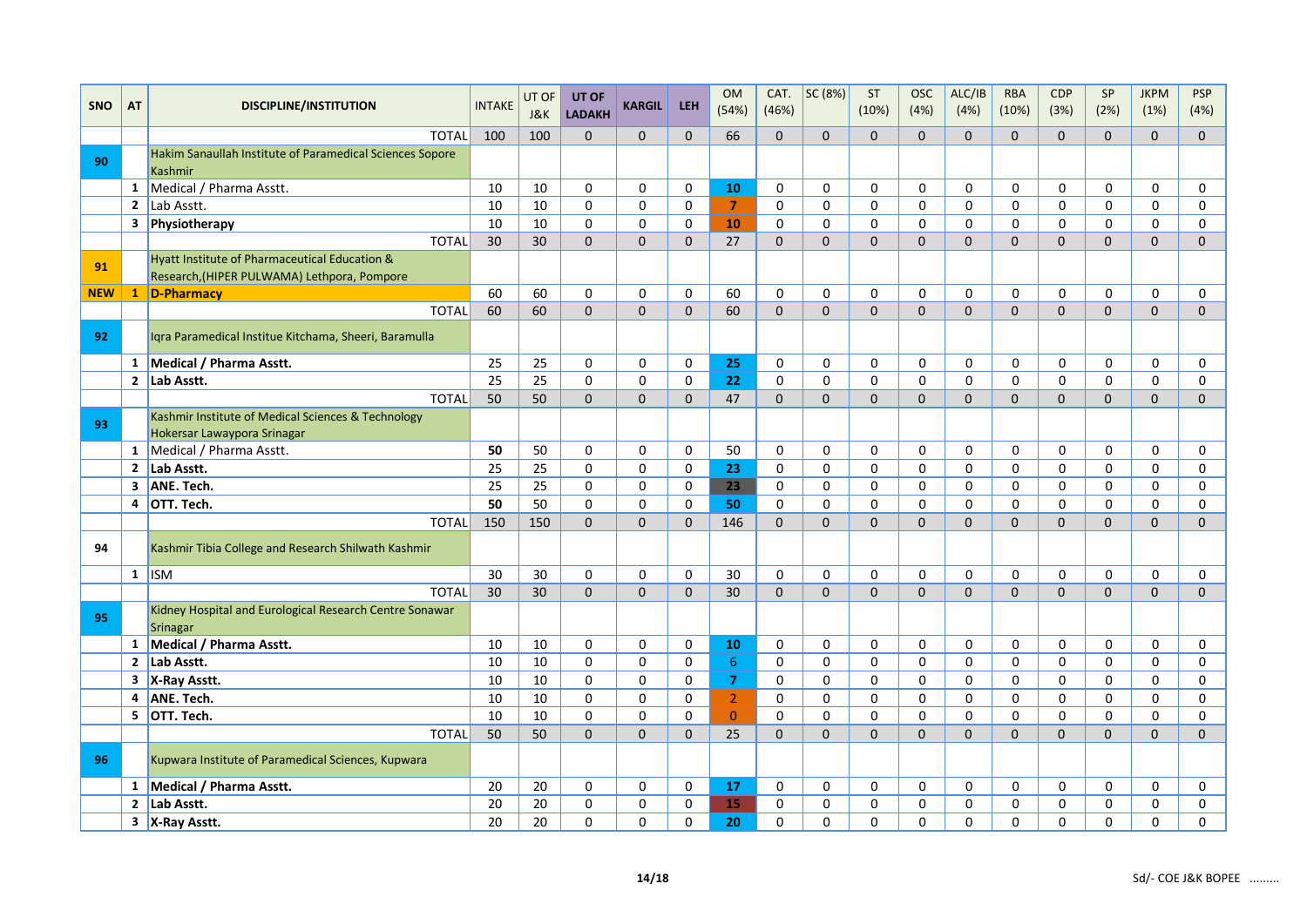| <b>SNO</b> | AT           | <b>DISCIPLINE/INSTITUTION</b>                                                                | <b>INTAKE</b> | UT OF      | UT OF                     | <b>KARGIL</b> | <b>LEH</b>  | <b>OM</b><br>(54%) | CAT.<br>(46%) | SC (8%)     | <b>ST</b><br>(10%) | <b>OSC</b><br>(4%) | ALC/IB<br>(4%) | <b>RBA</b><br>(10%) | <b>CDP</b><br>(3%) | SP<br>(2%)     | <b>JKPM</b><br>(1%) | <b>PSP</b><br>(4%) |
|------------|--------------|----------------------------------------------------------------------------------------------|---------------|------------|---------------------------|---------------|-------------|--------------------|---------------|-------------|--------------------|--------------------|----------------|---------------------|--------------------|----------------|---------------------|--------------------|
|            |              | <b>TOTAL</b>                                                                                 | 100           | J&K<br>100 | <b>LADAKH</b><br>$\Omega$ | $\Omega$      | $\Omega$    | 66                 | $\Omega$      | $\Omega$    | $\Omega$           | $\Omega$           | $\Omega$       | $\Omega$            | $\Omega$           | $\Omega$       | $\Omega$            | $\Omega$           |
|            |              | Hakim Sanaullah Institute of Paramedical Sciences Sopore                                     |               |            |                           |               |             |                    |               |             |                    |                    |                |                     |                    |                |                     |                    |
| 90         |              | Kashmir                                                                                      |               |            |                           |               |             |                    |               |             |                    |                    |                |                     |                    |                |                     |                    |
|            |              | 1 Medical / Pharma Asstt.                                                                    | 10            | 10         | 0                         | 0             | 0           | 10                 | 0             | 0           | 0                  | $\Omega$           | 0              | 0                   | 0                  | 0              | 0                   | 0                  |
|            |              | 2 $\vert$ Lab Asstt.                                                                         | 10            | 10         | $\mathbf 0$               | 0             | 0           | $\overline{7}$     | 0             | $\mathbf 0$ | $\mathbf 0$        | $\Omega$           | $\Omega$       | $\Omega$            | 0                  | 0              | 0                   | 0                  |
|            |              | 3 Physiotherapy                                                                              | 10            | 10         | 0                         | $\mathbf 0$   | 0           | 10                 | 0             | $\mathbf 0$ | $\mathbf 0$        | $\Omega$           | $\mathbf 0$    | $\mathbf 0$         | 0                  | $\mathbf 0$    | 0                   | 0                  |
|            |              | <b>TOTAL</b>                                                                                 | 30            | 30         | $\Omega$                  | $\Omega$      | $\Omega$    | 27                 | $\Omega$      | $\Omega$    | $\Omega$           | $\Omega$           | $\Omega$       | $\Omega$            | $\mathbf{0}$       | 0              | $\overline{0}$      | $\Omega$           |
| 91         |              | Hyatt Institute of Pharmaceutical Education &<br>Research, (HIPER PULWAMA) Lethpora, Pompore |               |            |                           |               |             |                    |               |             |                    |                    |                |                     |                    |                |                     |                    |
| <b>NEW</b> |              | $\begin{array}{ c c }\n1$ D-Pharmacy                                                         | 60            | 60         | 0                         | $\pmb{0}$     | 0           | 60                 | $\pmb{0}$     | $\pmb{0}$   | $\mathsf 0$        | $\mathbf 0$        | 0              | $\mathsf{O}\xspace$ | 0                  | 0              | 0                   | $\pmb{0}$          |
|            |              | <b>TOTAL</b>                                                                                 | 60            | 60         | $\mathbf{0}$              | $\mathbf 0$   | $\mathbf 0$ | 60                 | $\Omega$      | $\Omega$    | $\Omega$           | $\Omega$           | $\Omega$       | $\mathbf{0}$        | $\mathbf{0}$       | $\overline{0}$ | $\overline{0}$      | $\mathbf 0$        |
| 92         |              | Igra Paramedical Institue Kitchama, Sheeri, Baramulla                                        |               |            |                           |               |             |                    |               |             |                    |                    |                |                     |                    |                |                     |                    |
|            |              | 1 Medical / Pharma Asstt.                                                                    | 25            | 25         | 0                         | 0             | 0           | 25                 | 0             | $\mathbf 0$ | 0                  | $\mathbf 0$        | $\mathbf 0$    | $\mathbf 0$         | $\mathbf 0$        | $\mathbf 0$    | 0                   | 0                  |
|            |              | 2 Lab Asstt.                                                                                 | 25            | 25         | 0                         | $\mathbf 0$   | 0           | 22                 | $\mathbf 0$   | $\mathbf 0$ | $\mathbf 0$        | $\Omega$           | $\mathbf 0$    | $\mathbf 0$         | $\mathbf 0$        | $\mathbf 0$    | 0                   | 0                  |
|            |              | <b>TOTAL</b>                                                                                 | 50            | 50         | $\Omega$                  | $\Omega$      | $\Omega$    | 47                 | $\Omega$      | $\Omega$    | $\Omega$           | $\Omega$           | $\Omega$       | $\Omega$            | $\mathbf{0}$       | $\overline{0}$ | $\overline{0}$      | $\Omega$           |
| 93         |              | Kashmir Institute of Medical Sciences & Technology                                           |               |            |                           |               |             |                    |               |             |                    |                    |                |                     |                    |                |                     |                    |
|            |              | Hokersar Lawaypora Srinagar                                                                  |               |            |                           |               |             |                    |               |             |                    |                    |                |                     |                    |                |                     |                    |
|            | $\mathbf{1}$ | Medical / Pharma Asstt.                                                                      | 50            | 50         | 0                         | $\mathbf 0$   | 0           | 50                 | 0             | $\mathbf 0$ | $\mathbf 0$        | 0                  | $\mathbf 0$    | $\mathbf 0$         | 0                  | $\mathbf 0$    | 0                   | 0                  |
|            |              | 2 Lab Asstt.                                                                                 | 25            | 25         | 0                         | $\mathbf 0$   | $\mathbf 0$ | 23                 | 0             | 0           | $\mathbf 0$        | $\Omega$           | $\mathbf 0$    | $\mathbf 0$         | 0                  | 0              | 0                   | 0                  |
|            |              | 3 ANE. Tech.                                                                                 | 25            | 25         | 0                         | 0             | 0           | 23                 | 0             | 0           | $\mathbf 0$        | $\Omega$           | $\mathbf 0$    | $\mathbf 0$         | 0                  | 0              | 0                   | 0                  |
|            |              | 4 OTT. Tech.                                                                                 | 50            | 50         | $\mathbf 0$               | $\mathbf 0$   | 0           | 50                 | $\mathbf 0$   | $\mathbf 0$ | $\mathbf 0$        | $\Omega$           | $\mathbf 0$    | $\mathbf 0$         | 0                  | $\mathbf 0$    | 0                   | $\mathbf 0$        |
|            |              | <b>TOTAL</b>                                                                                 | 150           | 150        | $\Omega$                  | $\Omega$      | $\Omega$    | 146                | $\Omega$      | $\Omega$    | $\Omega$           | $\Omega$           | $\Omega$       | $\Omega$            | $\Omega$           | $\Omega$       | $\mathbf{0}$        | $\Omega$           |
| 94         |              | Kashmir Tibia College and Research Shilwath Kashmir                                          |               |            |                           |               |             |                    |               |             |                    |                    |                |                     |                    |                |                     |                    |
|            |              | $1$ ISM                                                                                      | 30            | 30         | 0                         | 0             | 0           | 30                 | 0             | $\mathbf 0$ | $\mathbf 0$        | 0                  | $\mathbf 0$    | $\mathbf 0$         | 0                  | $\mathbf 0$    | 0                   | 0                  |
|            |              | <b>TOTAL</b>                                                                                 | 30            | 30         | $\mathbf{0}$              | $\Omega$      | $\Omega$    | 30                 | $\Omega$      | $\Omega$    | $\Omega$           | $\Omega$           | $\Omega$       | $\Omega$            | $\mathbf{0}$       | $\mathbf{0}$   | $\mathbf{0}$        | $\Omega$           |
| 95         |              | Kidney Hospital and Eurological Research Centre Sonawar<br>Srinagar                          |               |            |                           |               |             |                    |               |             |                    |                    |                |                     |                    |                |                     |                    |
|            | $\mathbf{1}$ | Medical / Pharma Asstt.                                                                      | 10            | 10         | 0                         | $\mathbf 0$   | 0           | 10                 | 0             | 0           | $\mathbf 0$        | 0                  | $\mathbf 0$    | $\mathbf 0$         | 0                  | $\mathbf 0$    | 0                   | 0                  |
|            |              | 2 Lab Asstt.                                                                                 | 10            | 10         | $\mathbf 0$               | $\pmb{0}$     | $\mathbf 0$ | $6\phantom{1}$     | $\mathbf 0$   | 0           | $\mathbf 0$        | $\Omega$           | $\mathbf 0$    | $\mathbf 0$         | 0                  | 0              | 0                   | 0                  |
|            |              | 3 X-Ray Asstt.                                                                               | 10            | 10         | $\Omega$                  | $\mathbf 0$   | $\mathbf 0$ | $\overline{7}$     | $\mathbf 0$   | $\mathbf 0$ | $\mathbf 0$        | $\Omega$           | $\mathbf 0$    | $\mathbf 0$         | 0                  | $\Omega$       | $\Omega$            | $\mathbf 0$        |
|            | 4            | ANE. Tech.                                                                                   | 10            | 10         | $\mathbf 0$               | $\mathbf 0$   | $\mathbf 0$ | $\overline{2}$     | 0             | $\mathbf 0$ | $\mathbf 0$        | $\Omega$           | $\mathbf 0$    | $\mathbf 0$         | 0                  | 0              | 0                   | 0                  |
|            |              | 5 OTT. Tech.                                                                                 | 10            | 10         | $\mathbf 0$               | 0             | $\mathbf 0$ | $\overline{0}$     | $\pmb{0}$     | $\mathbf 0$ | $\mathbf 0$        | $\Omega$           | $\mathbf 0$    | $\Omega$            | 0                  | $\mathbf 0$    | 0                   | $\pmb{0}$          |
|            |              | <b>TOTAL</b>                                                                                 | 50            | 50         | $\Omega$                  | $\Omega$      | $\Omega$    | 25                 | $\Omega$      | $\Omega$    | $\Omega$           | $\Omega$           | $\Omega$       | $\Omega$            | $\overline{0}$     | $\Omega$       | $\overline{0}$      | $\Omega$           |
| 96         |              | Kupwara Institute of Paramedical Sciences, Kupwara                                           |               |            |                           |               |             |                    |               |             |                    |                    |                |                     |                    |                |                     |                    |
|            | $\mathbf{1}$ | Medical / Pharma Asstt.                                                                      | 20            | 20         | $\mathbf 0$               | $\mathbf 0$   | $\mathbf 0$ | 17                 | 0             | $\mathbf 0$ | $\mathbf 0$        | $\Omega$           | $\mathbf 0$    | $\mathbf 0$         | $\mathbf 0$        | $\mathbf 0$    | 0                   | 0                  |
|            | $\mathbf{2}$ | Lab Asstt.                                                                                   | 20            | 20         | 0                         | $\pmb{0}$     | 0           | 15                 | 0             | $\pmb{0}$   | $\mathsf 0$        | $\Omega$           | $\Omega$       | $\Omega$            | 0                  | 0              | $\Omega$            | $\pmb{0}$          |
|            |              | 3 X-Ray Asstt.                                                                               | 20            | 20         | $\mathbf 0$               | $\pmb{0}$     | 0           | 20                 | 0             | $\mathbf 0$ | 0                  | 0                  | 0              | $\mathbf 0$         | 0                  | 0              | 0                   | 0                  |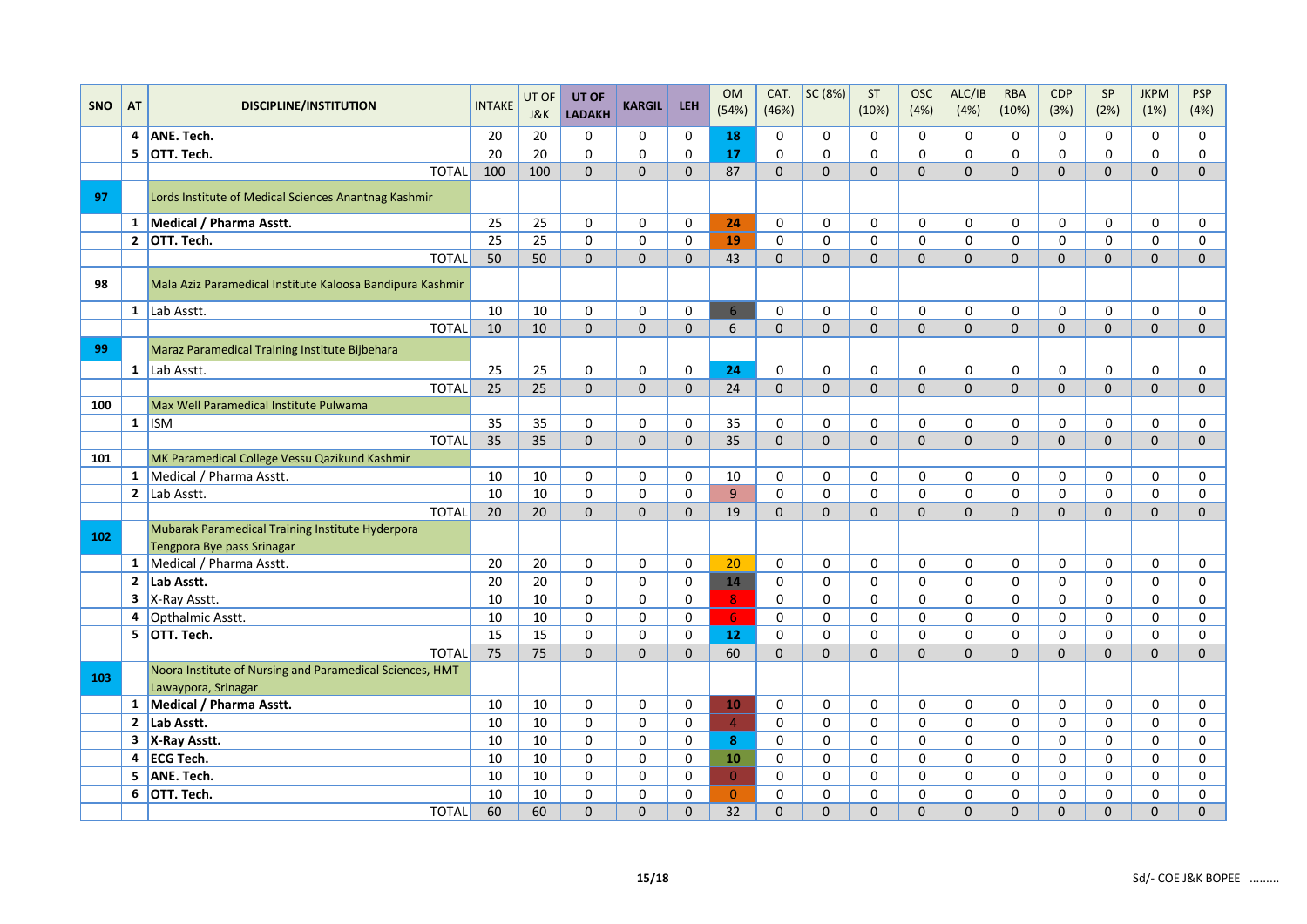|            |    |                                                                                 |                 | UT OF | UT OF         |               |              | <b>OM</b>       | CAT.         | SC (8%)      | <b>ST</b>    | <b>OSC</b>   | ALC/IB         | <b>RBA</b>   | <b>CDP</b>     | SP           | <b>JKPM</b>         | <b>PSP</b>          |
|------------|----|---------------------------------------------------------------------------------|-----------------|-------|---------------|---------------|--------------|-----------------|--------------|--------------|--------------|--------------|----------------|--------------|----------------|--------------|---------------------|---------------------|
| <b>SNO</b> | AT | <b>DISCIPLINE/INSTITUTION</b>                                                   | <b>INTAKE</b>   | J&K   | <b>LADAKH</b> | <b>KARGIL</b> | <b>LEH</b>   | (54%)           | (46%)        |              | (10%)        | (4%)         | (4%)           | (10%)        | (3%)           | (2%)         | (1%)                | (4%)                |
|            |    | 4 ANE. Tech.                                                                    | 20              | 20    | $\mathbf 0$   | $\mathbf 0$   | $\mathbf 0$  | 18              | $\mathbf 0$  | $\mathbf 0$  | $\Omega$     | $\Omega$     | 0              | 0            | 0              | 0            | $\mathbf 0$         | 0                   |
|            |    | 5 OTT. Tech.                                                                    | 20              | 20    | $\mathbf 0$   | $\mathbf 0$   | $\mathbf 0$  | 17              | $\mathbf 0$  | $\mathbf 0$  | $\Omega$     | $\mathbf 0$  | 0              | 0            | 0              | 0            | 0                   | 0                   |
|            |    | <b>TOTAL</b>                                                                    | 100             | 100   | $\mathbf 0$   | $\mathbf{0}$  | $\mathbf{0}$ | 87              | $\mathbf{0}$ | $\mathbf{0}$ | $\mathbf{0}$ | $\mathbf{0}$ | $\overline{0}$ | $\mathbf{0}$ | $\overline{0}$ | $\mathbf 0$  | $\mathbf{0}$        | $\mathbf{0}$        |
| 97         |    | Lords Institute of Medical Sciences Anantnag Kashmir                            |                 |       |               |               |              |                 |              |              |              |              |                |              |                |              |                     |                     |
|            |    | 1 Medical / Pharma Asstt.                                                       | 25              | 25    | $\mathbf 0$   | 0             | 0            | 24              | 0            | 0            | 0            | 0            | 0              | 0            | 0              | 0            | 0                   | 0                   |
|            |    | 2 OTT. Tech.                                                                    | $\overline{25}$ | 25    | $\Omega$      | $\mathbf 0$   | $\Omega$     | 19              | $\mathbf 0$  | $\mathbf 0$  | $\Omega$     | $\Omega$     | 0              | 0            | $\Omega$       | $\Omega$     | $\mathsf 0$         | $\mathbf 0$         |
|            |    | <b>TOTAL</b>                                                                    | 50              | 50    | $\mathbf 0$   | $\mathbf{0}$  | $\Omega$     | 43              | $\Omega$     | $\mathbf 0$  | $\Omega$     | $\mathbf{0}$ | $\overline{0}$ | $\mathbf{0}$ | $\overline{0}$ | $\Omega$     | $\mathbf{0}$        | $\mathbf{0}$        |
| 98         |    | Mala Aziz Paramedical Institute Kaloosa Bandipura Kashmir                       |                 |       |               |               |              |                 |              |              |              |              |                |              |                |              |                     |                     |
|            |    | $1$ Lab Asstt.                                                                  | 10              | 10    | $\mathbf 0$   | $\mathbf 0$   | $\mathbf 0$  | 6               | $\mathbf 0$  | $\mathbf 0$  | 0            | $\mathbf 0$  | $\mathbf 0$    | 0            | 0              | 0            | $\mathbf 0$         | 0                   |
|            |    | <b>TOTAL</b>                                                                    | 10              | 10    | $\mathbf{0}$  | $\mathbf{0}$  | $\mathbf{0}$ | 6               | $\Omega$     | $\mathbf{0}$ | $\Omega$     | $\mathbf{0}$ | $\overline{0}$ | $\mathbf{0}$ | $\overline{0}$ | $\mathbf{0}$ | $\mathbf{0}$        | $\mathbf{0}$        |
| 99         |    | Maraz Paramedical Training Institute Bijbehara                                  |                 |       |               |               |              |                 |              |              |              |              |                |              |                |              |                     |                     |
|            |    | $1$ Lab Asstt.                                                                  | 25              | 25    | $\mathbf 0$   | $\mathbf 0$   | $\mathbf 0$  | 24              | $\mathbf 0$  | $\mathbf 0$  | 0            | $\mathbf 0$  | 0              | 0            | 0              | 0            | $\mathbf 0$         | 0                   |
|            |    | <b>TOTAL</b>                                                                    | 25              | 25    | $\mathbf{0}$  | $\mathbf{0}$  | $\mathbf{0}$ | 24              | $\mathbf{0}$ | $\mathbf{0}$ | $\mathbf{0}$ | $\mathbf{0}$ | $\mathbf{0}$   | $\mathbf{0}$ | $\overline{0}$ | $\mathbf{0}$ | $\mathbf 0$         | $\mathbf{0}$        |
| 100        |    | Max Well Paramedical Institute Pulwama                                          |                 |       |               |               |              |                 |              |              |              |              |                |              |                |              |                     |                     |
|            |    | $1$ ISM                                                                         | 35              | 35    | $\mathbf 0$   | $\mathbf 0$   | $\Omega$     | 35              | $\mathbf 0$  | 0            | $\Omega$     | 0            | 0              | 0            | 0              | $\Omega$     | 0                   | 0                   |
|            |    | <b>TOTAL</b>                                                                    | 35              | 35    | $\mathbf 0$   | $\mathbf 0$   | $\mathbf{0}$ | 35              | $\Omega$     | $\mathbf 0$  | $\Omega$     | $\mathbf{0}$ | $\overline{0}$ | 0            | $\overline{0}$ | $\mathbf{0}$ | $\mathbf{0}$        | $\mathbf{0}$        |
| 101        |    | MK Paramedical College Vessu Qazikund Kashmir                                   |                 |       |               |               |              |                 |              |              |              |              |                |              |                |              |                     |                     |
|            |    | 1 Medical / Pharma Asstt.                                                       | 10              | 10    | $\mathbf 0$   | $\mathbf 0$   | $\mathbf 0$  | 10              | $\mathbf 0$  | $\mathbf 0$  | $\Omega$     | $\mathbf 0$  | 0              | 0            | 0              | 0            | 0                   | 0                   |
|            |    | 2 $\vert$ Lab Asstt.                                                            | 10              | 10    | $\mathbf 0$   | $\mathbf 0$   | $\mathbf 0$  | $\overline{9}$  | $\mathbf 0$  | $\mathbf 0$  | 0            | $\mathbf 0$  | 0              | 0            | 0              | 0            | 0                   | 0                   |
|            |    | <b>TOTAL</b>                                                                    | 20              | 20    | $\mathbf 0$   | $\mathbf{0}$  | $\Omega$     | 19              | $\mathbf{0}$ | $\Omega$     | $\Omega$     | $\mathbf{0}$ | $\overline{0}$ | 0            | $\overline{0}$ | $\Omega$     | $\mathbf{0}$        | $\mathbf{0}$        |
| 102        |    | Mubarak Paramedical Training Institute Hyderpora<br>Tengpora Bye pass Srinagar  |                 |       |               |               |              |                 |              |              |              |              |                |              |                |              |                     |                     |
|            | 1  | Medical / Pharma Asstt.                                                         | 20              | 20    | 0             | $\mathbf 0$   | $\mathbf 0$  | 20              | $\mathbf 0$  | $\mathbf 0$  | 0            | $\mathbf 0$  | 0              | 0            | 0              | 0            | 0                   | 0                   |
|            |    | 2 $ $ Lab Asstt.                                                                | 20              | 20    | $\mathbf 0$   | 0             | $\mathbf 0$  | 14              | 0            | 0            | 0            | 0            | 0              | 0            | 0              | $\mathbf 0$  | 0                   | 0                   |
|            |    | $3$ X-Ray Asstt.                                                                | 10              | 10    | $\Omega$      | $\mathbf 0$   | $\mathbf 0$  | 8               | $\mathbf 0$  | $\Omega$     | $\Omega$     | 0            | 0              | 0            | 0              | $\Omega$     | 0                   | 0                   |
|            | 4  | Opthalmic Asstt.                                                                | 10              | 10    | $\Omega$      | $\mathbf 0$   | $\mathbf 0$  | 6 <sup>1</sup>  | $\mathbf 0$  | $\mathbf 0$  | $\Omega$     | $\mathbf 0$  | $\mathbf 0$    | 0            | 0              | $\mathbf 0$  | $\mathsf{O}\xspace$ | $\mathbf 0$         |
|            |    | 5 OTT. Tech.                                                                    | 15              | 15    | $\mathbf 0$   | $\mathbf 0$   | $\mathbf 0$  | 12 <sub>2</sub> | $\mathbf 0$  | $\mathbf 0$  | 0            | $\mathbf 0$  | 0              | 0            | 0              | $\mathbf 0$  | 0                   | $\mathbf 0$         |
|            |    | <b>TOTAL</b>                                                                    | 75              | 75    | $\Omega$      | $\Omega$      | $\Omega$     | 60              | $\Omega$     | $\Omega$     | $\Omega$     | $\Omega$     | 0              | $\Omega$     | 0              | $\Omega$     | $\overline{0}$      | $\mathsf{O}\xspace$ |
| 103        |    | Noora Institute of Nursing and Paramedical Sciences, HMT<br>Lawaypora, Srinagar |                 |       |               |               |              |                 |              |              |              |              |                |              |                |              |                     |                     |
|            |    | 1 Medical / Pharma Asstt.                                                       | 10              | 10    | 0             | 0             | 0            | 10              | 0            | 0            | 0            | 0            | 0              | 0            | 0              | 0            | 0                   | 0                   |
|            |    | 2 Lab Asstt.                                                                    | 10              | 10    | $\Omega$      | $\mathbf 0$   | $\Omega$     | $\overline{4}$  | $\mathbf 0$  | $\mathbf 0$  | $\Omega$     | $\mathbf 0$  | 0              | 0            | 0              | $\Omega$     | $\mathbf 0$         | $\Omega$            |
|            |    | 3 X-Ray Asstt.                                                                  | 10              | 10    | $\mathbf 0$   | 0             | $\mathbf 0$  | 8               | 0            | 0            | 0            | $\mathbf 0$  | 0              | 0            | 0              | 0            | 0                   | 0                   |
|            |    | 4 ECG Tech.                                                                     | 10              | 10    | $\mathbf 0$   | $\mathbf 0$   | $\mathbf 0$  | 10              | $\mathbf 0$  | 0            | 0            | 0            | 0              | 0            | 0              | $\mathbf 0$  | 0                   | 0                   |
|            | 5  | ANE. Tech.                                                                      | 10              | 10    | $\mathbf{0}$  | 0             | $\mathbf{0}$ | $\overline{0}$  | $\mathsf 0$  | $\Omega$     | $\Omega$     | 0            | 0              | 0            | 0              | $\Omega$     | 0                   | $\mathsf 0$         |
|            | 6  | OTT. Tech.                                                                      | 10              | 10    | $\Omega$      | $\mathbf 0$   | $\Omega$     | $\overline{0}$  | $\mathbf 0$  | $\mathbf 0$  | $\mathbf 0$  | $\mathbf 0$  | 0              | 0            | 0              | $\mathbf 0$  | $\mathbf 0$         | $\mathbf 0$         |
|            |    | <b>TOTAL</b>                                                                    | 60              | 60    | $\mathbf 0$   | $\Omega$      | $\mathbf{0}$ | 32              | $\Omega$     | $\Omega$     | $\Omega$     | $\Omega$     | $\overline{0}$ | 0            | $\overline{0}$ | $\Omega$     | 0                   | $\Omega$            |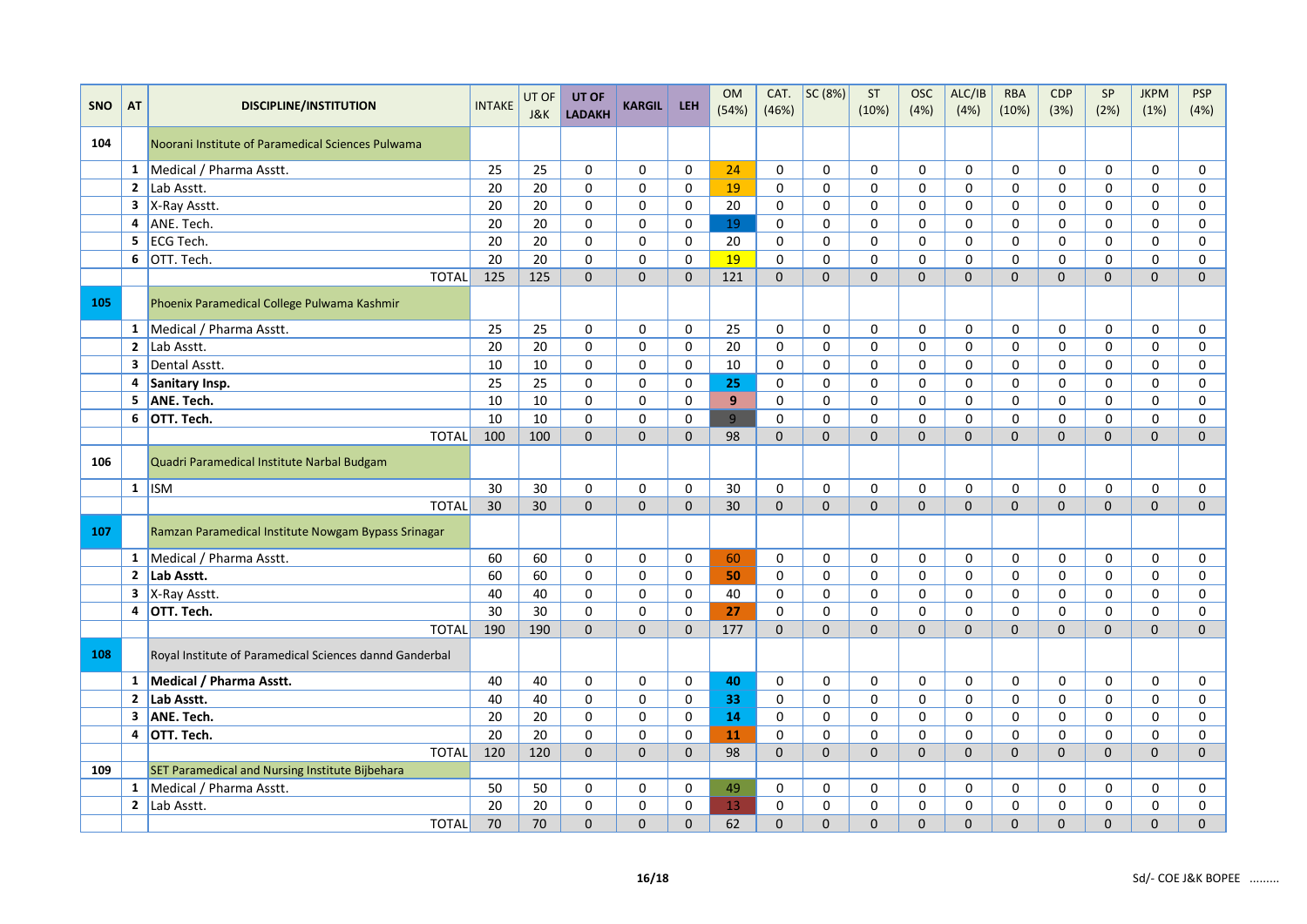| <b>SNO</b> | <b>AT</b>      | <b>DISCIPLINE/INSTITUTION</b>                                | <b>INTAKE</b> | UT OF | UT OF          | <b>KARGIL</b>       | <b>LEH</b>   | <b>OM</b>       | CAT.        | SC(8%)       | ST           | <b>OSC</b>   | ALC/IB         | <b>RBA</b>   | CDP          | SP             | <b>JKPM</b>    | <b>PSP</b>   |
|------------|----------------|--------------------------------------------------------------|---------------|-------|----------------|---------------------|--------------|-----------------|-------------|--------------|--------------|--------------|----------------|--------------|--------------|----------------|----------------|--------------|
|            |                |                                                              |               | J&K   | <b>LADAKH</b>  |                     |              | (54%)           | (46%)       |              | (10%)        | (4%)         | (4%)           | (10%)        | (3%)         | (2%)           | (1%)           | (4%)         |
| 104        |                | Noorani Institute of Paramedical Sciences Pulwama            |               |       |                |                     |              |                 |             |              |              |              |                |              |              |                |                |              |
|            |                | 1   Medical / Pharma Asstt.                                  | 25            | 25    | $\mathbf 0$    | $\mathbf 0$         | 0            | 24              | 0           | $\mathbf 0$  | $\mathbf 0$  | $\Omega$     | $\Omega$       | $\mathbf 0$  | $\mathbf 0$  | $\mathbf 0$    | 0              | 0            |
|            |                | 2 Lab Asstt.                                                 | 20            | 20    | $\mathbf 0$    | $\mathbf 0$         | $\mathbf 0$  | 19              | $\mathbf 0$ | $\mathbf 0$  | $\mathbf 0$  | $\Omega$     | $\Omega$       | $\Omega$     | 0            | $\Omega$       | $\Omega$       | $\mathbf 0$  |
|            |                | $3$  X-Ray Asstt.                                            | 20            | 20    | 0              | 0                   | 0            | 20              | 0           | 0            | 0            | $\Omega$     | $\Omega$       | $\Omega$     | 0            | 0              | $\Omega$       | 0            |
|            |                | 4 ANE. Tech.                                                 | 20            | 20    | $\mathbf 0$    | $\mathsf{O}\xspace$ | $\mathbf 0$  | 19              | $\pmb{0}$   | $\mathbf 0$  | $\mathbf 0$  | 0            | $\mathbf 0$    | $\mathbf 0$  | $\mathbf 0$  | $\mathbf 0$    | 0              | $\mathbf 0$  |
|            | 5              | ECG Tech.                                                    | 20            | 20    | 0              | $\mathbf 0$         | 0            | 20              | 0           | 0            | $\mathbf 0$  | 0            | $\mathbf 0$    | $\mathbf 0$  | 0            | $\mathbf 0$    | 0              | 0            |
|            |                | $\begin{array}{ c c }\n 6 & \text{OTT. Tech.}\n \end{array}$ | 20            | 20    | $\Omega$       | $\mathbf 0$         | $\Omega$     | 19              | $\Omega$    | $\mathbf 0$  | $\mathbf 0$  | $\Omega$     | $\mathbf 0$    | $\Omega$     | 0            | $\Omega$       | 0              | $\mathbf 0$  |
|            |                | <b>TOTAL</b>                                                 | 125           | 125   | $\Omega$       | $\Omega$            | $\Omega$     | 121             | $\Omega$    | $\Omega$     | $\Omega$     | $\Omega$     | $\Omega$       | $\Omega$     | $\Omega$     | $\overline{0}$ | $\mathbf{0}$   | $\Omega$     |
| 105        |                | Phoenix Paramedical College Pulwama Kashmir                  |               |       |                |                     |              |                 |             |              |              |              |                |              |              |                |                |              |
|            |                | 1 Medical / Pharma Asstt.                                    | 25            | 25    | 0              | $\mathbf 0$         | 0            | 25              | 0           | $\mathbf 0$  | 0            | 0            | $\mathbf 0$    | $\mathbf 0$  | 0            | $\mathbf 0$    | 0              | 0            |
|            |                | 2 $\lfloor$ Lab Asstt.                                       | 20            | 20    | $\mathbf 0$    | $\mathbf 0$         | $\mathbf 0$  | 20              | $\mathbf 0$ | 0            | $\mathbf 0$  | $\Omega$     | $\mathbf 0$    | $\mathbf 0$  | 0            | 0              | 0              | $\mathbf 0$  |
|            | 3 <sup>1</sup> | Dental Asstt.                                                | 10            | 10    | $\mathbf 0$    | $\mathbf 0$         | $\mathbf 0$  | 10              | $\mathbf 0$ | $\mathbf 0$  | $\mathbf 0$  | $\Omega$     | $\Omega$       | $\Omega$     | $\mathbf 0$  | $\Omega$       | $\Omega$       | $\mathbf 0$  |
|            | 4              | Sanitary Insp.                                               | 25            | 25    | $\mathbf 0$    | $\mathbf 0$         | $\mathbf 0$  | 25              | $\mathbf 0$ | 0            | $\mathbf 0$  | 0            | $\mathbf 0$    | $\mathbf 0$  | 0            | $\mathbf 0$    | 0              | 0            |
|            | 5              | ANE. Tech.                                                   | 10            | 10    | $\mathbf 0$    | 0                   | 0            | $\overline{9}$  | 0           | 0            | $\mathbf 0$  | 0            | $\mathbf 0$    | $\mathbf 0$  | 0            | $\mathbf 0$    | 0              | 0            |
|            |                | 6 OTT. Tech.                                                 | 10            | 10    | $\mathbf 0$    | $\mathbf 0$         | $\mathbf 0$  | 9               | $\mathbf 0$ | $\mathbf 0$  | $\mathbf 0$  | $\Omega$     | $\mathbf 0$    | $\mathbf 0$  | 0            | 0              | 0              | $\mathbf 0$  |
|            |                | <b>TOTAL</b>                                                 | 100           | 100   | $\Omega$       | $\Omega$            | $\Omega$     | 98              | $\Omega$    | $\Omega$     | $\Omega$     | $\Omega$     | $\Omega$       | $\Omega$     | $\Omega$     | $\Omega$       | $\Omega$       | $\Omega$     |
| 106        |                | Quadri Paramedical Institute Narbal Budgam                   |               |       |                |                     |              |                 |             |              |              |              |                |              |              |                |                |              |
|            |                | $1$ ISM                                                      | 30            | 30    | 0              | 0                   | 0            | 30              | 0           | 0            | 0            | $\Omega$     | 0              | 0            | 0            | 0              | 0              | 0            |
|            |                | <b>TOTAL</b>                                                 | 30            | 30    | $\overline{0}$ | $\mathbf{0}$        | $\Omega$     | 30              | $\Omega$    | $\mathbf{0}$ | $\mathbf{0}$ | $\mathbf{0}$ | $\mathbf{0}$   | $\Omega$     | $\mathbf{0}$ | $\overline{0}$ | $\overline{0}$ | $\mathbf{0}$ |
| 107        |                | Ramzan Paramedical Institute Nowgam Bypass Srinagar          |               |       |                |                     |              |                 |             |              |              |              |                |              |              |                |                |              |
|            | $\mathbf{1}$   | Medical / Pharma Asstt.                                      | 60            | 60    | 0              | 0                   | 0            | 60              | $\Omega$    | $\Omega$     | 0            | $\Omega$     | 0              | $\Omega$     | 0            | 0              | 0              | 0            |
|            |                | 2 Lab Asstt.                                                 | 60            | 60    | $\mathbf 0$    | $\mathbf 0$         | $\mathbf 0$  | 50              | $\mathbf 0$ | $\mathbf 0$  | $\mathbf 0$  | $\mathbf 0$  | $\mathbf 0$    | $\mathbf 0$  | $\mathsf{o}$ | $\mathbf 0$    | 0              | $\mathbf 0$  |
|            |                | $3$  X-Ray Asstt.                                            | 40            | 40    | 0              | $\mathbf 0$         | $\mathbf 0$  | 40              | 0           | $\mathbf 0$  | $\mathbf 0$  | $\mathbf 0$  | $\mathbf 0$    | $\mathbf 0$  | 0            | $\mathbf 0$    | 0              | 0            |
|            |                | 4 OTT. Tech.                                                 | 30            | 30    | $\mathbf 0$    | $\mathbf 0$         | 0            | 27              | $\mathbf 0$ | $\mathbf 0$  | $\mathbf 0$  | $\Omega$     | $\mathbf 0$    | $\mathbf 0$  | 0            | $\mathbf 0$    | 0              | $\mathbf 0$  |
|            |                | <b>TOTAL</b>                                                 | 190           | 190   | $\Omega$       | $\Omega$            | $\Omega$     | 177             | $\Omega$    | $\Omega$     | $\Omega$     | $\Omega$     | $\Omega$       | $\Omega$     | $\Omega$     | $\overline{0}$ | $\Omega$       | $\Omega$     |
| 108        |                | Royal Institute of Paramedical Sciences dannd Ganderbal      |               |       |                |                     |              |                 |             |              |              |              |                |              |              |                |                |              |
|            |                | 1 Medical / Pharma Asstt.                                    | 40            | 40    | 0              | $\mathbf 0$         | $\mathbf 0$  | 40              | 0           | $\mathbf 0$  | 0            | $\Omega$     | $\mathbf 0$    | $\mathbf 0$  | $\mathbf 0$  | $\mathbf 0$    | 0              | 0            |
|            |                | 2 Lab Asstt.                                                 | 40            | 40    | $\Omega$       | $\mathbf 0$         | $\mathbf 0$  | 33              | 0           | $\mathbf 0$  | $\mathbf 0$  | $\Omega$     | $\Omega$       | $\Omega$     | 0            | 0              | 0              | 0            |
|            |                | 3 ANE. Tech.                                                 | 20            | 20    | $\Omega$       | 0                   | 0            | 14              | 0           | $\mathbf 0$  | $\mathbf 0$  | $\Omega$     | $\Omega$       | $\Omega$     | $\mathbf 0$  | $\Omega$       | $\Omega$       | 0            |
|            |                | 4 OTT. Tech.                                                 | 20            | 20    | $\mathbf 0$    | $\pmb{0}$           | 0            | 11              | 0           | $\pmb{0}$    | $\mathbf 0$  | 0            | $\mathbf 0$    | $\mathbf 0$  | 0            | $\mathbf 0$    | 0              | 0            |
|            |                | <b>TOTAL</b>                                                 | 120           | 120   | $\mathbf{0}$   | $\mathbf 0$         | $\mathbf{0}$ | 98              | $\Omega$    | $\Omega$     | $\Omega$     | $\Omega$     | $\overline{0}$ | $\Omega$     | $\mathbf{0}$ | $\Omega$       | $\overline{0}$ | $\Omega$     |
| 109        |                | SET Paramedical and Nursing Institute Bijbehara              |               |       |                |                     |              |                 |             |              |              |              |                |              |              |                |                |              |
|            | $\mathbf{1}$   | Medical / Pharma Asstt.                                      | 50            | 50    | 0              | $\mathbf 0$         | 0            | 49              | 0           | $\mathbf 0$  | $\mathbf 0$  | $\Omega$     | $\mathbf 0$    | $\mathbf 0$  | 0            | 0              | 0              | 0            |
|            |                | 2 $\vert$ Lab Asstt.                                         | 20            | 20    | $\mathbf 0$    | $\mathbf 0$         | $\mathbf 0$  | 13 <sup>°</sup> | $\mathbf 0$ | $\mathbf 0$  | $\mathbf 0$  | $\Omega$     | $\mathbf 0$    | $\mathbf 0$  | 0            | $\mathbf 0$    | 0              | $\mathbf 0$  |
|            |                | <b>TOTAL</b>                                                 | 70            | 70    | $\mathbf{0}$   | $\mathbf 0$         | $\mathbf 0$  | 62              | $\mathbf 0$ | $\mathbf 0$  | $\mathbf 0$  | $\mathbf 0$  | $\mathbf{0}$   | $\mathbf{0}$ | 0            | 0              | 0              | $\mathbf 0$  |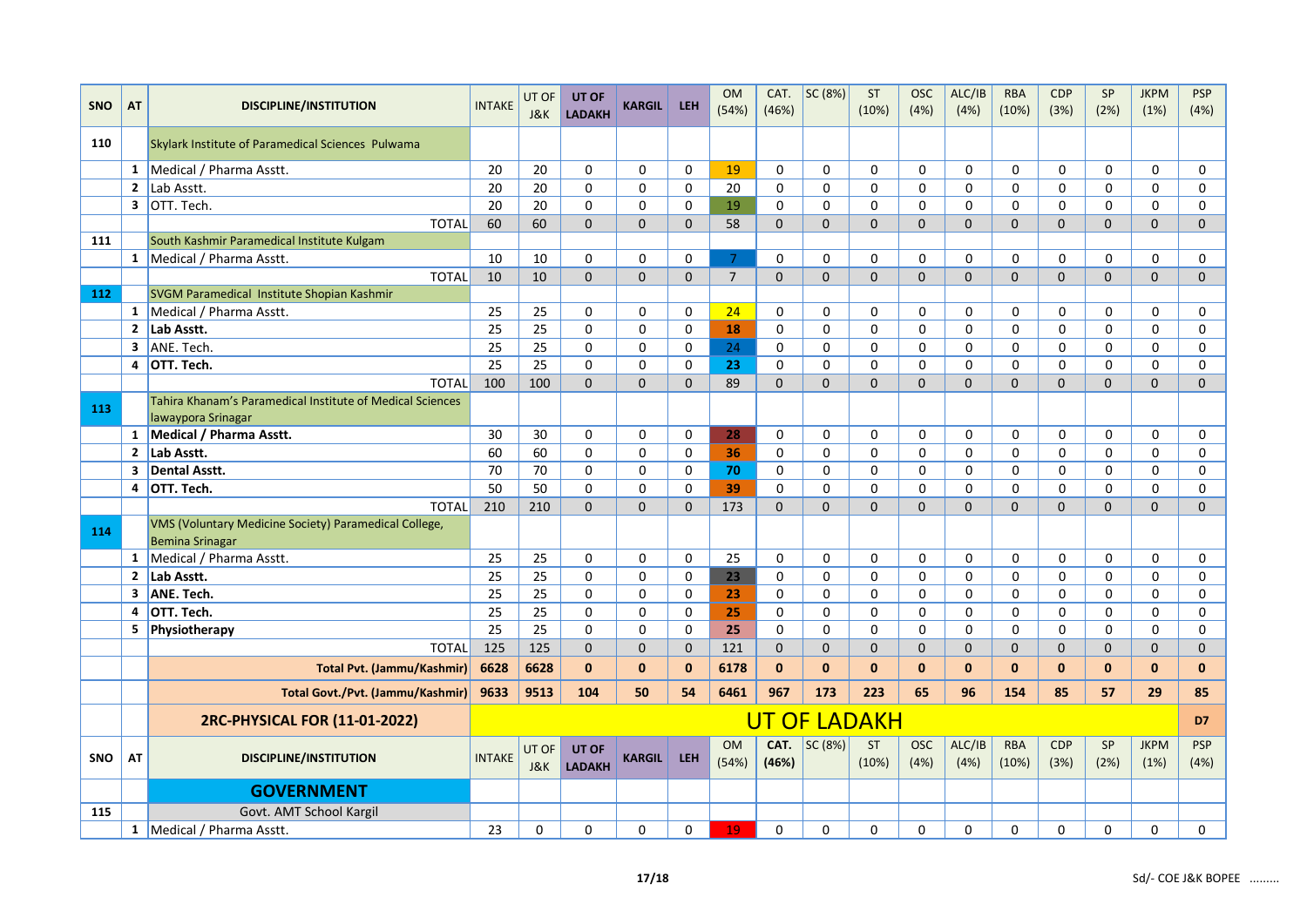|            |                         |                                                                                 |               | UT OF        | UT OF                  | <b>KARGIL</b> |              | <b>OM</b>          | CAT.          | SC (8%)      | ST                  | <b>OSC</b>          | ALC/IB         | <b>RBA</b>          | <b>CDP</b>         | SP                | <b>JKPM</b>         | <b>PSP</b>         |
|------------|-------------------------|---------------------------------------------------------------------------------|---------------|--------------|------------------------|---------------|--------------|--------------------|---------------|--------------|---------------------|---------------------|----------------|---------------------|--------------------|-------------------|---------------------|--------------------|
| <b>SNO</b> | AT                      | <b>DISCIPLINE/INSTITUTION</b>                                                   | <b>INTAKE</b> | J&K          | <b>LADAKH</b>          |               | <b>LEH</b>   | (54%)              | (46%)         |              | (10%)               | (4%)                | (4%)           | (10%)               | (3%)               | (2%)              | (1%)                | (4%)               |
| 110        |                         | Skylark Institute of Paramedical Sciences Pulwama                               |               |              |                        |               |              |                    |               |              |                     |                     |                |                     |                    |                   |                     |                    |
|            | $\mathbf{1}$            | Medical / Pharma Asstt.                                                         | 20            | 20           | 0                      | $\mathbf 0$   | $\mathbf 0$  | 19                 | 0             | $\mathbf 0$  | 0                   | $\mathbf 0$         | $\mathbf 0$    | 0                   | 0                  | 0                 | $\mathbf 0$         | $\mathbf 0$        |
|            | $\overline{2}$          | Lab Asstt.                                                                      | 20            | 20           | 0                      | 0             | 0            | 20                 | 0             | 0            | $\Omega$            | $\Omega$            | 0              | 0                   | 0                  | 0                 | 0                   | 0                  |
|            | $\overline{\mathbf{3}}$ | OTT. Tech.                                                                      | 20            | 20           | $\Omega$               | $\mathbf 0$   | $\mathbf 0$  | 19                 | 0             | $\mathbf 0$  | $\Omega$            | $\Omega$            | $\mathbf 0$    | $\Omega$            | 0                  | $\Omega$          | $\mathbf 0$         | 0                  |
|            |                         | <b>TOTAL</b>                                                                    | 60            | 60           | $\mathbf 0$            | $\mathbf{0}$  | $\mathbf 0$  | 58                 | $\mathbf 0$   | $\mathbf{0}$ | $\mathbf{0}$        | $\mathbf{0}$        | $\mathbf{0}$   | $\overline{0}$      | $\mathbf{0}$       | $\overline{0}$    | $\mathbf 0$         | $\mathbf 0$        |
| 111        |                         | South Kashmir Paramedical Institute Kulgam                                      |               |              |                        |               |              |                    |               |              |                     |                     |                |                     |                    |                   |                     |                    |
|            |                         | 1 Medical / Pharma Asstt.                                                       | 10            | 10           | 0                      | $\mathbf 0$   | $\Omega$     | $\overline{7}$     | 0             | $\Omega$     | $\Omega$            | $\Omega$            | 0              | 0                   | 0                  | $\Omega$          | $\mathbf 0$         | 0                  |
|            |                         | <b>TOTAL</b>                                                                    | 10            | 10           | $\mathbf{0}$           | $\mathbf{0}$  | $\mathbf{0}$ | $\overline{7}$     | $\Omega$      | $\Omega$     | $\Omega$            | $\Omega$            | $\mathbf{0}$   | $\Omega$            | $\overline{0}$     | $\overline{0}$    | $\mathbf 0$         | $\mathbf 0$        |
| 112        |                         | SVGM Paramedical Institute Shopian Kashmir                                      |               |              |                        |               |              |                    |               |              |                     |                     |                |                     |                    |                   |                     |                    |
|            | $\mathbf{1}$            | Medical / Pharma Asstt.                                                         | 25            | 25           | 0                      | $\mathbf 0$   | $\Omega$     | 24                 | 0             | $\mathbf 0$  | $\Omega$            | $\mathbf 0$         | $\mathbf 0$    | 0                   | 0                  | 0                 | $\mathbf 0$         | 0                  |
|            | $\overline{2}$          | Lab Asstt.                                                                      | 25            | 25           | 0                      | $\mathbf 0$   | $\mathbf 0$  | 18                 | 0             | $\mathbf 0$  | 0                   | 0                   | 0              | 0                   | 0                  | 0                 | $\mathbf 0$         | $\mathbf 0$        |
|            | $\mathbf{3}$            | ANE. Tech.                                                                      | 25            | 25           | 0                      | $\mathbf 0$   | $\mathbf 0$  | 24                 | 0             | $\mathbf 0$  | 0                   | 0                   | $\mathbf 0$    | 0                   | 0                  | 0                 | $\mathbf 0$         | $\mathbf 0$        |
|            | 4                       | OTT. Tech.                                                                      | 25            | 25           | $\Omega$               | $\mathbf 0$   | $\Omega$     | 23                 | 0             | $\mathbf 0$  | $\Omega$            | 0                   | $\mathbf 0$    | $\Omega$            | 0                  | $\Omega$          | $\mathbf 0$         | 0                  |
|            |                         | <b>TOTAL</b>                                                                    | 100           | 100          | $\mathbf{0}$           | $\mathbf 0$   | $\mathbf 0$  | 89                 | $\Omega$      | $\Omega$     | $\mathbf 0$         | $\Omega$            | $\mathbf{0}$   | $\overline{0}$      | 0                  | $\overline{0}$    | $\mathbf 0$         | $\mathbf 0$        |
| 113        |                         | Tahira Khanam's Paramedical Institute of Medical Sciences<br>lawaypora Srinagar |               |              |                        |               |              |                    |               |              |                     |                     |                |                     |                    |                   |                     |                    |
|            | $\mathbf{1}$            | Medical / Pharma Asstt.                                                         | 30            | 30           | $\mathbf 0$            | $\mathbf 0$   | $\mathbf 0$  | 28                 | 0             | $\mathbf 0$  | 0                   | $\mathbf 0$         | $\mathbf 0$    | 0                   | 0                  | 0                 | $\mathbf 0$         | $\Omega$           |
|            |                         | 2 Lab Asstt.                                                                    | 60            | 60           | 0                      | $\mathbf 0$   | $\mathbf 0$  | 36                 | $\mathbf 0$   | $\mathbf 0$  | 0                   | 0                   | $\mathbf 0$    | 0                   | 0                  | 0                 | $\mathbf 0$         | $\mathbf 0$        |
|            | 3                       | <b>Dental Asstt.</b>                                                            | 70            | 70           | $\Omega$               | $\mathbf 0$   | 0            | 70                 | 0             | $\mathbf 0$  | $\Omega$            | $\Omega$            | $\mathbf 0$    | 0                   | 0                  | $\Omega$          | $\mathbf 0$         | 0                  |
|            | 4                       | OTT. Tech.                                                                      | 50            | 50           | $\Omega$               | $\mathbf 0$   | $\Omega$     | 39                 | $\Omega$      | $\Omega$     | $\Omega$            | $\Omega$            | $\Omega$       | 0                   | 0                  | $\Omega$          | $\Omega$            | 0                  |
|            |                         | <b>TOTAL</b>                                                                    | 210           | 210          | $\mathbf 0$            | $\mathbf{0}$  | $\mathbf 0$  | 173                | $\mathbf 0$   | $\mathbf{0}$ | $\mathbf 0$         | $\mathbf{0}$        | $\mathbf{0}$   | $\overline{0}$      | $\mathbf 0$        | 0                 | $\mathbf 0$         | $\mathbf 0$        |
| 114        |                         | VMS (Voluntary Medicine Society) Paramedical College,<br><b>Bemina Srinagar</b> |               |              |                        |               |              |                    |               |              |                     |                     |                |                     |                    |                   |                     |                    |
|            | $\mathbf{1}$            | Medical / Pharma Asstt.                                                         | 25            | 25           | 0                      | 0             | 0            | 25                 | $\Omega$      | $\Omega$     | $\Omega$            | $\Omega$            | $\Omega$       | $\Omega$            | 0                  | $\Omega$          | 0                   | 0                  |
|            | $\mathbf{2}$            | Lab Asstt.                                                                      | 25            | 25           | $\mathbf 0$            | $\mathbf 0$   | 0            | 23                 | 0             | $\mathbf 0$  | 0                   | $\mathbf 0$         | $\mathbf 0$    | 0                   | 0                  | $\Omega$          | $\mathbf 0$         | $\mathbf 0$        |
|            | $\mathbf{3}$            | ANE. Tech.                                                                      | 25            | 25           | 0                      | $\mathbf 0$   | $\mathbf 0$  | 23                 | 0             | $\mathbf 0$  | 0                   | $\mathbf 0$         | $\mathbf 0$    | 0                   | 0                  | $\Omega$          | $\mathbf 0$         | 0                  |
|            | 4                       | OTT. Tech.                                                                      | 25            | 25           | $\Omega$               | $\Omega$      | $\Omega$     | 25                 | 0             | $\Omega$     | $\Omega$            | $\Omega$            | 0              | 0                   | 0                  | $\Omega$          | $\Omega$            | $\Omega$           |
|            |                         | 5 Physiotherapy                                                                 | 25            | 25           | 0                      | $\mathbf 0$   | $\Omega$     | 25                 | $\mathbf 0$   | $\mathbf 0$  | $\Omega$            | $\Omega$            | $\mathbf 0$    | 0                   | 0                  | $\Omega$          | $\mathbf 0$         | $\mathbf 0$        |
|            |                         | <b>TOTAL</b>                                                                    | 125           | 125          | $\Omega$               | $\mathbf{0}$  | $\mathbf 0$  | 121                | $\mathbf{0}$  | $\mathbf{0}$ | $\Omega$            | $\Omega$            | $\Omega$       | $\Omega$            | $\mathbf{0}$       | $\Omega$          | $\Omega$            | $\mathbf{0}$       |
|            |                         | <b>Total Pvt. (Jammu/Kashmir)</b>                                               | 6628          | 6628         | $\mathbf{0}$           | $\mathbf{0}$  | $\mathbf{0}$ | 6178               | $\mathbf{0}$  | $\mathbf 0$  | $\bf{0}$            | $\bf{0}$            | $\mathbf{0}$   | $\mathbf{0}$        | 0                  | $\mathbf{0}$      | $\mathbf{0}$        | $\mathbf{0}$       |
|            |                         | <b>Total Govt./Pvt. (Jammu/Kashmir)</b>                                         | 9633          | 9513         | 104                    | 50            | 54           | 6461               | 967           | 173          | 223                 | 65                  | 96             | 154                 | 85                 | 57                | 29                  | 85                 |
|            |                         | 2RC-PHYSICAL FOR (11-01-2022)                                                   |               |              |                        |               |              |                    |               |              | <b>UT OF LADAKH</b> |                     |                |                     |                    |                   |                     | D7                 |
| SNO        | AT                      | <b>DISCIPLINE/INSTITUTION</b>                                                   | <b>INTAKE</b> | UT OF<br>J&K | UT OF<br><b>LADAKH</b> | <b>KARGIL</b> | <b>LEH</b>   | <b>OM</b><br>(54%) | CAT.<br>(46%) | SC (8%)      | <b>ST</b><br>(10%)  | <b>OSC</b><br>(4% ) | ALC/IB<br>(4%) | <b>RBA</b><br>(10%) | <b>CDP</b><br>(3%) | <b>SP</b><br>(2%) | <b>JKPM</b><br>(1%) | <b>PSP</b><br>(4%) |
|            |                         | <b>GOVERNMENT</b>                                                               |               |              |                        |               |              |                    |               |              |                     |                     |                |                     |                    |                   |                     |                    |
| 115        |                         | Govt. AMT School Kargil                                                         |               |              |                        |               |              |                    |               |              |                     |                     |                |                     |                    |                   |                     |                    |
|            | 1                       | Medical / Pharma Asstt.                                                         | 23            | 0            | $\mathbf{0}$           | $\mathbf{0}$  | $\Omega$     | 19                 | $\Omega$      | $\Omega$     | $\Omega$            | $\Omega$            | $\mathbf{0}$   | $\Omega$            | $\Omega$           | $\Omega$          | $\Omega$            | $\mathbf{0}$       |